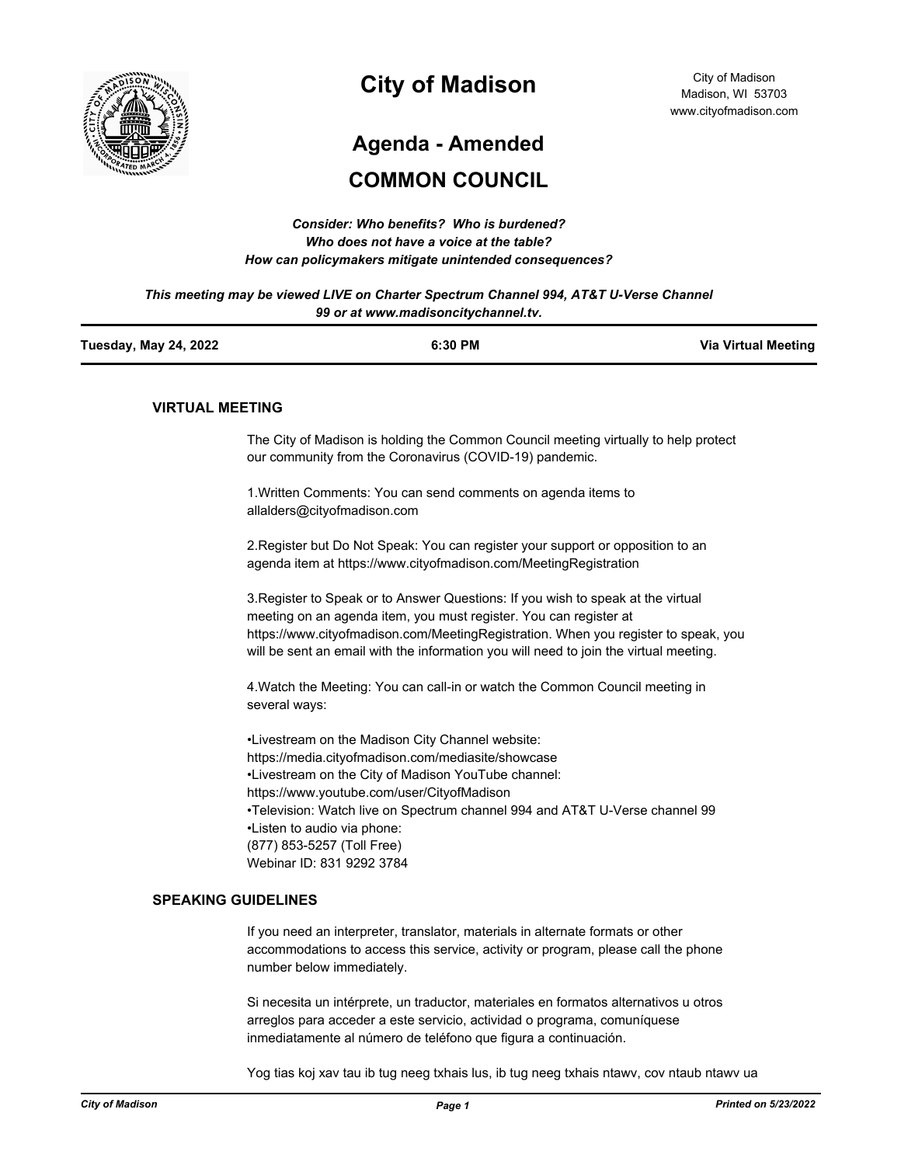

# **City of Madison**

# **Agenda - Amended**

# **COMMON COUNCIL**

| Consider: Who benefits? Who is burdened?               |
|--------------------------------------------------------|
| Who does not have a voice at the table?                |
| How can policymakers mitigate unintended consequences? |

*This meeting may be viewed LIVE on Charter Spectrum Channel 994, AT&T U-Verse Channel 99 or at www.madisoncitychannel.tv.*

| <b>Tuesday, May 24, 2022</b> | 6:30 PM | <b>Via Virtual Meeting</b> |
|------------------------------|---------|----------------------------|
|                              |         |                            |

#### **VIRTUAL MEETING**

The City of Madison is holding the Common Council meeting virtually to help protect our community from the Coronavirus (COVID-19) pandemic.

1.Written Comments: You can send comments on agenda items to allalders@cityofmadison.com

2.Register but Do Not Speak: You can register your support or opposition to an agenda item at https://www.cityofmadison.com/MeetingRegistration

3.Register to Speak or to Answer Questions: If you wish to speak at the virtual meeting on an agenda item, you must register. You can register at https://www.cityofmadison.com/MeetingRegistration. When you register to speak, you will be sent an email with the information you will need to join the virtual meeting.

4.Watch the Meeting: You can call-in or watch the Common Council meeting in several ways:

•Livestream on the Madison City Channel website: https://media.cityofmadison.com/mediasite/showcase •Livestream on the City of Madison YouTube channel: https://www.youtube.com/user/CityofMadison •Television: Watch live on Spectrum channel 994 and AT&T U-Verse channel 99 •Listen to audio via phone: (877) 853-5257 (Toll Free) Webinar ID: 831 9292 3784

#### **SPEAKING GUIDELINES**

If you need an interpreter, translator, materials in alternate formats or other accommodations to access this service, activity or program, please call the phone number below immediately.

Si necesita un intérprete, un traductor, materiales en formatos alternativos u otros arreglos para acceder a este servicio, actividad o programa, comuníquese inmediatamente al número de teléfono que figura a continuación.

Yog tias koj xav tau ib tug neeg txhais lus, ib tug neeg txhais ntawv, cov ntaub ntawv ua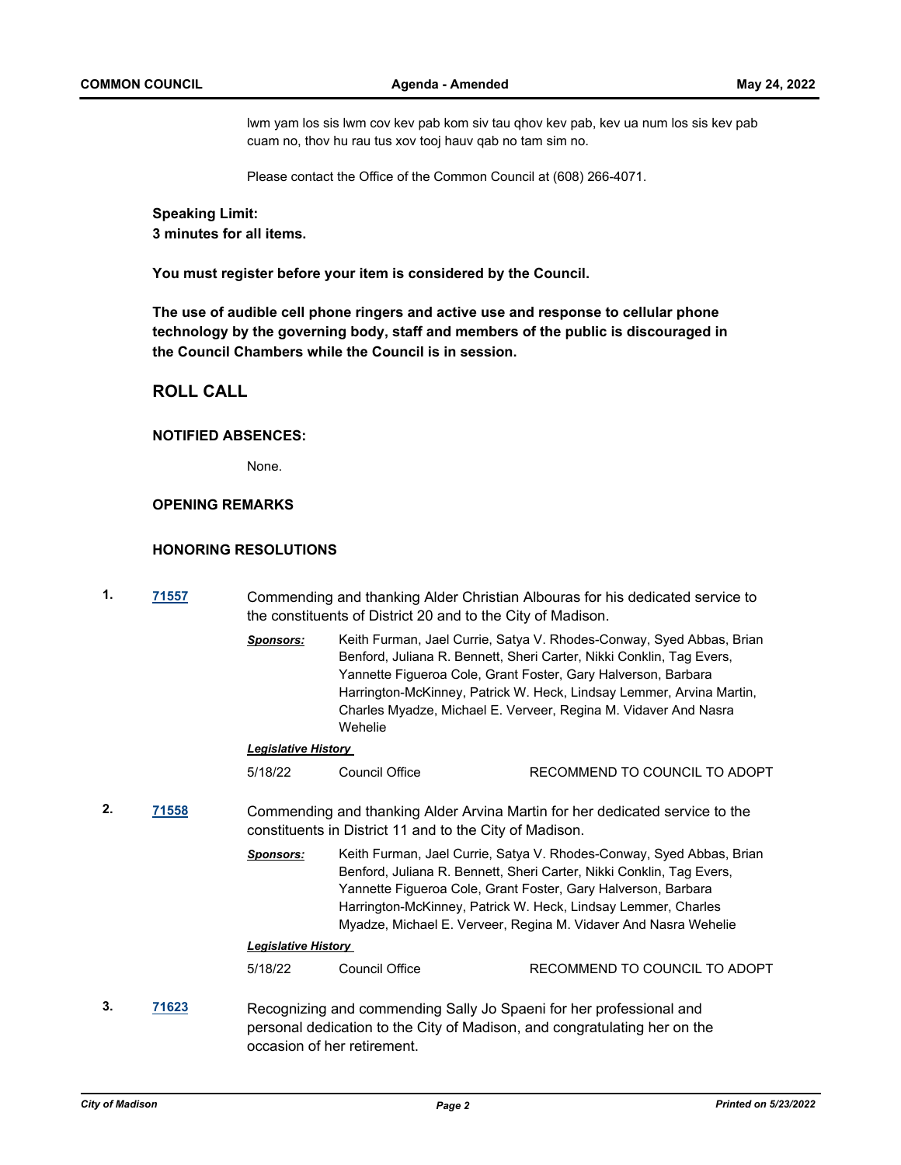lwm yam los sis lwm cov kev pab kom siv tau qhov kev pab, kev ua num los sis kev pab cuam no, thov hu rau tus xov tooj hauv qab no tam sim no.

Please contact the Office of the Common Council at (608) 266-4071.

**Speaking Limit: 3 minutes for all items.**

**You must register before your item is considered by the Council.**

**The use of audible cell phone ringers and active use and response to cellular phone technology by the governing body, staff and members of the public is discouraged in the Council Chambers while the Council is in session.**

# **ROLL CALL**

#### **NOTIFIED ABSENCES:**

None.

## **OPENING REMARKS**

## **HONORING RESOLUTIONS**

| 1.<br>71557 |       |                                                                                                                                         | Commending and thanking Alder Christian Albouras for his dedicated service to<br>the constituents of District 20 and to the City of Madison.                                                                                                                                                                                                      |                                                                                                                                                                                                                                                                                                                                                          |  |
|-------------|-------|-----------------------------------------------------------------------------------------------------------------------------------------|---------------------------------------------------------------------------------------------------------------------------------------------------------------------------------------------------------------------------------------------------------------------------------------------------------------------------------------------------|----------------------------------------------------------------------------------------------------------------------------------------------------------------------------------------------------------------------------------------------------------------------------------------------------------------------------------------------------------|--|
|             |       | <b>Sponsors:</b>                                                                                                                        | Wehelie                                                                                                                                                                                                                                                                                                                                           | Keith Furman, Jael Currie, Satya V. Rhodes-Conway, Syed Abbas, Brian<br>Benford, Juliana R. Bennett, Sheri Carter, Nikki Conklin, Tag Evers,<br>Yannette Figueroa Cole, Grant Foster, Gary Halverson, Barbara<br>Harrington-McKinney, Patrick W. Heck, Lindsay Lemmer, Arvina Martin,<br>Charles Myadze, Michael E. Verveer, Regina M. Vidaver And Nasra |  |
|             |       | <b>Legislative History</b>                                                                                                              |                                                                                                                                                                                                                                                                                                                                                   |                                                                                                                                                                                                                                                                                                                                                          |  |
|             |       | 5/18/22                                                                                                                                 | Council Office                                                                                                                                                                                                                                                                                                                                    | RECOMMEND TO COUNCIL TO ADOPT                                                                                                                                                                                                                                                                                                                            |  |
| 2.          | 71558 | Commending and thanking Alder Arvina Martin for her dedicated service to the<br>constituents in District 11 and to the City of Madison. |                                                                                                                                                                                                                                                                                                                                                   |                                                                                                                                                                                                                                                                                                                                                          |  |
|             |       | <b>Sponsors:</b>                                                                                                                        | Keith Furman, Jael Currie, Satya V. Rhodes-Conway, Syed Abbas, Brian<br>Benford, Juliana R. Bennett, Sheri Carter, Nikki Conklin, Tag Evers,<br>Yannette Figueroa Cole, Grant Foster, Gary Halverson, Barbara<br>Harrington-McKinney, Patrick W. Heck, Lindsay Lemmer, Charles<br>Myadze, Michael E. Verveer, Regina M. Vidaver And Nasra Wehelie |                                                                                                                                                                                                                                                                                                                                                          |  |
|             |       | <b>Legislative History</b>                                                                                                              |                                                                                                                                                                                                                                                                                                                                                   |                                                                                                                                                                                                                                                                                                                                                          |  |
|             |       | 5/18/22                                                                                                                                 | <b>Council Office</b>                                                                                                                                                                                                                                                                                                                             | RECOMMEND TO COUNCIL TO ADOPT                                                                                                                                                                                                                                                                                                                            |  |
| 3.          | 71623 |                                                                                                                                         | Recognizing and commending Sally Jo Spaeni for her professional and<br>personal dedication to the City of Madison, and congratulating her on the<br>occasion of her retirement.                                                                                                                                                                   |                                                                                                                                                                                                                                                                                                                                                          |  |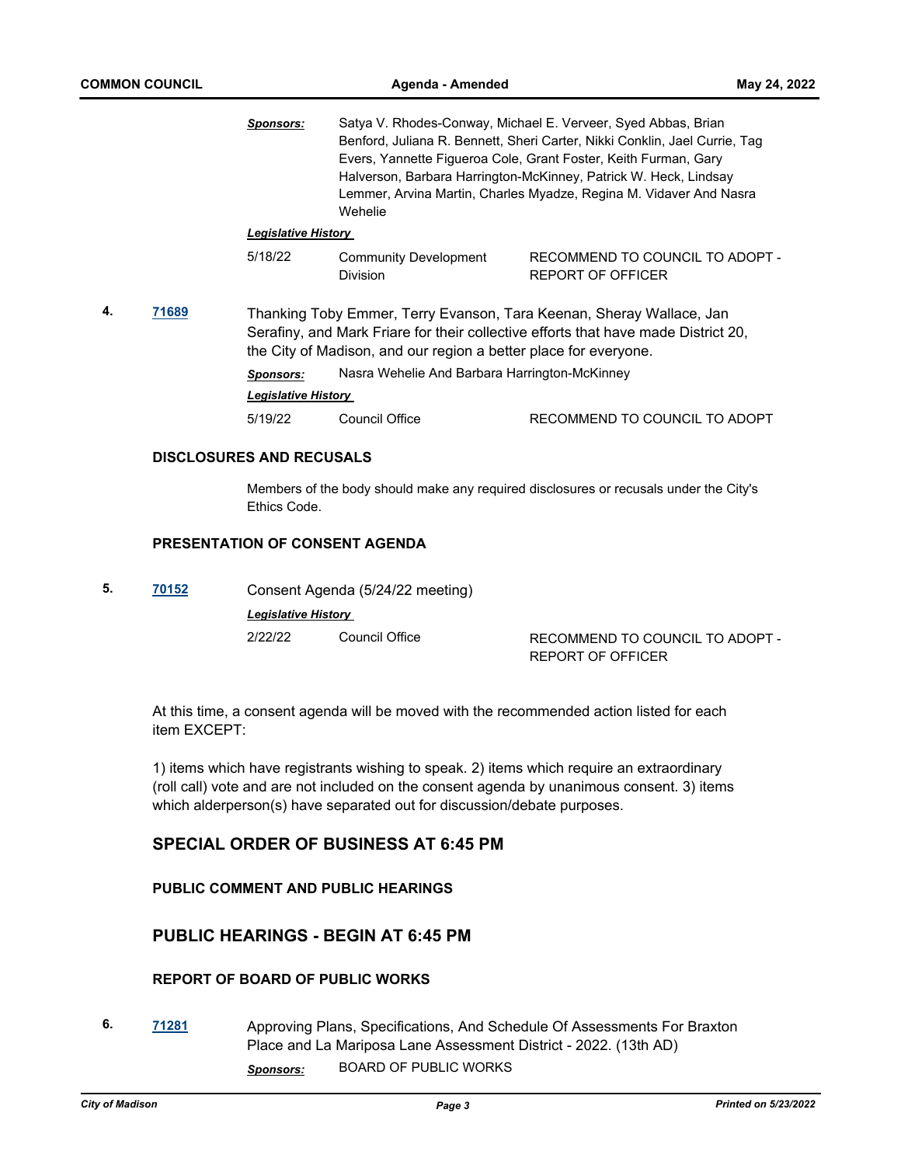|    |       | <b>Sponsors:</b>                                                                                                                                                                                                               | Satya V. Rhodes-Conway, Michael E. Verveer, Syed Abbas, Brian<br>Benford, Juliana R. Bennett, Sheri Carter, Nikki Conklin, Jael Currie, Tag<br>Evers, Yannette Figueroa Cole, Grant Foster, Keith Furman, Gary<br>Halverson, Barbara Harrington-McKinney, Patrick W. Heck, Lindsay<br>Lemmer, Arvina Martin, Charles Myadze, Regina M. Vidaver And Nasra<br>Wehelie |                                                             |  |
|----|-------|--------------------------------------------------------------------------------------------------------------------------------------------------------------------------------------------------------------------------------|---------------------------------------------------------------------------------------------------------------------------------------------------------------------------------------------------------------------------------------------------------------------------------------------------------------------------------------------------------------------|-------------------------------------------------------------|--|
|    |       | <b>Legislative History</b>                                                                                                                                                                                                     |                                                                                                                                                                                                                                                                                                                                                                     |                                                             |  |
|    |       | 5/18/22                                                                                                                                                                                                                        | <b>Community Development</b><br><b>Division</b>                                                                                                                                                                                                                                                                                                                     | RECOMMEND TO COUNCIL TO ADOPT -<br><b>REPORT OF OFFICER</b> |  |
| 4. | 71689 | Thanking Toby Emmer, Terry Evanson, Tara Keenan, Sheray Wallace, Jan<br>Serafiny, and Mark Friare for their collective efforts that have made District 20,<br>the City of Madison, and our region a better place for everyone. |                                                                                                                                                                                                                                                                                                                                                                     |                                                             |  |
|    |       | <b>Sponsors:</b>                                                                                                                                                                                                               | Nasra Wehelie And Barbara Harrington-McKinney                                                                                                                                                                                                                                                                                                                       |                                                             |  |
|    |       | <b>Legislative History</b>                                                                                                                                                                                                     |                                                                                                                                                                                                                                                                                                                                                                     |                                                             |  |
|    |       | 5/19/22                                                                                                                                                                                                                        | Council Office                                                                                                                                                                                                                                                                                                                                                      | RECOMMEND TO COUNCIL TO ADOPT                               |  |
|    |       | <b>DISCLOSURES AND RECUSALS</b>                                                                                                                                                                                                |                                                                                                                                                                                                                                                                                                                                                                     |                                                             |  |

Members of the body should make any required disclosures or recusals under the City's Ethics Code.

# **PRESENTATION OF CONSENT AGENDA**

**5. [70152](http://madison.legistar.com/gateway.aspx?m=l&id=/matter.aspx?key=81302)** Consent Agenda (5/24/22 meeting) *Legislative History*  2/22/22 Council Office RECOMMEND TO COUNCIL TO ADOPT - REPORT OF OFFICER

At this time, a consent agenda will be moved with the recommended action listed for each item EXCEPT:

1) items which have registrants wishing to speak. 2) items which require an extraordinary (roll call) vote and are not included on the consent agenda by unanimous consent. 3) items which alderperson(s) have separated out for discussion/debate purposes.

# **SPECIAL ORDER OF BUSINESS AT 6:45 PM**

## **PUBLIC COMMENT AND PUBLIC HEARINGS**

# **PUBLIC HEARINGS - BEGIN AT 6:45 PM**

# **REPORT OF BOARD OF PUBLIC WORKS**

**6. [71281](http://madison.legistar.com/gateway.aspx?m=l&id=/matter.aspx?key=83222)** Approving Plans, Specifications, And Schedule Of Assessments For Braxton Place and La Mariposa Lane Assessment District - 2022. (13th AD) *Sponsors:* BOARD OF PUBLIC WORKS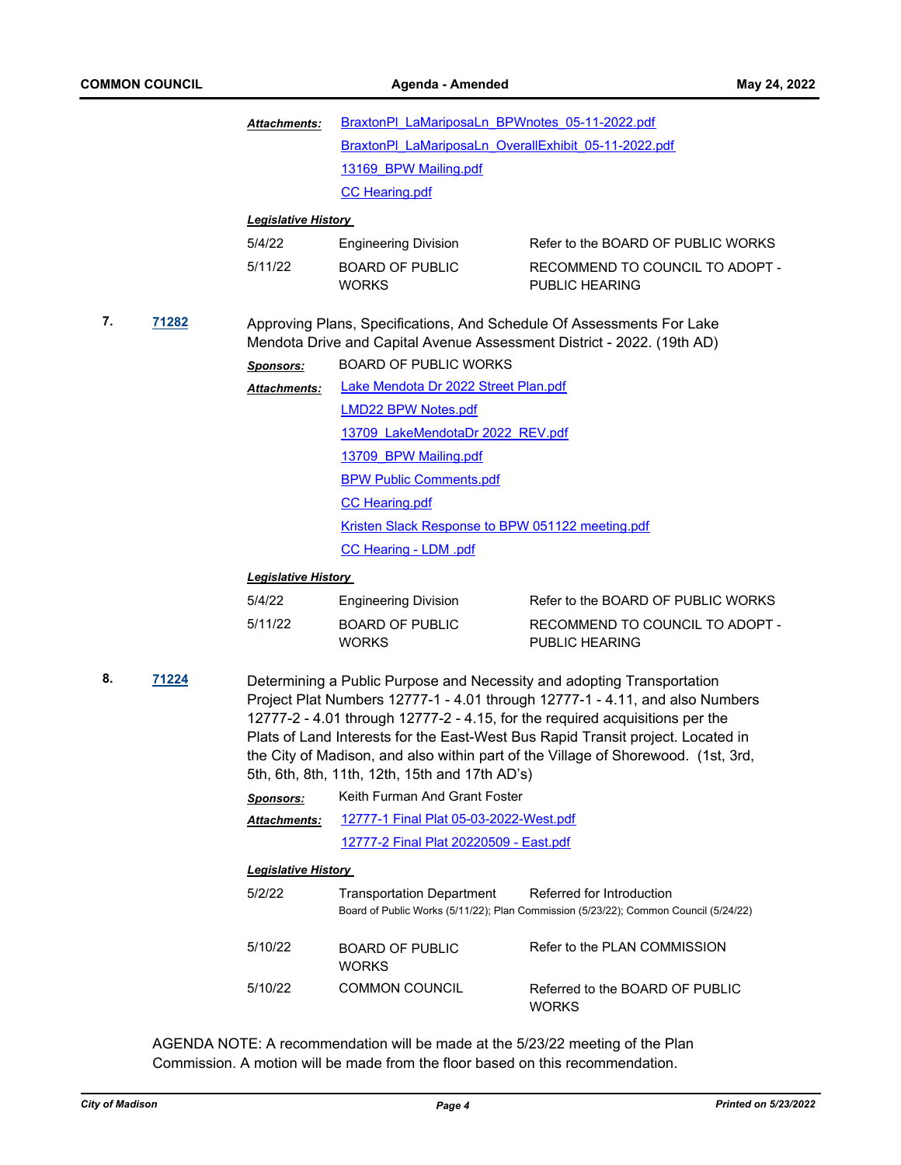|    |       | Attachments:                     | BraxtonPI LaMariposaLn BPWnotes 05-11-2022.pdf<br>BraxtonPI LaMariposaLn OverallExhibit 05-11-2022.pdf<br>13169 BPW Mailing.pdf                                                                                                                                                                                                                                                                                                                                  |                                                                                                                   |  |
|----|-------|----------------------------------|------------------------------------------------------------------------------------------------------------------------------------------------------------------------------------------------------------------------------------------------------------------------------------------------------------------------------------------------------------------------------------------------------------------------------------------------------------------|-------------------------------------------------------------------------------------------------------------------|--|
|    |       |                                  |                                                                                                                                                                                                                                                                                                                                                                                                                                                                  |                                                                                                                   |  |
|    |       |                                  |                                                                                                                                                                                                                                                                                                                                                                                                                                                                  |                                                                                                                   |  |
|    |       |                                  | <b>CC Hearing.pdf</b>                                                                                                                                                                                                                                                                                                                                                                                                                                            |                                                                                                                   |  |
|    |       | <b>Legislative History</b>       |                                                                                                                                                                                                                                                                                                                                                                                                                                                                  |                                                                                                                   |  |
|    |       | 5/4/22                           | <b>Engineering Division</b>                                                                                                                                                                                                                                                                                                                                                                                                                                      | Refer to the BOARD OF PUBLIC WORKS                                                                                |  |
|    |       | 5/11/22                          | <b>BOARD OF PUBLIC</b><br><b>WORKS</b>                                                                                                                                                                                                                                                                                                                                                                                                                           | RECOMMEND TO COUNCIL TO ADOPT -<br>PUBLIC HEARING                                                                 |  |
| 7. | 71282 | <b>Sponsors:</b><br>Attachments: | Approving Plans, Specifications, And Schedule Of Assessments For Lake<br>Mendota Drive and Capital Avenue Assessment District - 2022. (19th AD)<br><b>BOARD OF PUBLIC WORKS</b><br>Lake Mendota Dr 2022 Street Plan.pdf                                                                                                                                                                                                                                          |                                                                                                                   |  |
|    |       |                                  | <b>LMD22 BPW Notes.pdf</b>                                                                                                                                                                                                                                                                                                                                                                                                                                       |                                                                                                                   |  |
|    |       |                                  | 13709 LakeMendotaDr 2022 REV.pdf                                                                                                                                                                                                                                                                                                                                                                                                                                 |                                                                                                                   |  |
|    |       |                                  | 13709 BPW Mailing.pdf                                                                                                                                                                                                                                                                                                                                                                                                                                            |                                                                                                                   |  |
|    |       |                                  | <b>BPW Public Comments.pdf</b>                                                                                                                                                                                                                                                                                                                                                                                                                                   |                                                                                                                   |  |
|    |       |                                  | <b>CC Hearing.pdf</b>                                                                                                                                                                                                                                                                                                                                                                                                                                            |                                                                                                                   |  |
|    |       |                                  | Kristen Slack Response to BPW 051122 meeting.pdf                                                                                                                                                                                                                                                                                                                                                                                                                 |                                                                                                                   |  |
|    |       |                                  | <b>CC Hearing - LDM .pdf</b>                                                                                                                                                                                                                                                                                                                                                                                                                                     |                                                                                                                   |  |
|    |       | <b>Legislative History</b>       |                                                                                                                                                                                                                                                                                                                                                                                                                                                                  |                                                                                                                   |  |
|    |       | 5/4/22                           | <b>Engineering Division</b>                                                                                                                                                                                                                                                                                                                                                                                                                                      | Refer to the BOARD OF PUBLIC WORKS                                                                                |  |
|    |       | 5/11/22                          | <b>BOARD OF PUBLIC</b><br><b>WORKS</b>                                                                                                                                                                                                                                                                                                                                                                                                                           | RECOMMEND TO COUNCIL TO ADOPT -<br><b>PUBLIC HEARING</b>                                                          |  |
| 8. | 71224 |                                  | Determining a Public Purpose and Necessity and adopting Transportation<br>Project Plat Numbers 12777-1 - 4.01 through 12777-1 - 4.11, and also Numbers<br>12777-2 - 4.01 through 12777-2 - 4.15, for the required acquisitions per the<br>Plats of Land Interests for the East-West Bus Rapid Transit project. Located in<br>the City of Madison, and also within part of the Village of Shorewood. (1st, 3rd,<br>5th, 6th, 8th, 11th, 12th, 15th and 17th AD's) |                                                                                                                   |  |
|    |       | <b>Sponsors:</b>                 | Keith Furman And Grant Foster                                                                                                                                                                                                                                                                                                                                                                                                                                    |                                                                                                                   |  |
|    |       | Attachments:                     | 12777-1 Final Plat 05-03-2022-West.pdf                                                                                                                                                                                                                                                                                                                                                                                                                           |                                                                                                                   |  |
|    |       |                                  | 12777-2 Final Plat 20220509 - East.pdf                                                                                                                                                                                                                                                                                                                                                                                                                           |                                                                                                                   |  |
|    |       | <b>Legislative History</b>       |                                                                                                                                                                                                                                                                                                                                                                                                                                                                  |                                                                                                                   |  |
|    |       | 5/2/22                           | <b>Transportation Department</b>                                                                                                                                                                                                                                                                                                                                                                                                                                 | Referred for Introduction<br>Board of Public Works (5/11/22); Plan Commission (5/23/22); Common Council (5/24/22) |  |
|    |       | 5/10/22                          | <b>BOARD OF PUBLIC</b><br><b>WORKS</b>                                                                                                                                                                                                                                                                                                                                                                                                                           | Refer to the PLAN COMMISSION                                                                                      |  |
|    |       | 5/10/22                          | <b>COMMON COUNCIL</b>                                                                                                                                                                                                                                                                                                                                                                                                                                            | Referred to the BOARD OF PUBLIC<br><b>WORKS</b>                                                                   |  |

AGENDA NOTE: A recommendation will be made at the 5/23/22 meeting of the Plan Commission. A motion will be made from the floor based on this recommendation.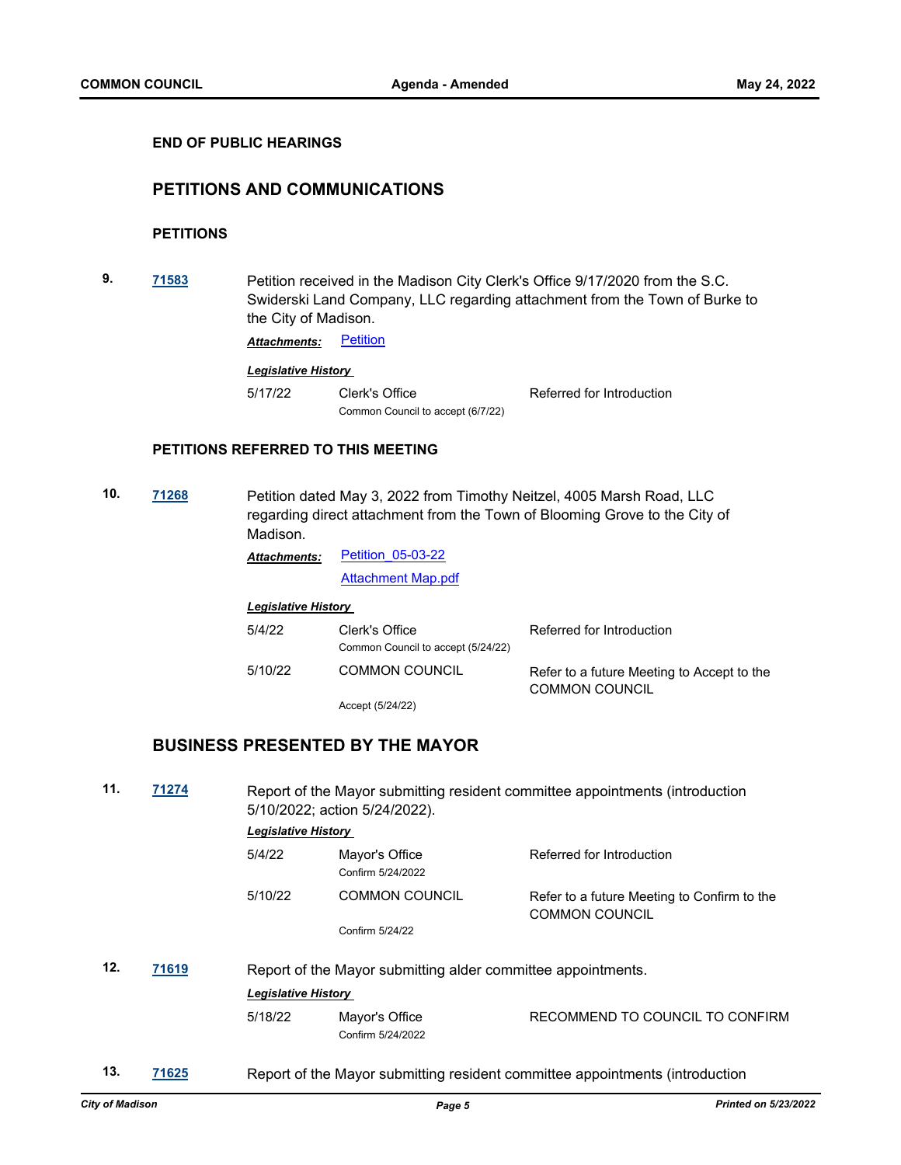#### **END OF PUBLIC HEARINGS**

# **PETITIONS AND COMMUNICATIONS**

## **PETITIONS**

**9. [71583](http://madison.legistar.com/gateway.aspx?m=l&id=/matter.aspx?key=83468)** Petition received in the Madison City Clerk's Office 9/17/2020 from the S.C. Swiderski Land Company, LLC regarding attachment from the Town of Burke to the City of Madison.

**Attachments:** [Petition](http://madison.legistar.com/gateway.aspx?M=F&ID=649ae1ff-bd9c-4d49-a9ad-f0bbc2392c06.pdf)

#### *Legislative History*

5/17/22 Clerk's Office Referred for Introduction Common Council to accept (6/7/22)

## **PETITIONS REFERRED TO THIS MEETING**

**10. [71268](http://madison.legistar.com/gateway.aspx?m=l&id=/matter.aspx?key=83209)** Petition dated May 3, 2022 from Timothy Neitzel, 4005 Marsh Road, LLC regarding direct attachment from the Town of Blooming Grove to the City of Madison.

> [Petition\\_05-03-22](http://madison.legistar.com/gateway.aspx?M=F&ID=df9197e3-bfe0-4867-ac3a-5d7dc1b310ee.pdf) *Attachments:*

> > [Attachment Map.pdf](http://madison.legistar.com/gateway.aspx?M=F&ID=0a396ebd-fc5b-4fc2-af83-8d64e51440ec.pdf)

*Legislative History* 

| 5/4/22  | Clerk's Office<br>Common Council to accept (5/24/22) | Referred for Introduction                                           |
|---------|------------------------------------------------------|---------------------------------------------------------------------|
| 5/10/22 | <b>COMMON COUNCIL</b>                                | Refer to a future Meeting to Accept to the<br><b>COMMON COUNCIL</b> |
|         | Accept (5/24/22)                                     |                                                                     |

# **BUSINESS PRESENTED BY THE MAYOR**

| 11. | 71274 |                            | Report of the Mayor submitting resident committee appointments (introduction<br>5/10/2022; action 5/24/2022). |                                                                              |  |
|-----|-------|----------------------------|---------------------------------------------------------------------------------------------------------------|------------------------------------------------------------------------------|--|
|     |       | <b>Legislative History</b> |                                                                                                               |                                                                              |  |
|     |       | 5/4/22                     | Mayor's Office<br>Confirm 5/24/2022                                                                           | Referred for Introduction                                                    |  |
|     |       | 5/10/22                    | <b>COMMON COUNCIL</b>                                                                                         | Refer to a future Meeting to Confirm to the<br><b>COMMON COUNCIL</b>         |  |
|     |       |                            | Confirm 5/24/22                                                                                               |                                                                              |  |
| 12. | 71619 |                            | Report of the Mayor submitting alder committee appointments.                                                  |                                                                              |  |
|     |       | <b>Legislative History</b> |                                                                                                               |                                                                              |  |
|     |       | 5/18/22                    | Mayor's Office<br>Confirm 5/24/2022                                                                           | RECOMMEND TO COUNCIL TO CONFIRM                                              |  |
| 13. | 71625 |                            |                                                                                                               | Report of the Mayor submitting resident committee appointments (introduction |  |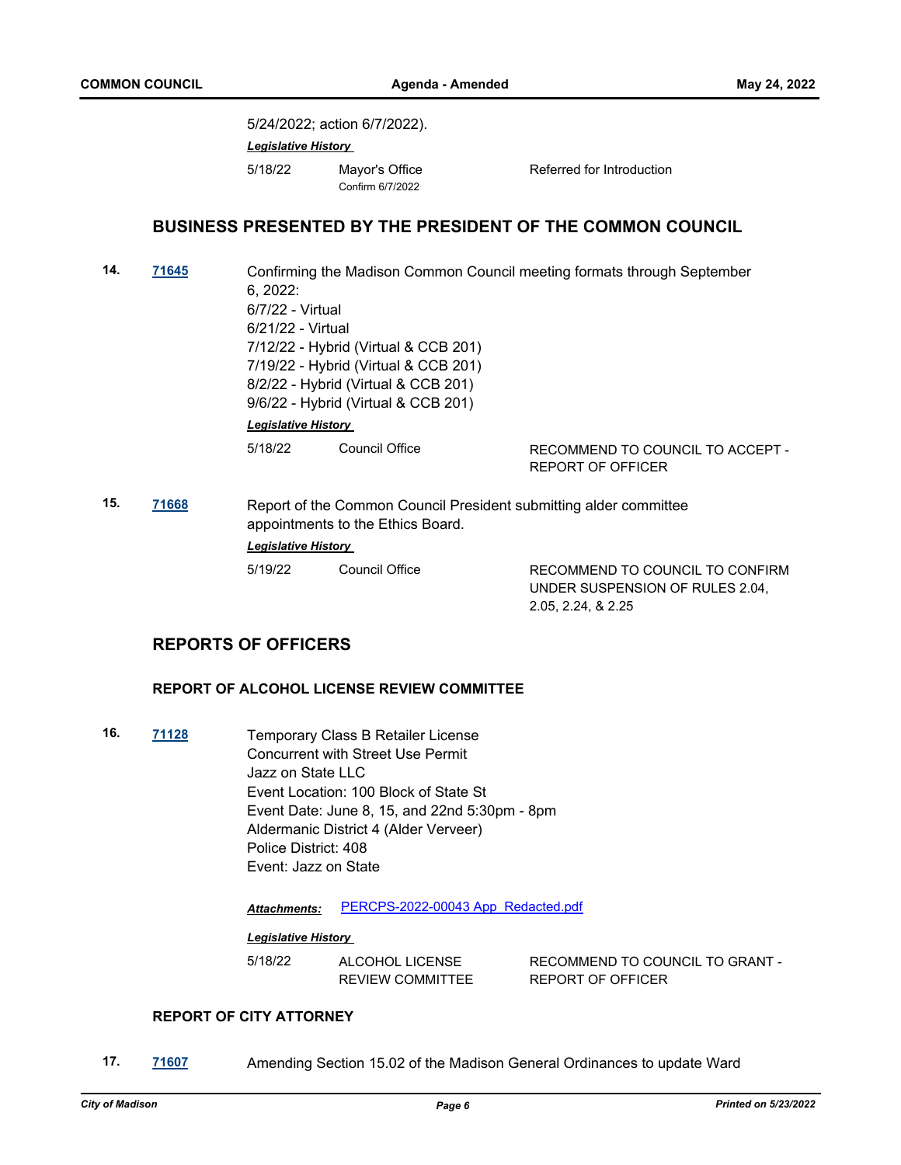5/24/2022; action 6/7/2022). *Legislative History*  5/18/22 Mayor's Office Referred for Introduction Confirm 6/7/2022 **BUSINESS PRESENTED BY THE PRESIDENT OF THE COMMON COUNCIL 14. [71645](http://madison.legistar.com/gateway.aspx?m=l&id=/matter.aspx?key=83515)** Confirming the Madison Common Council meeting formats through September 6, 2022: 6/7/22 - Virtual 6/21/22 - Virtual 7/12/22 - Hybrid (Virtual & CCB 201) 7/19/22 - Hybrid (Virtual & CCB 201) 8/2/22 - Hybrid (Virtual & CCB 201) 9/6/22 - Hybrid (Virtual & CCB 201) *Legislative History* 

5/18/22 Council Office RECOMMEND TO COUNCIL TO ACCEPT -

REPORT OF OFFICER

**15. [71668](http://madison.legistar.com/gateway.aspx?m=l&id=/matter.aspx?key=83538)** Report of the Common Council President submitting alder committee appointments to the Ethics Board. *Legislative History* 

| 5/19/22 | <b>Council Office</b> |
|---------|-----------------------|
|         |                       |

RECOMMEND TO COUNCIL TO CONFIRM UNDER SUSPENSION OF RULES 2.04, 2.05, 2.24, & 2.25

# **REPORTS OF OFFICERS**

#### **REPORT OF ALCOHOL LICENSE REVIEW COMMITTEE**

**16. [71128](http://madison.legistar.com/gateway.aspx?m=l&id=/matter.aspx?key=83079)** Temporary Class B Retailer License Concurrent with Street Use Permit Jazz on State LLC Event Location: 100 Block of State St Event Date: June 8, 15, and 22nd 5:30pm - 8pm Aldermanic District 4 (Alder Verveer) Police District: 408 Event: Jazz on State

*Attachments:* [PERCPS-2022-00043 App\\_Redacted.pdf](http://madison.legistar.com/gateway.aspx?M=F&ID=9ac40683-5369-49a9-bcba-a6cf1378467f.pdf)

#### *Legislative History*

5/18/22 ALCOHOL LICENSE REVIEW COMMITTEE RECOMMEND TO COUNCIL TO GRANT - REPORT OF OFFICER

#### **REPORT OF CITY ATTORNEY**

**17. [71607](http://madison.legistar.com/gateway.aspx?m=l&id=/matter.aspx?key=83477)** Amending Section 15.02 of the Madison General Ordinances to update Ward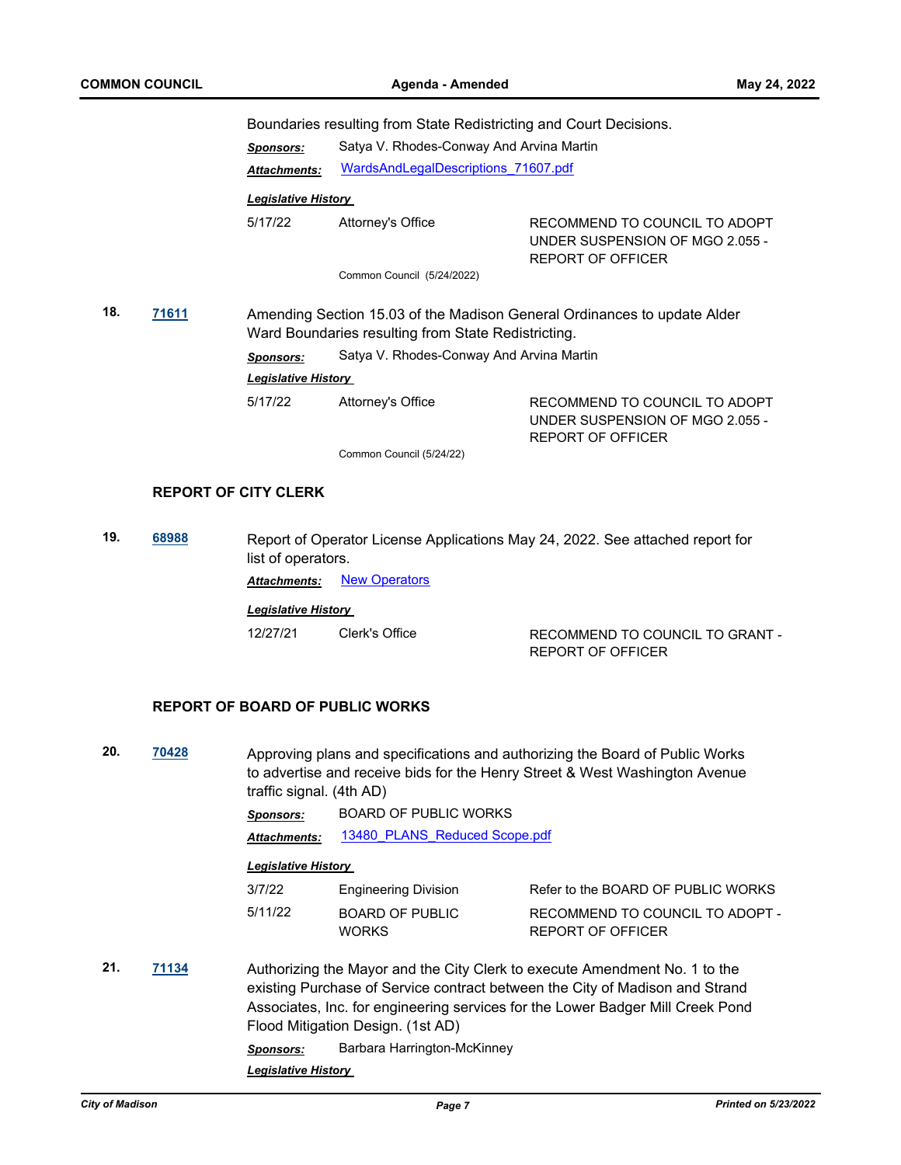Boundaries resulting from State Redistricting and Court Decisions.

|              |  | <b>Sponsors:</b>                                                                                                                | Satya V. Rhodes-Conway And Arvina Martin |                                                                                              |
|--------------|--|---------------------------------------------------------------------------------------------------------------------------------|------------------------------------------|----------------------------------------------------------------------------------------------|
|              |  | <b>Attachments:</b>                                                                                                             | WardsAndLegalDescriptions 71607.pdf      |                                                                                              |
|              |  | <b>Legislative History</b>                                                                                                      |                                          |                                                                                              |
|              |  | 5/17/22                                                                                                                         | Attorney's Office                        | RECOMMEND TO COUNCIL TO ADOPT<br>UNDER SUSPENSION OF MGO 2.055 -<br>REPORT OF OFFICER        |
|              |  |                                                                                                                                 | Common Council (5/24/2022)               |                                                                                              |
| 18.<br>71611 |  | Amending Section 15.03 of the Madison General Ordinances to update Alder<br>Ward Boundaries resulting from State Redistricting. |                                          |                                                                                              |
|              |  | <b>Sponsors:</b>                                                                                                                | Satya V. Rhodes-Conway And Arvina Martin |                                                                                              |
|              |  | <b>Legislative History</b>                                                                                                      |                                          |                                                                                              |
|              |  | 5/17/22                                                                                                                         | Attorney's Office                        | RECOMMEND TO COUNCIL TO ADOPT<br>UNDER SUSPENSION OF MGO 2.055 -<br><b>REPORT OF OFFICER</b> |

Common Council (5/24/22)

#### **REPORT OF CITY CLERK**

**19. [68988](http://madison.legistar.com/gateway.aspx?m=l&id=/matter.aspx?key=80529)** Report of Operator License Applications May 24, 2022. See attached report for list of operators.

**Attachments: [New Operators](http://madison.legistar.com/gateway.aspx?M=F&ID=0f429338-22a0-40b6-9c16-8a681906fb35.pdf)** 

*Legislative History* 

12/27/21 Clerk's Office RECOMMEND TO COUNCIL TO GRANT - REPORT OF OFFICER

#### **REPORT OF BOARD OF PUBLIC WORKS**

**20. [70428](http://madison.legistar.com/gateway.aspx?m=l&id=/matter.aspx?key=82499)** Approving plans and specifications and authorizing the Board of Public Works to advertise and receive bids for the Henry Street & West Washington Avenue traffic signal. (4th AD)

*Sponsors:* BOARD OF PUBLIC WORKS

Attachments: 13480 PLANS Reduced Scope.pdf

#### *Legislative History*

| 3/7/22  | <b>Engineering Division</b>     | Refer to the BOARD OF PUBLIC WORKS                   |
|---------|---------------------------------|------------------------------------------------------|
| 5/11/22 | BOARD OF PUBLIC<br><b>WORKS</b> | RECOMMEND TO COUNCIL TO ADOPT -<br>REPORT OF OFFICER |

**21. [71134](http://madison.legistar.com/gateway.aspx?m=l&id=/matter.aspx?key=83085)** Authorizing the Mayor and the City Clerk to execute Amendment No. 1 to the existing Purchase of Service contract between the City of Madison and Strand Associates, Inc. for engineering services for the Lower Badger Mill Creek Pond Flood Mitigation Design. (1st AD)

*Sponsors:* Barbara Harrington-McKinney

*Legislative History*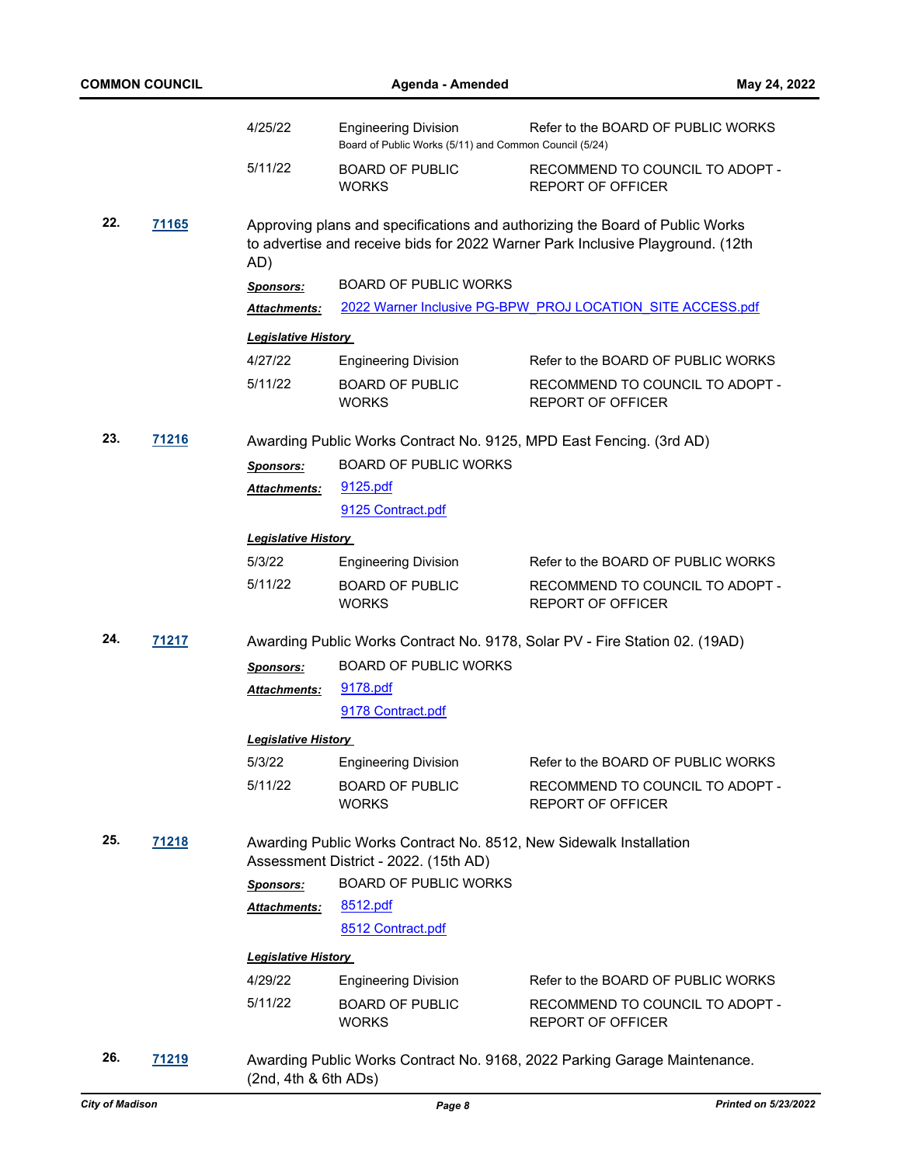|              | COMMON COUNCIL |                            | Agenda - Amended                                                                      | May 24, 2022                                                                                                                                                   |
|--------------|----------------|----------------------------|---------------------------------------------------------------------------------------|----------------------------------------------------------------------------------------------------------------------------------------------------------------|
|              |                | 4/25/22                    | <b>Engineering Division</b><br>Board of Public Works (5/11) and Common Council (5/24) | Refer to the BOARD OF PUBLIC WORKS                                                                                                                             |
|              |                | 5/11/22                    | <b>BOARD OF PUBLIC</b><br><b>WORKS</b>                                                | RECOMMEND TO COUNCIL TO ADOPT -<br><b>REPORT OF OFFICER</b>                                                                                                    |
| 22.<br>71165 |                | AD)                        |                                                                                       | Approving plans and specifications and authorizing the Board of Public Works<br>to advertise and receive bids for 2022 Warner Park Inclusive Playground. (12th |
|              |                | <b>Sponsors:</b>           | <b>BOARD OF PUBLIC WORKS</b>                                                          |                                                                                                                                                                |
|              |                | Attachments:               |                                                                                       | 2022 Warner Inclusive PG-BPW PROJ LOCATION SITE ACCESS.pdf                                                                                                     |
|              |                | <b>Legislative History</b> |                                                                                       |                                                                                                                                                                |
|              |                | 4/27/22                    |                                                                                       | Refer to the BOARD OF PUBLIC WORKS                                                                                                                             |
|              |                | 5/11/22                    | <b>Engineering Division</b><br><b>BOARD OF PUBLIC</b><br><b>WORKS</b>                 | RECOMMEND TO COUNCIL TO ADOPT -<br><b>REPORT OF OFFICER</b>                                                                                                    |
| 23.          | 71216          |                            |                                                                                       | Awarding Public Works Contract No. 9125, MPD East Fencing. (3rd AD)                                                                                            |
|              |                | <b>Sponsors:</b>           | <b>BOARD OF PUBLIC WORKS</b>                                                          |                                                                                                                                                                |
|              |                | Attachments:               | 9125.pdf                                                                              |                                                                                                                                                                |
|              |                |                            | 9125 Contract.pdf                                                                     |                                                                                                                                                                |
|              |                |                            |                                                                                       |                                                                                                                                                                |
|              |                | <b>Legislative History</b> |                                                                                       |                                                                                                                                                                |
|              |                | 5/3/22                     | <b>Engineering Division</b>                                                           | Refer to the BOARD OF PUBLIC WORKS                                                                                                                             |
|              |                | 5/11/22                    | <b>BOARD OF PUBLIC</b><br><b>WORKS</b>                                                | RECOMMEND TO COUNCIL TO ADOPT -<br><b>REPORT OF OFFICER</b>                                                                                                    |
| 24.          | 71217          |                            |                                                                                       | Awarding Public Works Contract No. 9178, Solar PV - Fire Station 02. (19AD)                                                                                    |
|              |                | <b>Sponsors:</b>           | <b>BOARD OF PUBLIC WORKS</b>                                                          |                                                                                                                                                                |
|              |                | <b>Attachments:</b>        | 9178.pdf                                                                              |                                                                                                                                                                |
|              |                |                            | 9178 Contract.pdf                                                                     |                                                                                                                                                                |
|              |                | <b>Legislative History</b> |                                                                                       |                                                                                                                                                                |
|              |                | 5/3/22                     | <b>Engineering Division</b>                                                           | Refer to the BOARD OF PUBLIC WORKS                                                                                                                             |
|              |                | 5/11/22                    | <b>BOARD OF PUBLIC</b>                                                                | RECOMMEND TO COUNCIL TO ADOPT -                                                                                                                                |
|              |                |                            | <b>WORKS</b>                                                                          | <b>REPORT OF OFFICER</b>                                                                                                                                       |
| 25.          | 71218          |                            | Assessment District - 2022. (15th AD)                                                 | Awarding Public Works Contract No. 8512, New Sidewalk Installation                                                                                             |
|              |                | <b>Sponsors:</b>           | <b>BOARD OF PUBLIC WORKS</b>                                                          |                                                                                                                                                                |
|              |                | Attachments:               | 8512.pdf                                                                              |                                                                                                                                                                |
|              |                |                            | 8512 Contract.pdf                                                                     |                                                                                                                                                                |
|              |                | <b>Legislative History</b> |                                                                                       |                                                                                                                                                                |
|              |                | 4/29/22                    | <b>Engineering Division</b>                                                           | Refer to the BOARD OF PUBLIC WORKS                                                                                                                             |
|              |                | 5/11/22                    | <b>BOARD OF PUBLIC</b>                                                                | RECOMMEND TO COUNCIL TO ADOPT -                                                                                                                                |
|              |                |                            | <b>WORKS</b>                                                                          | <b>REPORT OF OFFICER</b>                                                                                                                                       |
| 26.          | 71219          | (2nd, 4th & 6th ADs)       |                                                                                       | Awarding Public Works Contract No. 9168, 2022 Parking Garage Maintenance.                                                                                      |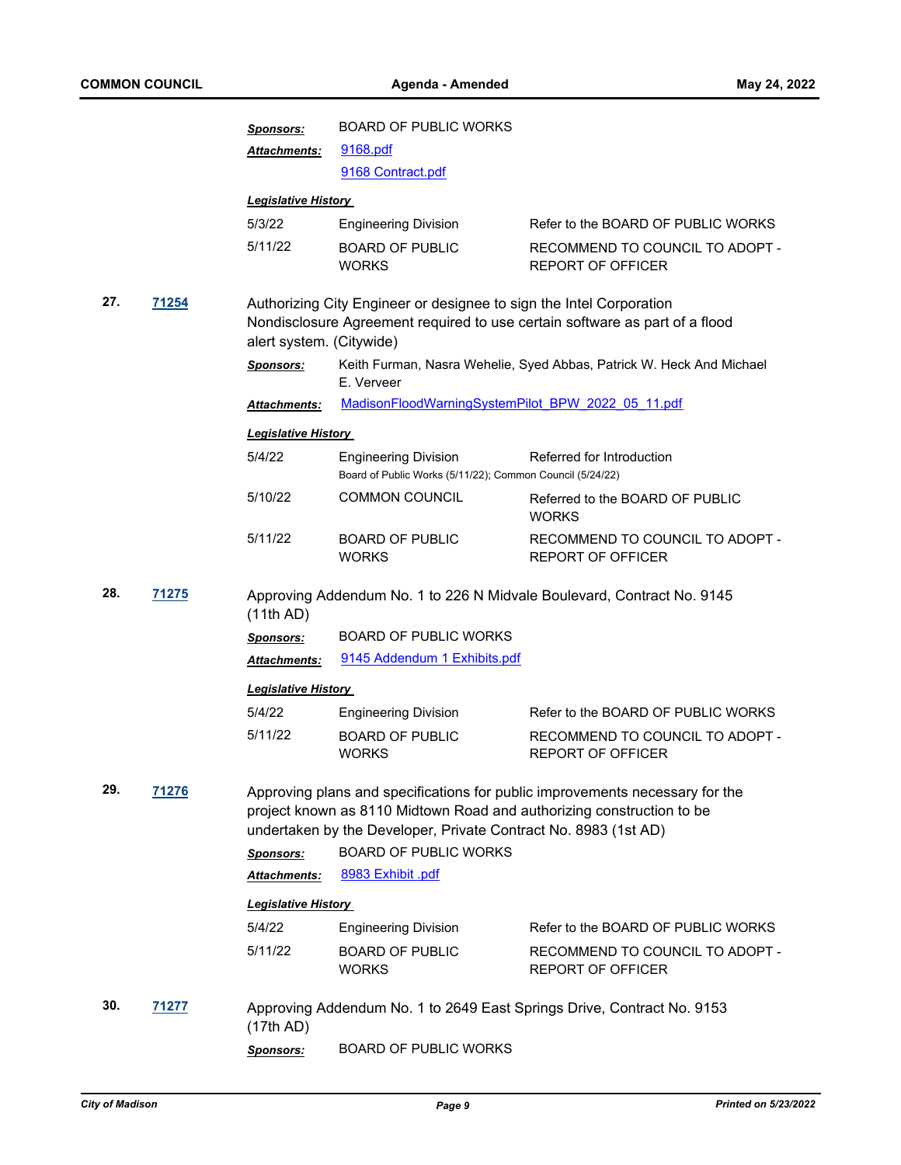|              |              | <b>Sponsors:</b>                                                                                                                                                               | <b>BOARD OF PUBLIC WORKS</b>                                                                                                             |                                                                              |  |
|--------------|--------------|--------------------------------------------------------------------------------------------------------------------------------------------------------------------------------|------------------------------------------------------------------------------------------------------------------------------------------|------------------------------------------------------------------------------|--|
|              |              | Attachments:                                                                                                                                                                   | 9168.pdf                                                                                                                                 |                                                                              |  |
|              |              |                                                                                                                                                                                | 9168 Contract.pdf                                                                                                                        |                                                                              |  |
|              |              | <b>Legislative History</b>                                                                                                                                                     |                                                                                                                                          |                                                                              |  |
|              |              | 5/3/22                                                                                                                                                                         | <b>Engineering Division</b>                                                                                                              | Refer to the BOARD OF PUBLIC WORKS                                           |  |
|              |              | 5/11/22                                                                                                                                                                        | <b>BOARD OF PUBLIC</b><br><b>WORKS</b>                                                                                                   | RECOMMEND TO COUNCIL TO ADOPT -<br><b>REPORT OF OFFICER</b>                  |  |
| 27.<br>71254 |              | Authorizing City Engineer or designee to sign the Intel Corporation<br>Nondisclosure Agreement required to use certain software as part of a flood<br>alert system. (Citywide) |                                                                                                                                          |                                                                              |  |
|              |              | <b>Sponsors:</b>                                                                                                                                                               | E. Verveer                                                                                                                               | Keith Furman, Nasra Wehelie, Syed Abbas, Patrick W. Heck And Michael         |  |
|              |              | <b>Attachments:</b>                                                                                                                                                            | MadisonFloodWarningSystemPilot BPW 2022 05 11.pdf                                                                                        |                                                                              |  |
|              |              | <b>Legislative History</b>                                                                                                                                                     |                                                                                                                                          |                                                                              |  |
|              |              | 5/4/22                                                                                                                                                                         | <b>Engineering Division</b><br>Board of Public Works (5/11/22); Common Council (5/24/22)                                                 | Referred for Introduction                                                    |  |
|              |              | 5/10/22                                                                                                                                                                        | <b>COMMON COUNCIL</b>                                                                                                                    | Referred to the BOARD OF PUBLIC<br><b>WORKS</b>                              |  |
|              |              | 5/11/22                                                                                                                                                                        | <b>BOARD OF PUBLIC</b><br><b>WORKS</b>                                                                                                   | RECOMMEND TO COUNCIL TO ADOPT -<br><b>REPORT OF OFFICER</b>                  |  |
| 28.          | <b>71275</b> | (11th AD)                                                                                                                                                                      |                                                                                                                                          | Approving Addendum No. 1 to 226 N Midvale Boulevard, Contract No. 9145       |  |
|              |              | <b>Sponsors:</b>                                                                                                                                                               | <b>BOARD OF PUBLIC WORKS</b>                                                                                                             |                                                                              |  |
|              |              | Attachments:                                                                                                                                                                   | 9145 Addendum 1 Exhibits.pdf                                                                                                             |                                                                              |  |
|              |              | <b>Legislative History</b>                                                                                                                                                     |                                                                                                                                          |                                                                              |  |
|              |              | 5/4/22                                                                                                                                                                         | <b>Engineering Division</b>                                                                                                              | Refer to the BOARD OF PUBLIC WORKS                                           |  |
|              |              | 5/11/22                                                                                                                                                                        | <b>BOARD OF PUBLIC</b><br><b>WORKS</b>                                                                                                   | RECOMMEND TO COUNCIL TO ADOPT -<br><b>REPORT OF OFFICER</b>                  |  |
| 29.          | 71276        |                                                                                                                                                                                | project known as 8110 Midtown Road and authorizing construction to be<br>undertaken by the Developer, Private Contract No. 8983 (1st AD) | Approving plans and specifications for public improvements necessary for the |  |
|              |              | <b>Sponsors:</b>                                                                                                                                                               | <b>BOARD OF PUBLIC WORKS</b>                                                                                                             |                                                                              |  |
|              |              | <b>Attachments:</b>                                                                                                                                                            | 8983 Exhibit .pdf                                                                                                                        |                                                                              |  |
|              |              | <b>Legislative History</b>                                                                                                                                                     |                                                                                                                                          |                                                                              |  |
|              |              | 5/4/22                                                                                                                                                                         | <b>Engineering Division</b>                                                                                                              | Refer to the BOARD OF PUBLIC WORKS                                           |  |
|              |              | 5/11/22                                                                                                                                                                        | <b>BOARD OF PUBLIC</b><br><b>WORKS</b>                                                                                                   | RECOMMEND TO COUNCIL TO ADOPT -<br><b>REPORT OF OFFICER</b>                  |  |
| 30.          | 71277        | (17th AD)                                                                                                                                                                      |                                                                                                                                          | Approving Addendum No. 1 to 2649 East Springs Drive, Contract No. 9153       |  |
|              |              | <b>Sponsors:</b>                                                                                                                                                               | <b>BOARD OF PUBLIC WORKS</b>                                                                                                             |                                                                              |  |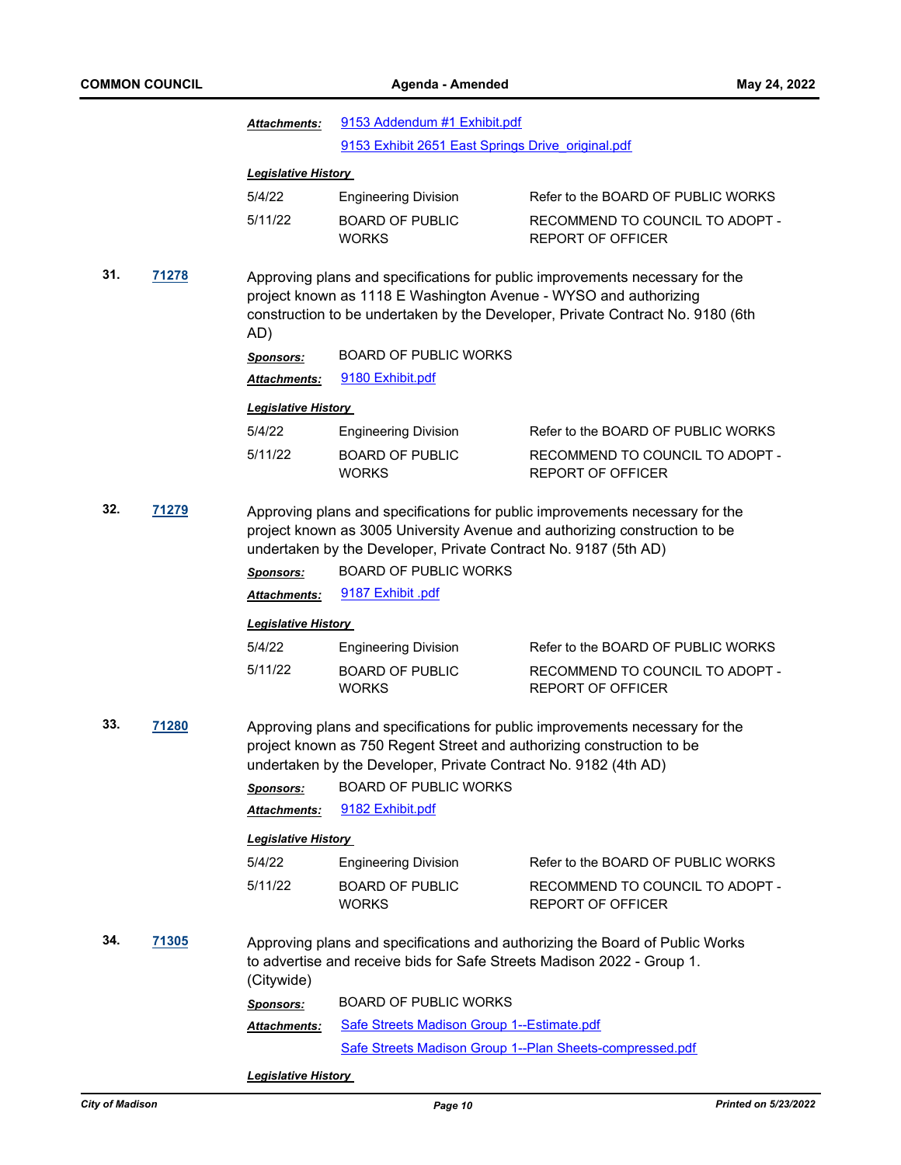|     |              | <b>Attachments:</b>                                                                                                                                                                                                      | 9153 Addendum #1 Exhibit.pdf                                                                                                                                                                                                                                                       |                                                                                                                                                                |  |
|-----|--------------|--------------------------------------------------------------------------------------------------------------------------------------------------------------------------------------------------------------------------|------------------------------------------------------------------------------------------------------------------------------------------------------------------------------------------------------------------------------------------------------------------------------------|----------------------------------------------------------------------------------------------------------------------------------------------------------------|--|
|     |              |                                                                                                                                                                                                                          | 9153 Exhibit 2651 East Springs Drive original.pdf                                                                                                                                                                                                                                  |                                                                                                                                                                |  |
|     |              | <b>Legislative History</b>                                                                                                                                                                                               |                                                                                                                                                                                                                                                                                    |                                                                                                                                                                |  |
|     |              | 5/4/22                                                                                                                                                                                                                   | <b>Engineering Division</b>                                                                                                                                                                                                                                                        | Refer to the BOARD OF PUBLIC WORKS                                                                                                                             |  |
|     |              | 5/11/22                                                                                                                                                                                                                  | <b>BOARD OF PUBLIC</b><br><b>WORKS</b>                                                                                                                                                                                                                                             | RECOMMEND TO COUNCIL TO ADOPT -<br><b>REPORT OF OFFICER</b>                                                                                                    |  |
| 31. | 71278        | AD)                                                                                                                                                                                                                      | project known as 1118 E Washington Avenue - WYSO and authorizing                                                                                                                                                                                                                   | Approving plans and specifications for public improvements necessary for the<br>construction to be undertaken by the Developer, Private Contract No. 9180 (6th |  |
|     |              | <b>Sponsors:</b>                                                                                                                                                                                                         | <b>BOARD OF PUBLIC WORKS</b>                                                                                                                                                                                                                                                       |                                                                                                                                                                |  |
|     |              | Attachments:                                                                                                                                                                                                             | 9180 Exhibit.pdf                                                                                                                                                                                                                                                                   |                                                                                                                                                                |  |
|     |              | <b>Legislative History</b>                                                                                                                                                                                               |                                                                                                                                                                                                                                                                                    |                                                                                                                                                                |  |
|     |              | 5/4/22                                                                                                                                                                                                                   | <b>Engineering Division</b>                                                                                                                                                                                                                                                        | Refer to the BOARD OF PUBLIC WORKS                                                                                                                             |  |
|     |              | 5/11/22                                                                                                                                                                                                                  | <b>BOARD OF PUBLIC</b><br><b>WORKS</b>                                                                                                                                                                                                                                             | RECOMMEND TO COUNCIL TO ADOPT -<br><b>REPORT OF OFFICER</b>                                                                                                    |  |
| 32. | 71279        | <b>Sponsors:</b><br>Attachments:                                                                                                                                                                                         | Approving plans and specifications for public improvements necessary for the<br>project known as 3005 University Avenue and authorizing construction to be<br>undertaken by the Developer, Private Contract No. 9187 (5th AD)<br><b>BOARD OF PUBLIC WORKS</b><br>9187 Exhibit .pdf |                                                                                                                                                                |  |
|     |              | <b>Legislative History</b>                                                                                                                                                                                               |                                                                                                                                                                                                                                                                                    |                                                                                                                                                                |  |
|     |              | 5/4/22                                                                                                                                                                                                                   | <b>Engineering Division</b>                                                                                                                                                                                                                                                        | Refer to the BOARD OF PUBLIC WORKS                                                                                                                             |  |
|     |              | 5/11/22                                                                                                                                                                                                                  | <b>BOARD OF PUBLIC</b><br><b>WORKS</b>                                                                                                                                                                                                                                             | RECOMMEND TO COUNCIL TO ADOPT -<br><b>REPORT OF OFFICER</b>                                                                                                    |  |
| 33. | <b>71280</b> | Approving plans and specifications for public improvements necessary for the<br>project known as 750 Regent Street and authorizing construction to be<br>undertaken by the Developer, Private Contract No. 9182 (4th AD) |                                                                                                                                                                                                                                                                                    |                                                                                                                                                                |  |
|     |              | <b>Sponsors:</b>                                                                                                                                                                                                         | <b>BOARD OF PUBLIC WORKS</b>                                                                                                                                                                                                                                                       |                                                                                                                                                                |  |
|     |              | Attachments:                                                                                                                                                                                                             | 9182 Exhibit.pdf                                                                                                                                                                                                                                                                   |                                                                                                                                                                |  |
|     |              | <b>Legislative History</b>                                                                                                                                                                                               |                                                                                                                                                                                                                                                                                    |                                                                                                                                                                |  |
|     |              | 5/4/22                                                                                                                                                                                                                   | <b>Engineering Division</b>                                                                                                                                                                                                                                                        | Refer to the BOARD OF PUBLIC WORKS                                                                                                                             |  |
|     |              | 5/11/22                                                                                                                                                                                                                  | <b>BOARD OF PUBLIC</b><br><b>WORKS</b>                                                                                                                                                                                                                                             | RECOMMEND TO COUNCIL TO ADOPT -<br><b>REPORT OF OFFICER</b>                                                                                                    |  |
| 34. | <u>71305</u> | (Citywide)                                                                                                                                                                                                               | to advertise and receive bids for Safe Streets Madison 2022 - Group 1.                                                                                                                                                                                                             | Approving plans and specifications and authorizing the Board of Public Works                                                                                   |  |
|     |              | <b>Sponsors:</b>                                                                                                                                                                                                         | <b>BOARD OF PUBLIC WORKS</b>                                                                                                                                                                                                                                                       |                                                                                                                                                                |  |
|     |              | <b>Attachments:</b>                                                                                                                                                                                                      | Safe Streets Madison Group 1--Estimate.pdf                                                                                                                                                                                                                                         |                                                                                                                                                                |  |
|     |              |                                                                                                                                                                                                                          | Safe Streets Madison Group 1--Plan Sheets-compressed.pdf                                                                                                                                                                                                                           |                                                                                                                                                                |  |

*Legislative History*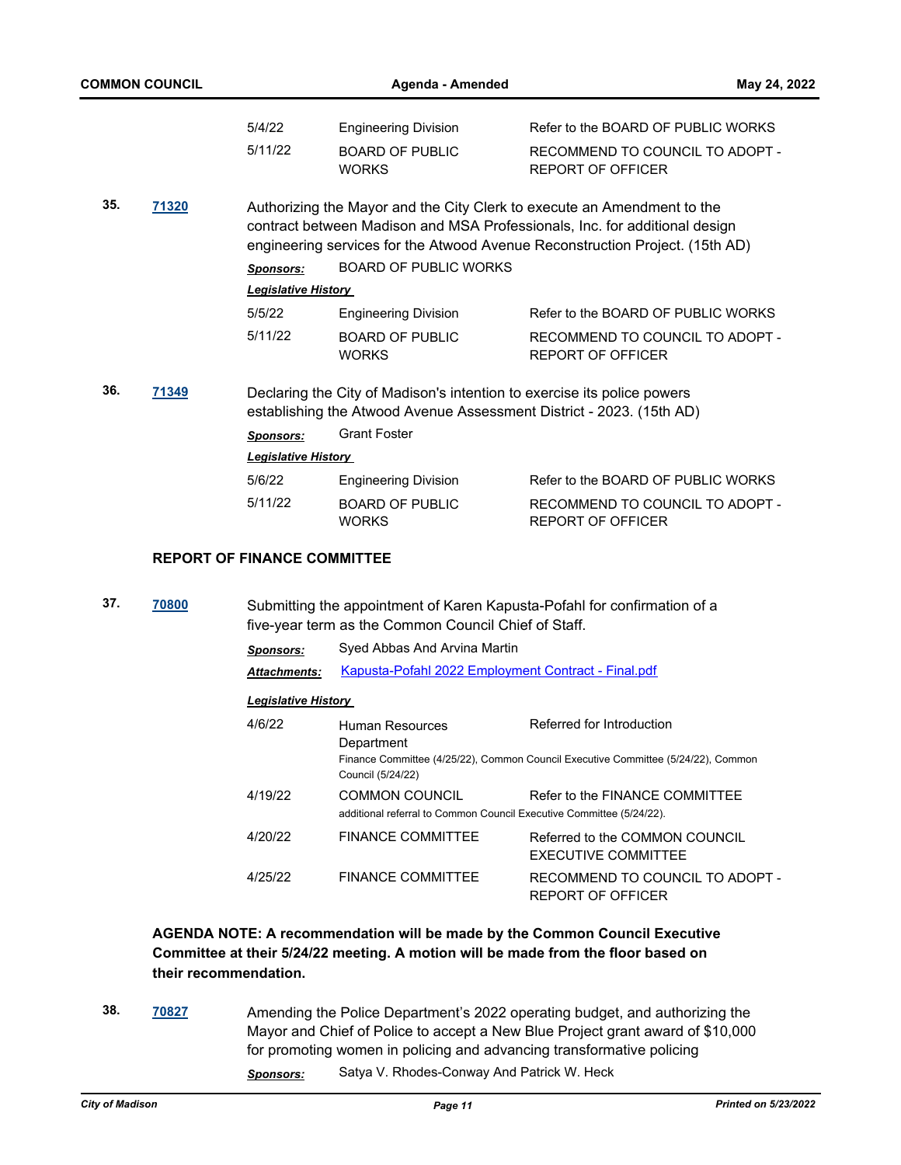| <b>COMMON COUNCIL</b> |       |                                    | Agenda - Amended                                                                              |                                                                                                                                                                                                                                       |  |  |  |
|-----------------------|-------|------------------------------------|-----------------------------------------------------------------------------------------------|---------------------------------------------------------------------------------------------------------------------------------------------------------------------------------------------------------------------------------------|--|--|--|
|                       |       | 5/4/22                             | <b>Engineering Division</b>                                                                   | Refer to the BOARD OF PUBLIC WORKS                                                                                                                                                                                                    |  |  |  |
|                       |       | 5/11/22                            | <b>BOARD OF PUBLIC</b><br><b>WORKS</b>                                                        | RECOMMEND TO COUNCIL TO ADOPT -<br><b>REPORT OF OFFICER</b>                                                                                                                                                                           |  |  |  |
| 35.                   | 71320 |                                    |                                                                                               | Authorizing the Mayor and the City Clerk to execute an Amendment to the<br>contract between Madison and MSA Professionals, Inc. for additional design<br>engineering services for the Atwood Avenue Reconstruction Project. (15th AD) |  |  |  |
|                       |       | <b>Sponsors:</b>                   | <b>BOARD OF PUBLIC WORKS</b>                                                                  |                                                                                                                                                                                                                                       |  |  |  |
|                       |       | <b>Legislative History</b>         |                                                                                               |                                                                                                                                                                                                                                       |  |  |  |
|                       |       | 5/5/22                             | <b>Engineering Division</b>                                                                   | Refer to the BOARD OF PUBLIC WORKS                                                                                                                                                                                                    |  |  |  |
|                       |       | 5/11/22                            | <b>BOARD OF PUBLIC</b><br><b>WORKS</b>                                                        | RECOMMEND TO COUNCIL TO ADOPT -<br><b>REPORT OF OFFICER</b>                                                                                                                                                                           |  |  |  |
| 36.                   | 71349 |                                    |                                                                                               | Declaring the City of Madison's intention to exercise its police powers<br>establishing the Atwood Avenue Assessment District - 2023. (15th AD)                                                                                       |  |  |  |
|                       |       | Sponsors:                          | <b>Grant Foster</b>                                                                           |                                                                                                                                                                                                                                       |  |  |  |
|                       |       | <b>Legislative History</b>         |                                                                                               |                                                                                                                                                                                                                                       |  |  |  |
|                       |       | 5/6/22                             | <b>Engineering Division</b>                                                                   | Refer to the BOARD OF PUBLIC WORKS                                                                                                                                                                                                    |  |  |  |
|                       |       | 5/11/22                            | <b>BOARD OF PUBLIC</b><br><b>WORKS</b>                                                        | RECOMMEND TO COUNCIL TO ADOPT -<br><b>REPORT OF OFFICER</b>                                                                                                                                                                           |  |  |  |
|                       |       | <b>REPORT OF FINANCE COMMITTEE</b> |                                                                                               |                                                                                                                                                                                                                                       |  |  |  |
| 37.                   | 70800 |                                    | five-year term as the Common Council Chief of Staff.                                          | Submitting the appointment of Karen Kapusta-Pofahl for confirmation of a                                                                                                                                                              |  |  |  |
|                       |       | <b>Sponsors:</b>                   | Syed Abbas And Arvina Martin                                                                  |                                                                                                                                                                                                                                       |  |  |  |
|                       |       | Attachments:                       | Kapusta-Pofahl 2022 Employment Contract - Final.pdf                                           |                                                                                                                                                                                                                                       |  |  |  |
|                       |       |                                    |                                                                                               |                                                                                                                                                                                                                                       |  |  |  |
|                       |       | <b>Legislative History</b>         |                                                                                               |                                                                                                                                                                                                                                       |  |  |  |
|                       |       | 4/6/22                             | <b>Human Resources</b><br>Department<br>Council (5/24/22)                                     | Referred for Introduction<br>Finance Committee (4/25/22), Common Council Executive Committee (5/24/22), Common                                                                                                                        |  |  |  |
|                       |       | 4/19/22                            | <b>COMMON COUNCIL</b><br>additional referral to Common Council Executive Committee (5/24/22). | Refer to the FINANCE COMMITTEE                                                                                                                                                                                                        |  |  |  |
|                       |       | 4/20/22                            | <b>FINANCE COMMITTEE</b>                                                                      | Referred to the COMMON COUNCIL<br>EXECUTIVE COMMITTEE                                                                                                                                                                                 |  |  |  |
|                       |       | 4/25/22                            | <b>FINANCE COMMITTEE</b>                                                                      | RECOMMEND TO COUNCIL TO ADOPT -<br>REPORT OF OFFICER                                                                                                                                                                                  |  |  |  |

# **AGENDA NOTE: A recommendation will be made by the Common Council Executive Committee at their 5/24/22 meeting. A motion will be made from the floor based on their recommendation.**

**38. [70827](http://madison.legistar.com/gateway.aspx?m=l&id=/matter.aspx?key=82825)** Amending the Police Department's 2022 operating budget, and authorizing the Mayor and Chief of Police to accept a New Blue Project grant award of \$10,000 for promoting women in policing and advancing transformative policing *Sponsors:* Satya V. Rhodes-Conway And Patrick W. Heck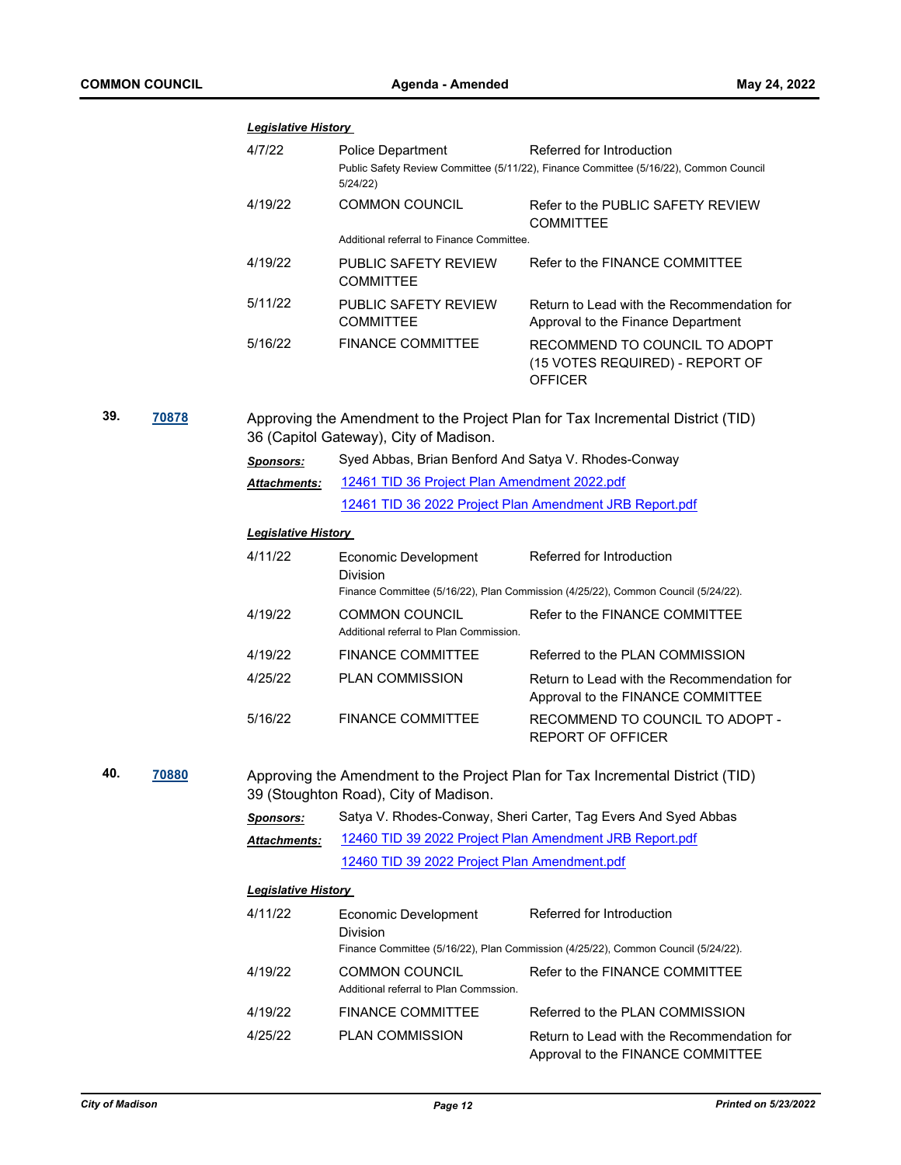|     |       | <b>Legislative History</b>                                                                                               |                                                                  |                                                                                                                    |  |  |  |
|-----|-------|--------------------------------------------------------------------------------------------------------------------------|------------------------------------------------------------------|--------------------------------------------------------------------------------------------------------------------|--|--|--|
|     |       | 4/7/22                                                                                                                   | Police Department                                                | Referred for Introduction<br>Public Safety Review Committee (5/11/22), Finance Committee (5/16/22), Common Council |  |  |  |
|     |       |                                                                                                                          | 5/24/22)                                                         |                                                                                                                    |  |  |  |
|     |       | 4/19/22                                                                                                                  | COMMON COUNCIL                                                   | Refer to the PUBLIC SAFETY REVIEW<br><b>COMMITTEE</b>                                                              |  |  |  |
|     |       |                                                                                                                          | Additional referral to Finance Committee.                        |                                                                                                                    |  |  |  |
|     |       | 4/19/22                                                                                                                  | PUBLIC SAFETY REVIEW<br><b>COMMITTEE</b>                         | Refer to the FINANCE COMMITTEE                                                                                     |  |  |  |
|     |       | 5/11/22                                                                                                                  | PUBLIC SAFETY REVIEW<br><b>COMMITTEE</b>                         | Return to Lead with the Recommendation for<br>Approval to the Finance Department                                   |  |  |  |
|     |       | 5/16/22                                                                                                                  | <b>FINANCE COMMITTEE</b>                                         | RECOMMEND TO COUNCIL TO ADOPT<br>(15 VOTES REQUIRED) - REPORT OF<br><b>OFFICER</b>                                 |  |  |  |
| 39. | 70878 | Approving the Amendment to the Project Plan for Tax Incremental District (TID)<br>36 (Capitol Gateway), City of Madison. |                                                                  |                                                                                                                    |  |  |  |
|     |       | <b>Sponsors:</b>                                                                                                         | Syed Abbas, Brian Benford And Satya V. Rhodes-Conway             |                                                                                                                    |  |  |  |
|     |       | Attachments:                                                                                                             | 12461 TID 36 Project Plan Amendment 2022.pdf                     |                                                                                                                    |  |  |  |
|     |       |                                                                                                                          |                                                                  | 12461 TID 36 2022 Project Plan Amendment JRB Report.pdf                                                            |  |  |  |
|     |       | <b>Legislative History</b>                                                                                               |                                                                  |                                                                                                                    |  |  |  |
|     |       | 4/11/22                                                                                                                  | Economic Development<br><b>Division</b>                          | Referred for Introduction                                                                                          |  |  |  |
|     |       |                                                                                                                          |                                                                  | Finance Committee (5/16/22), Plan Commission (4/25/22), Common Council (5/24/22).                                  |  |  |  |
|     |       | 4/19/22                                                                                                                  | <b>COMMON COUNCIL</b><br>Additional referral to Plan Commission. | Refer to the FINANCE COMMITTEE                                                                                     |  |  |  |
|     |       | 4/19/22                                                                                                                  | <b>FINANCE COMMITTEE</b>                                         | Referred to the PLAN COMMISSION                                                                                    |  |  |  |
|     |       | 4/25/22                                                                                                                  | <b>PLAN COMMISSION</b>                                           | Return to Lead with the Recommendation for<br>Approval to the FINANCE COMMITTEE                                    |  |  |  |
|     |       | 5/16/22                                                                                                                  | <b>FINANCE COMMITTEE</b>                                         | RECOMMEND TO COUNCIL TO ADOPT -<br><b>REPORT OF OFFICER</b>                                                        |  |  |  |
| 40. | 70880 |                                                                                                                          | 39 (Stoughton Road), City of Madison.                            | Approving the Amendment to the Project Plan for Tax Incremental District (TID)                                     |  |  |  |
|     |       | <b>Sponsors:</b>                                                                                                         |                                                                  | Satya V. Rhodes-Conway, Sheri Carter, Tag Evers And Syed Abbas                                                     |  |  |  |
|     |       | <b>Attachments:</b>                                                                                                      | 12460 TID 39 2022 Project Plan Amendment JRB Report.pdf          |                                                                                                                    |  |  |  |
|     |       |                                                                                                                          | 12460 TID 39 2022 Project Plan Amendment.pdf                     |                                                                                                                    |  |  |  |
|     |       | <b>Legislative History</b>                                                                                               |                                                                  |                                                                                                                    |  |  |  |
|     |       | 4/11/22                                                                                                                  | Economic Development<br><b>Division</b>                          | Referred for Introduction<br>Finance Committee (5/16/22), Plan Commission (4/25/22), Common Council (5/24/22).     |  |  |  |
|     |       | 4/19/22                                                                                                                  | <b>COMMON COUNCIL</b><br>Additional referral to Plan Commssion.  | Refer to the FINANCE COMMITTEE                                                                                     |  |  |  |
|     |       | 4/19/22                                                                                                                  | <b>FINANCE COMMITTEE</b>                                         | Referred to the PLAN COMMISSION                                                                                    |  |  |  |
|     |       | 4/25/22                                                                                                                  | <b>PLAN COMMISSION</b>                                           | Return to Lead with the Recommendation for                                                                         |  |  |  |
|     |       |                                                                                                                          |                                                                  | Approval to the FINANCE COMMITTEE                                                                                  |  |  |  |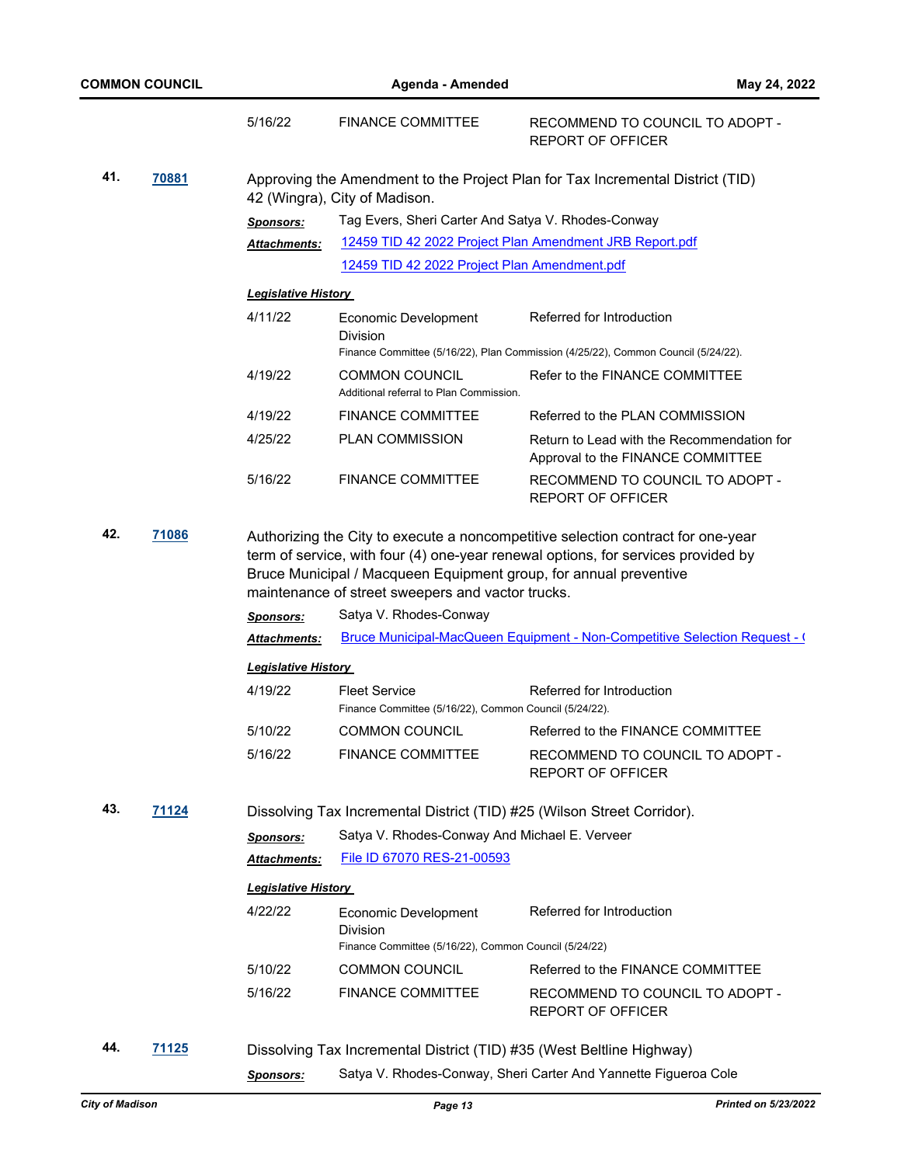|     |              | 5/16/22                                                                                                         | <b>FINANCE COMMITTEE</b>                                                                                                                         | RECOMMEND TO COUNCIL TO ADOPT -<br><b>REPORT OF OFFICER</b>                                                                                                     |  |  |  |
|-----|--------------|-----------------------------------------------------------------------------------------------------------------|--------------------------------------------------------------------------------------------------------------------------------------------------|-----------------------------------------------------------------------------------------------------------------------------------------------------------------|--|--|--|
| 41. | <u>70881</u> | Approving the Amendment to the Project Plan for Tax Incremental District (TID)<br>42 (Wingra), City of Madison. |                                                                                                                                                  |                                                                                                                                                                 |  |  |  |
|     |              | Sponsors:                                                                                                       | Tag Evers, Sheri Carter And Satya V. Rhodes-Conway                                                                                               |                                                                                                                                                                 |  |  |  |
|     |              | Attachments:                                                                                                    | 12459 TID 42 2022 Project Plan Amendment JRB Report.pdf                                                                                          |                                                                                                                                                                 |  |  |  |
|     |              |                                                                                                                 | 12459 TID 42 2022 Project Plan Amendment.pdf                                                                                                     |                                                                                                                                                                 |  |  |  |
|     |              | <u> Legislative History</u>                                                                                     |                                                                                                                                                  |                                                                                                                                                                 |  |  |  |
|     |              | 4/11/22                                                                                                         | Economic Development<br><b>Division</b>                                                                                                          | Referred for Introduction                                                                                                                                       |  |  |  |
|     |              |                                                                                                                 |                                                                                                                                                  | Finance Committee (5/16/22), Plan Commission (4/25/22), Common Council (5/24/22).                                                                               |  |  |  |
|     |              | 4/19/22                                                                                                         | <b>COMMON COUNCIL</b><br>Additional referral to Plan Commission.                                                                                 | Refer to the FINANCE COMMITTEE                                                                                                                                  |  |  |  |
|     |              | 4/19/22                                                                                                         | <b>FINANCE COMMITTEE</b>                                                                                                                         | Referred to the PLAN COMMISSION                                                                                                                                 |  |  |  |
|     |              | 4/25/22                                                                                                         | PLAN COMMISSION                                                                                                                                  | Return to Lead with the Recommendation for<br>Approval to the FINANCE COMMITTEE                                                                                 |  |  |  |
|     |              | 5/16/22                                                                                                         | <b>FINANCE COMMITTEE</b>                                                                                                                         | RECOMMEND TO COUNCIL TO ADOPT -<br><b>REPORT OF OFFICER</b>                                                                                                     |  |  |  |
|     |              | <b>Sponsors:</b><br><b>Attachments:</b>                                                                         | Bruce Municipal / Macqueen Equipment group, for annual preventive<br>maintenance of street sweepers and vactor trucks.<br>Satya V. Rhodes-Conway | term of service, with four (4) one-year renewal options, for services provided by<br>Bruce Municipal-MacQueen Equipment - Non-Competitive Selection Request - ( |  |  |  |
|     |              | <b>Legislative History</b>                                                                                      |                                                                                                                                                  |                                                                                                                                                                 |  |  |  |
|     |              | 4/19/22                                                                                                         | <b>Fleet Service</b>                                                                                                                             | Referred for Introduction                                                                                                                                       |  |  |  |
|     |              |                                                                                                                 | Finance Committee (5/16/22), Common Council (5/24/22).                                                                                           |                                                                                                                                                                 |  |  |  |
|     |              | 5/10/22                                                                                                         | <b>COMMON COUNCIL</b>                                                                                                                            | Referred to the FINANCE COMMITTEE                                                                                                                               |  |  |  |
|     |              | 5/16/22                                                                                                         | <b>FINANCE COMMITTEE</b>                                                                                                                         | RECOMMEND TO COUNCIL TO ADOPT -<br><b>REPORT OF OFFICER</b>                                                                                                     |  |  |  |
| 43. | 71124        | Dissolving Tax Incremental District (TID) #25 (Wilson Street Corridor).                                         |                                                                                                                                                  |                                                                                                                                                                 |  |  |  |
|     |              | Sponsors:                                                                                                       | Satya V. Rhodes-Conway And Michael E. Verveer                                                                                                    |                                                                                                                                                                 |  |  |  |
|     |              | <b>Attachments:</b>                                                                                             | File ID 67070 RES-21-00593                                                                                                                       |                                                                                                                                                                 |  |  |  |
|     |              | <b>Legislative History</b>                                                                                      |                                                                                                                                                  |                                                                                                                                                                 |  |  |  |
|     |              | 4/22/22                                                                                                         | Economic Development                                                                                                                             | Referred for Introduction                                                                                                                                       |  |  |  |
|     |              |                                                                                                                 | <b>Division</b><br>Finance Committee (5/16/22), Common Council (5/24/22)                                                                         |                                                                                                                                                                 |  |  |  |
|     |              | 5/10/22                                                                                                         | <b>COMMON COUNCIL</b>                                                                                                                            | Referred to the FINANCE COMMITTEE                                                                                                                               |  |  |  |
|     |              | 5/16/22                                                                                                         | <b>FINANCE COMMITTEE</b>                                                                                                                         | RECOMMEND TO COUNCIL TO ADOPT -<br><b>REPORT OF OFFICER</b>                                                                                                     |  |  |  |
| 44. | 71125        |                                                                                                                 | Dissolving Tax Incremental District (TID) #35 (West Beltline Highway)                                                                            |                                                                                                                                                                 |  |  |  |
|     |              | Sponsors:                                                                                                       |                                                                                                                                                  | Satya V. Rhodes-Conway, Sheri Carter And Yannette Figueroa Cole                                                                                                 |  |  |  |
|     |              |                                                                                                                 |                                                                                                                                                  |                                                                                                                                                                 |  |  |  |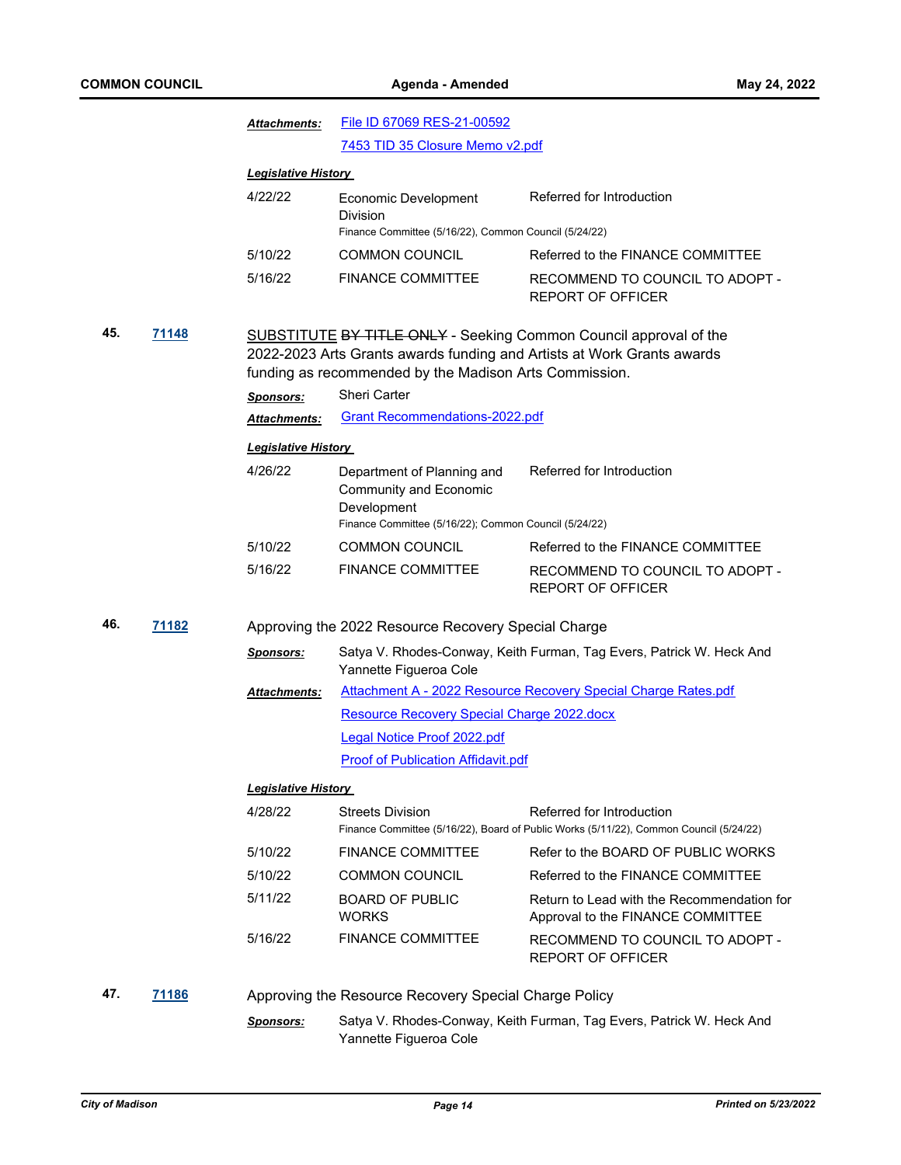|     |       | <b>Attachments:</b>                                                                                                                                                                                          | File ID 67069 RES-21-00592                                                                |                                                                                                                     |  |  |
|-----|-------|--------------------------------------------------------------------------------------------------------------------------------------------------------------------------------------------------------------|-------------------------------------------------------------------------------------------|---------------------------------------------------------------------------------------------------------------------|--|--|
|     |       |                                                                                                                                                                                                              | 7453 TID 35 Closure Memo v2.pdf                                                           |                                                                                                                     |  |  |
|     |       | <b>Legislative History</b>                                                                                                                                                                                   |                                                                                           |                                                                                                                     |  |  |
|     |       | 4/22/22                                                                                                                                                                                                      | Economic Development<br>Division<br>Finance Committee (5/16/22), Common Council (5/24/22) | Referred for Introduction                                                                                           |  |  |
|     |       | 5/10/22                                                                                                                                                                                                      | <b>COMMON COUNCIL</b>                                                                     | Referred to the FINANCE COMMITTEE                                                                                   |  |  |
|     |       | 5/16/22                                                                                                                                                                                                      | <b>FINANCE COMMITTEE</b>                                                                  | RECOMMEND TO COUNCIL TO ADOPT -<br><b>REPORT OF OFFICER</b>                                                         |  |  |
| 45. | 71148 | <b>SUBSTITUTE BY TITLE ONLY - Seeking Common Council approval of the</b><br>2022-2023 Arts Grants awards funding and Artists at Work Grants awards<br>funding as recommended by the Madison Arts Commission. |                                                                                           |                                                                                                                     |  |  |
|     |       | <b>Sponsors:</b>                                                                                                                                                                                             | <b>Sheri Carter</b>                                                                       |                                                                                                                     |  |  |
|     |       | <b>Attachments:</b>                                                                                                                                                                                          | <b>Grant Recommendations-2022.pdf</b>                                                     |                                                                                                                     |  |  |
|     |       | <b>Legislative History</b>                                                                                                                                                                                   |                                                                                           |                                                                                                                     |  |  |
|     |       | 4/26/22                                                                                                                                                                                                      | Department of Planning and<br><b>Community and Economic</b><br>Development                | Referred for Introduction                                                                                           |  |  |
|     |       |                                                                                                                                                                                                              | Finance Committee (5/16/22); Common Council (5/24/22)                                     |                                                                                                                     |  |  |
|     |       | 5/10/22                                                                                                                                                                                                      | <b>COMMON COUNCIL</b>                                                                     | Referred to the FINANCE COMMITTEE                                                                                   |  |  |
|     |       | 5/16/22                                                                                                                                                                                                      | <b>FINANCE COMMITTEE</b>                                                                  | RECOMMEND TO COUNCIL TO ADOPT -<br><b>REPORT OF OFFICER</b>                                                         |  |  |
| 46. | 71182 |                                                                                                                                                                                                              | Approving the 2022 Resource Recovery Special Charge                                       |                                                                                                                     |  |  |
|     |       | <b>Sponsors:</b>                                                                                                                                                                                             | Yannette Figueroa Cole                                                                    | Satya V. Rhodes-Conway, Keith Furman, Tag Evers, Patrick W. Heck And                                                |  |  |
|     |       | <u> Attachments:</u>                                                                                                                                                                                         |                                                                                           | Attachment A - 2022 Resource Recovery Special Charge Rates.pdf                                                      |  |  |
|     |       |                                                                                                                                                                                                              | <b>Resource Recovery Special Charge 2022.docx</b>                                         |                                                                                                                     |  |  |
|     |       |                                                                                                                                                                                                              | <b>Legal Notice Proof 2022.pdf</b>                                                        |                                                                                                                     |  |  |
|     |       |                                                                                                                                                                                                              | <b>Proof of Publication Affidavit.pdf</b>                                                 |                                                                                                                     |  |  |
|     |       | <u> Legislative History </u>                                                                                                                                                                                 |                                                                                           |                                                                                                                     |  |  |
|     |       | 4/28/22                                                                                                                                                                                                      | <b>Streets Division</b>                                                                   | Referred for Introduction<br>Finance Committee (5/16/22), Board of Public Works (5/11/22), Common Council (5/24/22) |  |  |
|     |       | 5/10/22                                                                                                                                                                                                      | <b>FINANCE COMMITTEE</b>                                                                  | Refer to the BOARD OF PUBLIC WORKS                                                                                  |  |  |
|     |       | 5/10/22                                                                                                                                                                                                      | <b>COMMON COUNCIL</b>                                                                     | Referred to the FINANCE COMMITTEE                                                                                   |  |  |
|     |       | 5/11/22                                                                                                                                                                                                      | <b>BOARD OF PUBLIC</b><br>WORKS                                                           | Return to Lead with the Recommendation for<br>Approval to the FINANCE COMMITTEE                                     |  |  |
|     |       | 5/16/22                                                                                                                                                                                                      | <b>FINANCE COMMITTEE</b>                                                                  | RECOMMEND TO COUNCIL TO ADOPT -<br><b>REPORT OF OFFICER</b>                                                         |  |  |
|     |       |                                                                                                                                                                                                              |                                                                                           |                                                                                                                     |  |  |
| 47. | 71186 |                                                                                                                                                                                                              | Approving the Resource Recovery Special Charge Policy                                     |                                                                                                                     |  |  |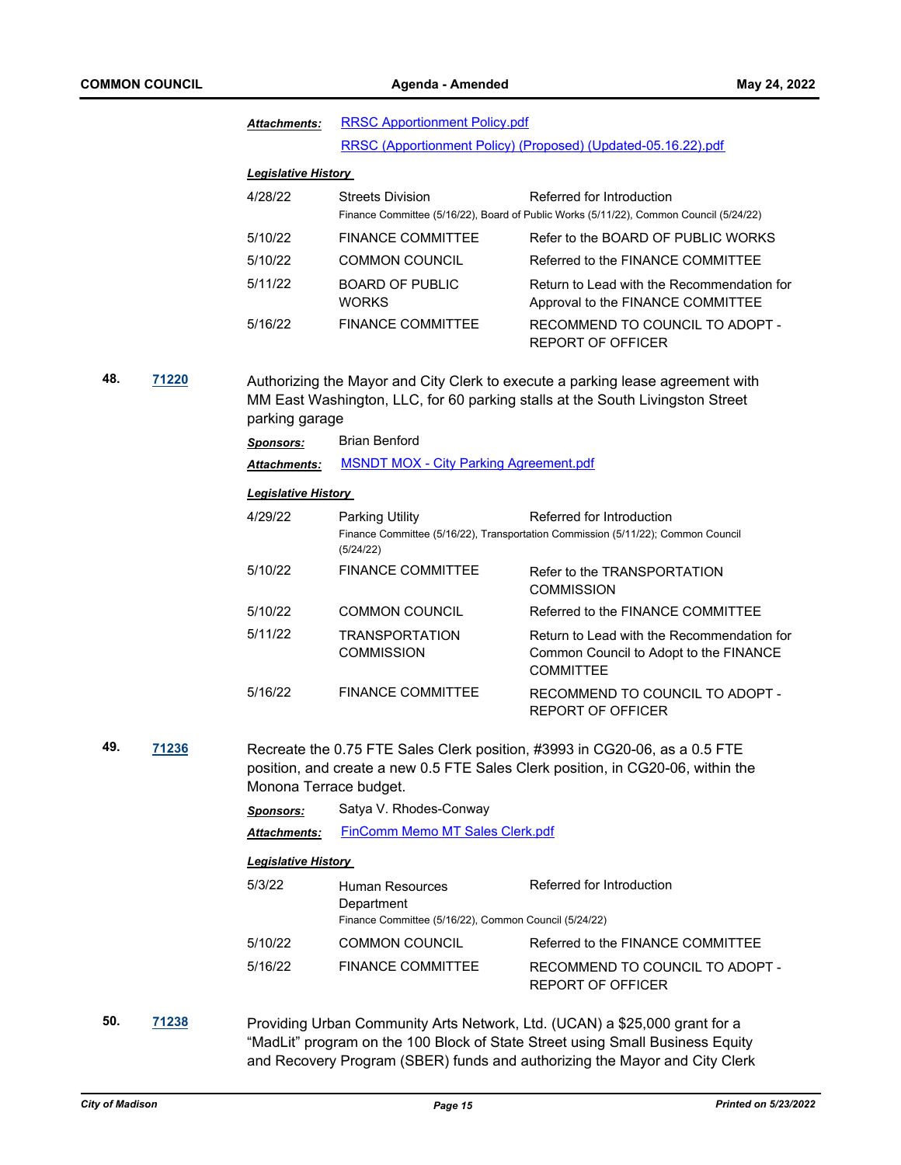|              |       | <b>Attachments:</b>                                                                                                                                                               | <b>RRSC Apportionment Policy.pdf</b>                                                          |                                                                                                                                                               |  |  |
|--------------|-------|-----------------------------------------------------------------------------------------------------------------------------------------------------------------------------------|-----------------------------------------------------------------------------------------------|---------------------------------------------------------------------------------------------------------------------------------------------------------------|--|--|
|              |       |                                                                                                                                                                                   |                                                                                               | RRSC (Apportionment Policy) (Proposed) (Updated-05.16.22).pdf                                                                                                 |  |  |
|              |       | <b>Legislative History</b>                                                                                                                                                        |                                                                                               |                                                                                                                                                               |  |  |
|              |       | 4/28/22                                                                                                                                                                           | <b>Streets Division</b>                                                                       | Referred for Introduction<br>Finance Committee (5/16/22), Board of Public Works (5/11/22), Common Council (5/24/22)                                           |  |  |
|              |       | 5/10/22                                                                                                                                                                           | <b>FINANCE COMMITTEE</b>                                                                      | Refer to the BOARD OF PUBLIC WORKS                                                                                                                            |  |  |
|              |       | 5/10/22                                                                                                                                                                           | <b>COMMON COUNCIL</b>                                                                         | Referred to the FINANCE COMMITTEE                                                                                                                             |  |  |
|              |       | 5/11/22                                                                                                                                                                           | <b>BOARD OF PUBLIC</b><br><b>WORKS</b>                                                        | Return to Lead with the Recommendation for<br>Approval to the FINANCE COMMITTEE                                                                               |  |  |
|              |       | 5/16/22                                                                                                                                                                           | <b>FINANCE COMMITTEE</b>                                                                      | RECOMMEND TO COUNCIL TO ADOPT -<br><b>REPORT OF OFFICER</b>                                                                                                   |  |  |
| 48.<br>71220 |       | Authorizing the Mayor and City Clerk to execute a parking lease agreement with<br>MM East Washington, LLC, for 60 parking stalls at the South Livingston Street<br>parking garage |                                                                                               |                                                                                                                                                               |  |  |
|              |       | <b>Sponsors:</b>                                                                                                                                                                  | <b>Brian Benford</b>                                                                          |                                                                                                                                                               |  |  |
|              |       | <b>Attachments:</b>                                                                                                                                                               | <b>MSNDT MOX - City Parking Agreement.pdf</b>                                                 |                                                                                                                                                               |  |  |
|              |       | <b>Legislative History</b>                                                                                                                                                        |                                                                                               |                                                                                                                                                               |  |  |
|              |       | 4/29/22                                                                                                                                                                           | Parking Utility<br>(5/24/22)                                                                  | Referred for Introduction<br>Finance Committee (5/16/22), Transportation Commission (5/11/22); Common Council                                                 |  |  |
|              |       | 5/10/22                                                                                                                                                                           | <b>FINANCE COMMITTEE</b>                                                                      | Refer to the TRANSPORTATION<br><b>COMMISSION</b>                                                                                                              |  |  |
|              |       | 5/10/22                                                                                                                                                                           | <b>COMMON COUNCIL</b>                                                                         | Referred to the FINANCE COMMITTEE                                                                                                                             |  |  |
|              |       | 5/11/22                                                                                                                                                                           | TRANSPORTATION<br><b>COMMISSION</b>                                                           | Return to Lead with the Recommendation for<br>Common Council to Adopt to the FINANCE<br><b>COMMITTEE</b>                                                      |  |  |
|              |       | 5/16/22                                                                                                                                                                           | <b>FINANCE COMMITTEE</b>                                                                      | RECOMMEND TO COUNCIL TO ADOPT -<br><b>REPORT OF OFFICER</b>                                                                                                   |  |  |
| 49.          | 71236 | Monona Terrace budget.                                                                                                                                                            |                                                                                               | Recreate the 0.75 FTE Sales Clerk position, #3993 in CG20-06, as a 0.5 FTE<br>position, and create a new 0.5 FTE Sales Clerk position, in CG20-06, within the |  |  |
|              |       | Sponsors:                                                                                                                                                                         | Satya V. Rhodes-Conway                                                                        |                                                                                                                                                               |  |  |
|              |       | <b>Attachments:</b>                                                                                                                                                               | FinComm Memo MT Sales Clerk.pdf                                                               |                                                                                                                                                               |  |  |
|              |       | <b>Legislative History</b>                                                                                                                                                        |                                                                                               |                                                                                                                                                               |  |  |
|              |       | 5/3/22                                                                                                                                                                            | <b>Human Resources</b><br>Department<br>Finance Committee (5/16/22), Common Council (5/24/22) | Referred for Introduction                                                                                                                                     |  |  |
|              |       | 5/10/22                                                                                                                                                                           | <b>COMMON COUNCIL</b>                                                                         | Referred to the FINANCE COMMITTEE                                                                                                                             |  |  |
|              |       | 5/16/22                                                                                                                                                                           | <b>FINANCE COMMITTEE</b>                                                                      | RECOMMEND TO COUNCIL TO ADOPT -<br><b>REPORT OF OFFICER</b>                                                                                                   |  |  |
| 50.          | 71238 |                                                                                                                                                                                   |                                                                                               | Providing Urban Community Arts Network, Ltd. (UCAN) a \$25,000 grant for a<br>"MadLit" program on the 100 Block of State Street using Small Business Equity   |  |  |

and Recovery Program (SBER) funds and authorizing the Mayor and City Clerk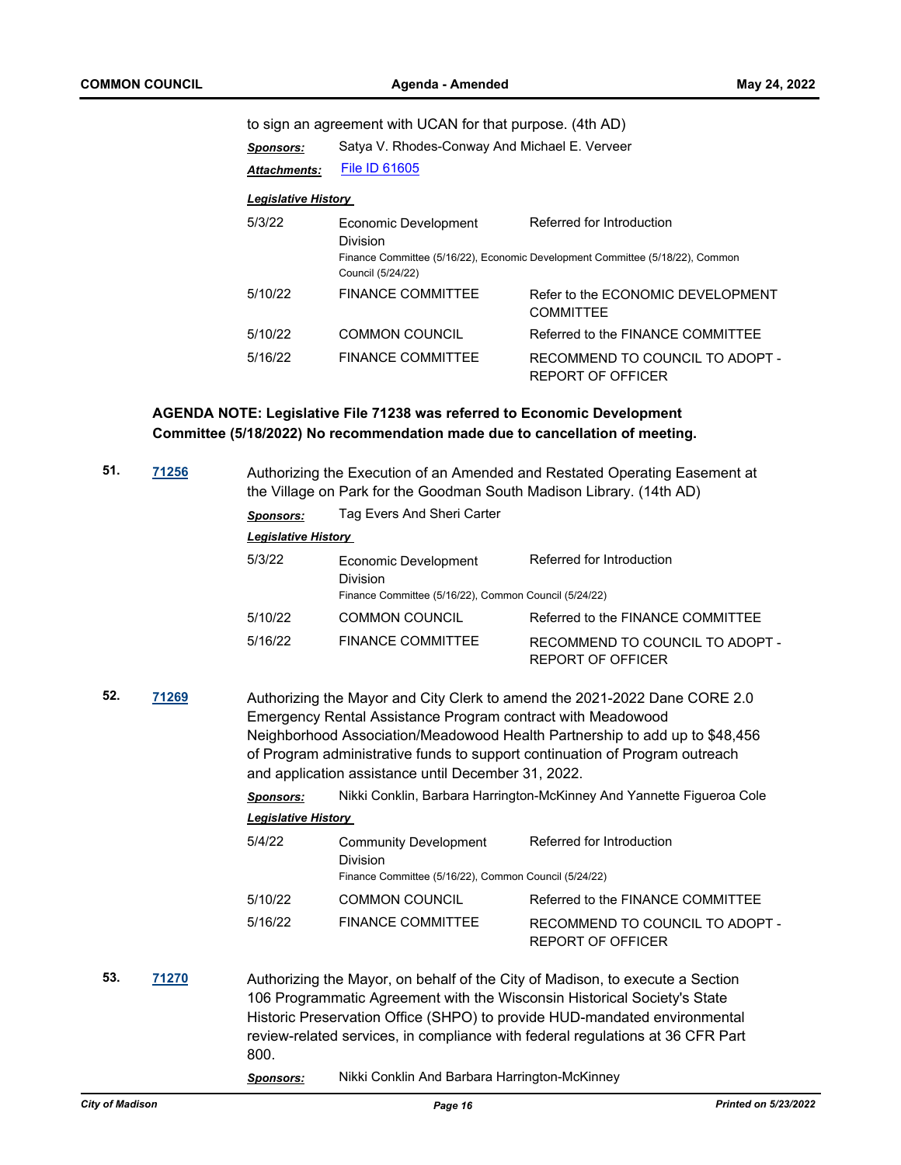to sign an agreement with UCAN for that purpose. (4th AD)

| Sponsors:                  | Satya V. Rhodes-Conway And Michael E. Verveer         |                                                                                                            |  |  |  |
|----------------------------|-------------------------------------------------------|------------------------------------------------------------------------------------------------------------|--|--|--|
| Attachments:               | <b>File ID 61605</b>                                  |                                                                                                            |  |  |  |
| <b>Legislative History</b> |                                                       |                                                                                                            |  |  |  |
| 5/3/22                     | Economic Development<br>Division<br>Council (5/24/22) | Referred for Introduction<br>Finance Committee (5/16/22), Economic Development Committee (5/18/22), Common |  |  |  |
| 5/10/22                    | <b>FINANCE COMMITTEE</b>                              | Refer to the FCONOMIC DEVELOPMENT<br><b>COMMITTEE</b>                                                      |  |  |  |
| 5/10/22                    | <b>COMMON COUNCIL</b>                                 | Referred to the FINANCE COMMITTEE                                                                          |  |  |  |
| 5/16/22                    | <b>FINANCE COMMITTEE</b>                              | RECOMMEND TO COUNCIL TO ADOPT -<br>REPORT OF OFFICER                                                       |  |  |  |

**AGENDA NOTE: Legislative File 71238 was referred to Economic Development Committee (5/18/2022) No recommendation made due to cancellation of meeting.**

| 51. | 71256 | Authorizing the Execution of an Amended and Restated Operating Easement at<br>the Village on Park for the Goodman South Madison Library. (14th AD)                                                                                                                                                                                                            |                                                                                                  |                                                                                                                                                                                                                                                                                                                          |  |  |
|-----|-------|---------------------------------------------------------------------------------------------------------------------------------------------------------------------------------------------------------------------------------------------------------------------------------------------------------------------------------------------------------------|--------------------------------------------------------------------------------------------------|--------------------------------------------------------------------------------------------------------------------------------------------------------------------------------------------------------------------------------------------------------------------------------------------------------------------------|--|--|
|     |       | <b>Sponsors:</b>                                                                                                                                                                                                                                                                                                                                              | Tag Evers And Sheri Carter                                                                       |                                                                                                                                                                                                                                                                                                                          |  |  |
|     |       | <b>Legislative History</b>                                                                                                                                                                                                                                                                                                                                    |                                                                                                  |                                                                                                                                                                                                                                                                                                                          |  |  |
|     |       | 5/3/22                                                                                                                                                                                                                                                                                                                                                        | Economic Development<br><b>Division</b><br>Finance Committee (5/16/22), Common Council (5/24/22) | Referred for Introduction                                                                                                                                                                                                                                                                                                |  |  |
|     |       | 5/10/22                                                                                                                                                                                                                                                                                                                                                       | <b>COMMON COUNCIL</b>                                                                            | Referred to the FINANCE COMMITTEE                                                                                                                                                                                                                                                                                        |  |  |
|     |       | 5/16/22                                                                                                                                                                                                                                                                                                                                                       | <b>FINANCE COMMITTEE</b>                                                                         | RECOMMEND TO COUNCIL TO ADOPT -<br><b>REPORT OF OFFICER</b>                                                                                                                                                                                                                                                              |  |  |
| 52. | 71269 | Authorizing the Mayor and City Clerk to amend the 2021-2022 Dane CORE 2.0<br>Emergency Rental Assistance Program contract with Meadowood<br>Neighborhood Association/Meadowood Health Partnership to add up to \$48,456<br>of Program administrative funds to support continuation of Program outreach<br>and application assistance until December 31, 2022. |                                                                                                  |                                                                                                                                                                                                                                                                                                                          |  |  |
|     |       | <b>Sponsors:</b>                                                                                                                                                                                                                                                                                                                                              |                                                                                                  | Nikki Conklin, Barbara Harrington-McKinney And Yannette Figueroa Cole                                                                                                                                                                                                                                                    |  |  |
|     |       | <b>Legislative History</b>                                                                                                                                                                                                                                                                                                                                    |                                                                                                  |                                                                                                                                                                                                                                                                                                                          |  |  |
|     |       | 5/4/22                                                                                                                                                                                                                                                                                                                                                        | <b>Community Development</b><br><b>Division</b>                                                  | Referred for Introduction                                                                                                                                                                                                                                                                                                |  |  |
|     |       |                                                                                                                                                                                                                                                                                                                                                               | Finance Committee (5/16/22), Common Council (5/24/22)                                            |                                                                                                                                                                                                                                                                                                                          |  |  |
|     |       | 5/10/22                                                                                                                                                                                                                                                                                                                                                       | <b>COMMON COUNCIL</b>                                                                            | Referred to the FINANCE COMMITTEE                                                                                                                                                                                                                                                                                        |  |  |
|     |       | 5/16/22                                                                                                                                                                                                                                                                                                                                                       | <b>FINANCE COMMITTEE</b>                                                                         | RECOMMEND TO COUNCIL TO ADOPT -<br><b>REPORT OF OFFICER</b>                                                                                                                                                                                                                                                              |  |  |
| 53. | 71270 | 800.<br><u>Sponsors:</u>                                                                                                                                                                                                                                                                                                                                      | Nikki Conklin And Barbara Harrington-McKinney                                                    | Authorizing the Mayor, on behalf of the City of Madison, to execute a Section<br>106 Programmatic Agreement with the Wisconsin Historical Society's State<br>Historic Preservation Office (SHPO) to provide HUD-mandated environmental<br>review-related services, in compliance with federal regulations at 36 CFR Part |  |  |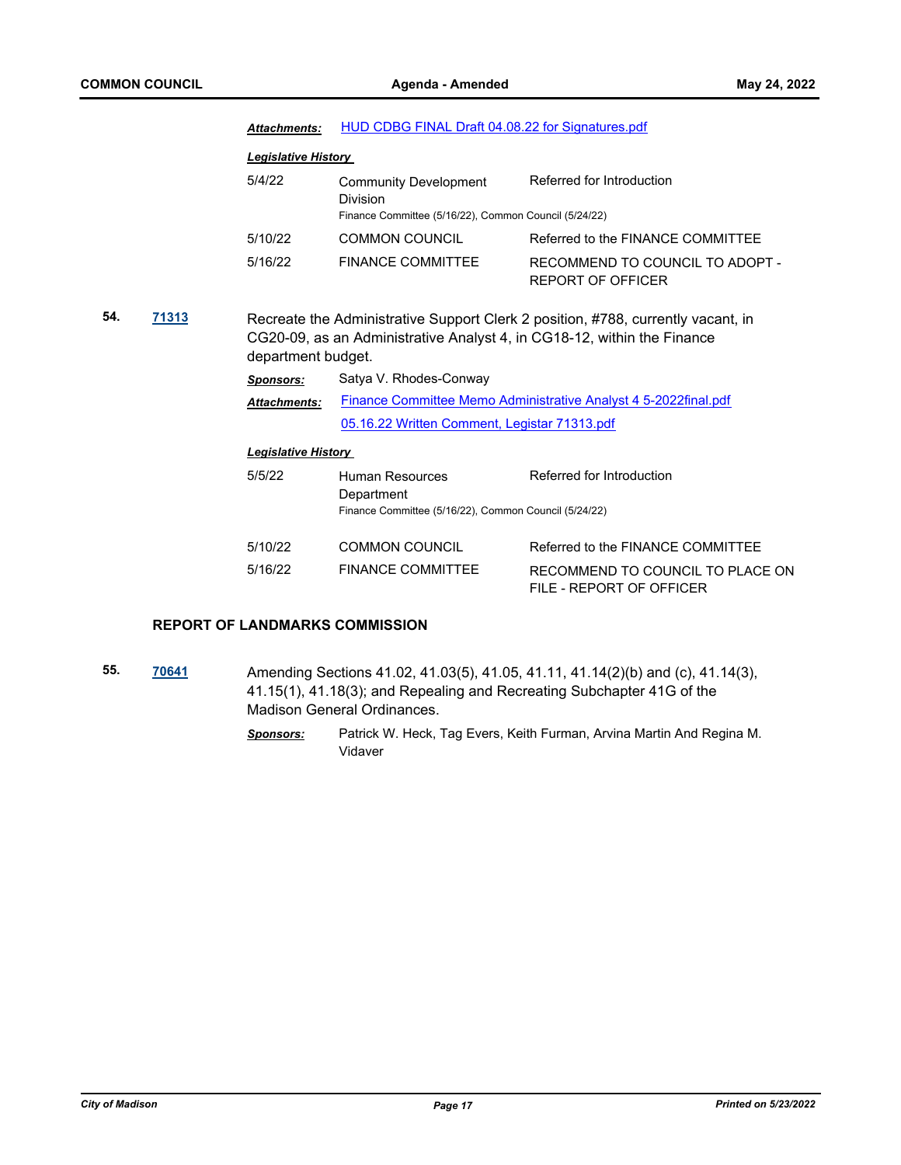|     |       | <b>Attachments:</b>                                                                                                                                                               | HUD CDBG FINAL Draft 04.08.22 for Signatures.pdf                                                         |                                                              |  |  |
|-----|-------|-----------------------------------------------------------------------------------------------------------------------------------------------------------------------------------|----------------------------------------------------------------------------------------------------------|--------------------------------------------------------------|--|--|
|     |       | <b>Legislative History</b>                                                                                                                                                        |                                                                                                          |                                                              |  |  |
|     |       | 5/4/22                                                                                                                                                                            | <b>Community Development</b><br><b>Division</b><br>Finance Committee (5/16/22), Common Council (5/24/22) | Referred for Introduction                                    |  |  |
|     |       | 5/10/22                                                                                                                                                                           | <b>COMMON COUNCIL</b>                                                                                    | Referred to the FINANCE COMMITTEE                            |  |  |
|     |       | 5/16/22                                                                                                                                                                           | <b>FINANCE COMMITTEE</b>                                                                                 | RECOMMEND TO COUNCIL TO ADOPT -<br><b>REPORT OF OFFICER</b>  |  |  |
| 54. | 71313 | Recreate the Administrative Support Clerk 2 position, #788, currently vacant, in<br>CG20-09, as an Administrative Analyst 4, in CG18-12, within the Finance<br>department budget. |                                                                                                          |                                                              |  |  |
|     |       | <b>Sponsors:</b>                                                                                                                                                                  | Satya V. Rhodes-Conway                                                                                   |                                                              |  |  |
|     |       | <b>Attachments:</b>                                                                                                                                                               | Finance Committee Memo Administrative Analyst 4 5-2022 final.pdf                                         |                                                              |  |  |
|     |       |                                                                                                                                                                                   | 05.16.22 Written Comment, Legistar 71313.pdf                                                             |                                                              |  |  |
|     |       | <b>Legislative History</b>                                                                                                                                                        |                                                                                                          |                                                              |  |  |
|     |       | 5/5/22                                                                                                                                                                            | Human Resources<br>Department                                                                            | Referred for Introduction                                    |  |  |
|     |       |                                                                                                                                                                                   | Finance Committee (5/16/22), Common Council (5/24/22)                                                    |                                                              |  |  |
|     |       | 5/10/22                                                                                                                                                                           | <b>COMMON COUNCIL</b>                                                                                    | Referred to the FINANCE COMMITTEE                            |  |  |
|     |       | 5/16/22                                                                                                                                                                           | <b>FINANCE COMMITTEE</b>                                                                                 | RECOMMEND TO COUNCIL TO PLACE ON<br>FILE - REPORT OF OFFICER |  |  |
|     |       |                                                                                                                                                                                   |                                                                                                          |                                                              |  |  |

## **REPORT OF LANDMARKS COMMISSION**

- **55. [70641](http://madison.legistar.com/gateway.aspx?m=l&id=/matter.aspx?key=82672)** Amending Sections 41.02, 41.03(5), 41.05, 41.11, 41.14(2)(b) and (c), 41.14(3), 41.15(1), 41.18(3); and Repealing and Recreating Subchapter 41G of the Madison General Ordinances.
	- *Sponsors:* Patrick W. Heck, Tag Evers, Keith Furman, Arvina Martin And Regina M. Vidaver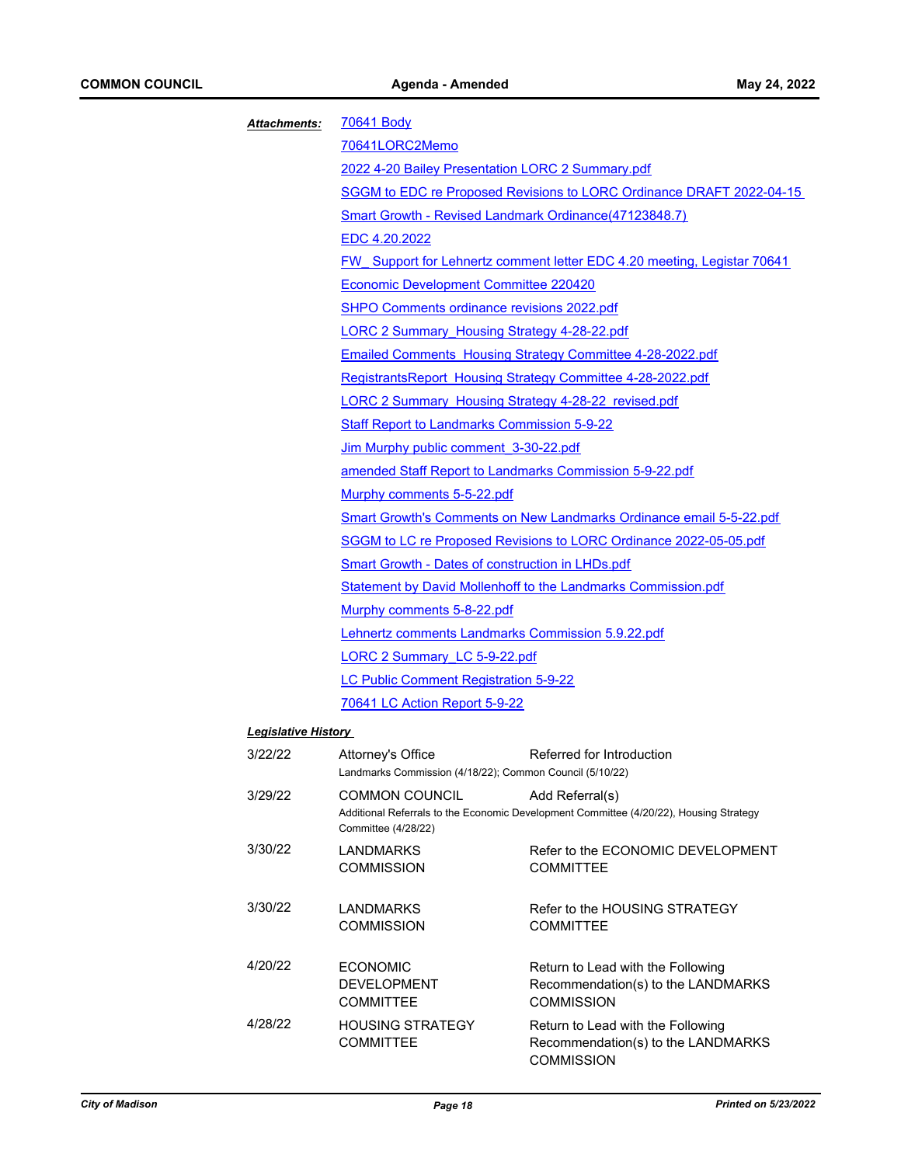| Attachments:               | <b>70641 Body</b>                                                                     |                                                                                                           |  |  |  |
|----------------------------|---------------------------------------------------------------------------------------|-----------------------------------------------------------------------------------------------------------|--|--|--|
|                            | 70641LORC2Memo                                                                        |                                                                                                           |  |  |  |
|                            | 2022 4-20 Bailey Presentation LORC 2 Summary.pdf                                      |                                                                                                           |  |  |  |
|                            |                                                                                       | SGGM to EDC re Proposed Revisions to LORC Ordinance DRAFT 2022-04-15                                      |  |  |  |
|                            |                                                                                       | <b>Smart Growth - Revised Landmark Ordinance(47123848.7)</b>                                              |  |  |  |
|                            | EDC 4.20.2022                                                                         |                                                                                                           |  |  |  |
|                            |                                                                                       | <b>FW</b> Support for Lehnertz comment letter EDC 4.20 meeting, Legistar 70641                            |  |  |  |
|                            | Economic Development Committee 220420                                                 |                                                                                                           |  |  |  |
|                            |                                                                                       | SHPO Comments ordinance revisions 2022.pdf<br>LORC 2 Summary Housing Strategy 4-28-22.pdf                 |  |  |  |
|                            |                                                                                       |                                                                                                           |  |  |  |
|                            |                                                                                       | <b>Emailed Comments Housing Strategy Committee 4-28-2022.pdf</b>                                          |  |  |  |
|                            |                                                                                       | RegistrantsReport Housing Strategy Committee 4-28-2022.pdf                                                |  |  |  |
|                            |                                                                                       | <b>LORC 2 Summary Housing Strategy 4-28-22 revised.pdf</b>                                                |  |  |  |
|                            | <b>Staff Report to Landmarks Commission 5-9-22</b>                                    |                                                                                                           |  |  |  |
|                            |                                                                                       | Jim Murphy public comment 3-30-22.pdf                                                                     |  |  |  |
|                            | amended Staff Report to Landmarks Commission 5-9-22.pdf<br>Murphy comments 5-5-22.pdf |                                                                                                           |  |  |  |
|                            |                                                                                       |                                                                                                           |  |  |  |
|                            |                                                                                       | Smart Growth's Comments on New Landmarks Ordinance email 5-5-22.pdf                                       |  |  |  |
|                            |                                                                                       | SGGM to LC re Proposed Revisions to LORC Ordinance 2022-05-05.pdf                                         |  |  |  |
|                            | <b>Smart Growth - Dates of construction in LHDs.pdf</b>                               |                                                                                                           |  |  |  |
|                            |                                                                                       | <b>Statement by David Mollenhoff to the Landmarks Commission.pdf</b>                                      |  |  |  |
|                            | Murphy comments 5-8-22.pdf                                                            |                                                                                                           |  |  |  |
|                            |                                                                                       | <b>Lehnertz comments Landmarks Commission 5.9.22.pdf</b>                                                  |  |  |  |
|                            | LORC 2 Summary LC 5-9-22.pdf                                                          |                                                                                                           |  |  |  |
|                            | <b>LC Public Comment Registration 5-9-22</b>                                          |                                                                                                           |  |  |  |
|                            | 70641 LC Action Report 5-9-22                                                         |                                                                                                           |  |  |  |
| <b>Legislative History</b> |                                                                                       |                                                                                                           |  |  |  |
| 3/22/22                    | Attorney's Office<br>Landmarks Commission (4/18/22); Common Council (5/10/22)         | Referred for Introduction                                                                                 |  |  |  |
| 3/29/22                    | <b>COMMON COUNCIL</b><br>Committee (4/28/22)                                          | Add Referral(s)<br>Additional Referrals to the Economic Development Committee (4/20/22), Housing Strategy |  |  |  |
| 3/30/22                    | LANDMARKS<br><b>COMMISSION</b>                                                        | Refer to the ECONOMIC DEVELOPMENT<br><b>COMMITTEE</b>                                                     |  |  |  |
| 3/30/22                    | <b>LANDMARKS</b><br><b>COMMISSION</b>                                                 | Refer to the HOUSING STRATEGY<br><b>COMMITTEE</b>                                                         |  |  |  |
| 4/20/22                    | <b>ECONOMIC</b><br><b>DEVELOPMENT</b>                                                 | Return to Lead with the Following<br>Recommendation(s) to the LANDMARKS                                   |  |  |  |

COMMITTEE

COMMISSION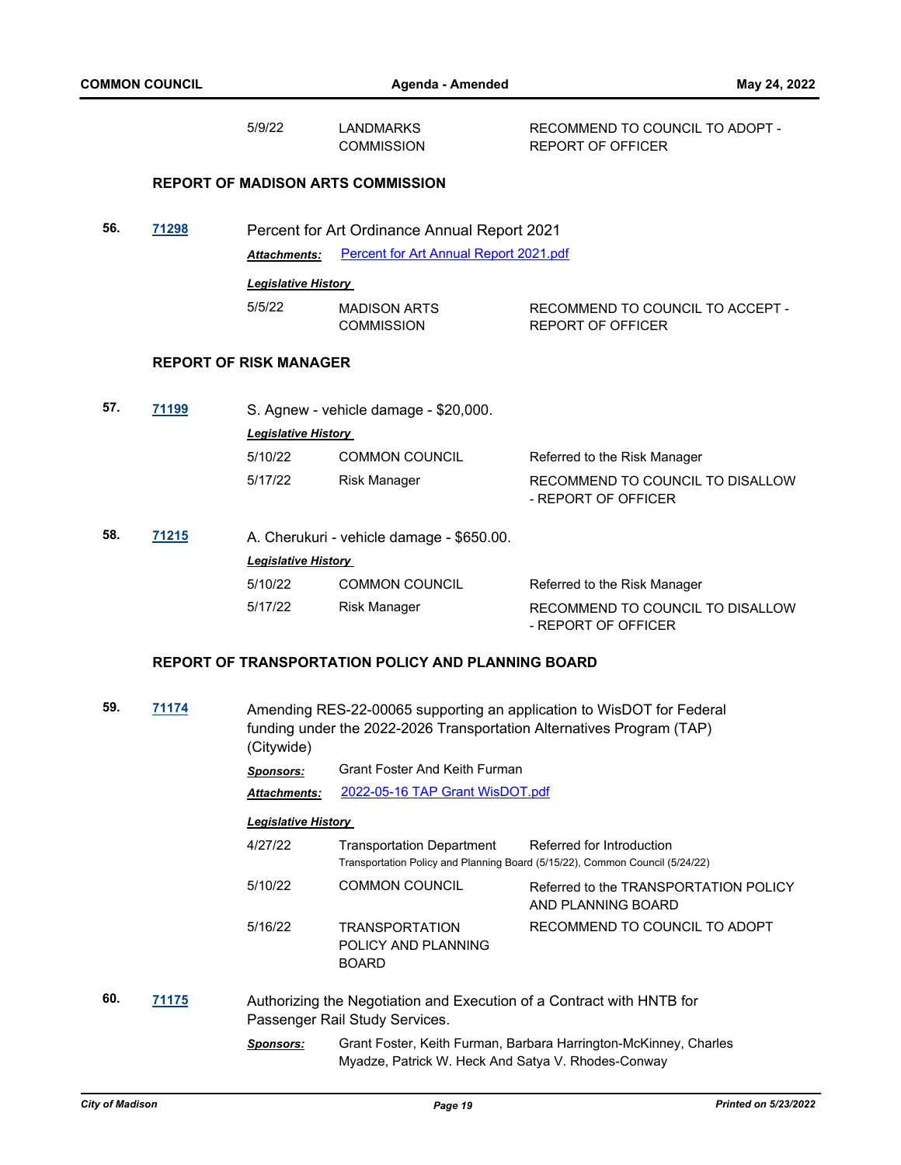|     |              | 5/9/22                        | <b>LANDMARKS</b><br><b>COMMISSION</b>                                                                   | RECOMMEND TO COUNCIL TO ADOPT -<br><b>REPORT OF OFFICER</b>                                               |
|-----|--------------|-------------------------------|---------------------------------------------------------------------------------------------------------|-----------------------------------------------------------------------------------------------------------|
|     |              |                               | <b>REPORT OF MADISON ARTS COMMISSION</b>                                                                |                                                                                                           |
| 56. | 71298        |                               | Percent for Art Ordinance Annual Report 2021                                                            |                                                                                                           |
|     |              | <b>Attachments:</b>           | Percent for Art Annual Report 2021.pdf                                                                  |                                                                                                           |
|     |              | <b>Legislative History</b>    |                                                                                                         |                                                                                                           |
|     |              | 5/5/22                        | <b>MADISON ARTS</b><br><b>COMMISSION</b>                                                                | RECOMMEND TO COUNCIL TO ACCEPT -<br><b>REPORT OF OFFICER</b>                                              |
|     |              | <b>REPORT OF RISK MANAGER</b> |                                                                                                         |                                                                                                           |
| 57. | 71199        |                               | S. Agnew - vehicle damage - \$20,000.                                                                   |                                                                                                           |
|     |              | <b>Legislative History</b>    |                                                                                                         |                                                                                                           |
|     |              | 5/10/22                       | <b>COMMON COUNCIL</b>                                                                                   | Referred to the Risk Manager                                                                              |
|     |              | 5/17/22                       | <b>Risk Manager</b>                                                                                     | RECOMMEND TO COUNCIL TO DISALLOW<br>- REPORT OF OFFICER                                                   |
| 58. | <u>71215</u> |                               | A. Cherukuri - vehicle damage - \$650.00.                                                               |                                                                                                           |
|     |              | <b>Legislative History</b>    |                                                                                                         |                                                                                                           |
|     |              | 5/10/22                       | <b>COMMON COUNCIL</b>                                                                                   | Referred to the Risk Manager                                                                              |
|     |              | 5/17/22                       | <b>Risk Manager</b>                                                                                     | RECOMMEND TO COUNCIL TO DISALLOW<br>- REPORT OF OFFICER                                                   |
|     |              |                               | REPORT OF TRANSPORTATION POLICY AND PLANNING BOARD                                                      |                                                                                                           |
| 59. | 71174        | (Citywide)                    | funding under the 2022-2026 Transportation Alternatives Program (TAP)                                   | Amending RES-22-00065 supporting an application to WisDOT for Federal                                     |
|     |              |                               | <b>Sponsors:</b> Grant Foster And Keith Furman                                                          |                                                                                                           |
|     |              | <u> Attachments:</u>          | 2022-05-16 TAP Grant WisDOT.pdf                                                                         |                                                                                                           |
|     |              | <b>Legislative History</b>    |                                                                                                         |                                                                                                           |
|     |              | 4/27/22                       | <b>Transportation Department</b>                                                                        | Referred for Introduction<br>Transportation Policy and Planning Board (5/15/22), Common Council (5/24/22) |
|     |              | 5/10/22                       | <b>COMMON COUNCIL</b>                                                                                   | Referred to the TRANSPORTATION POLICY<br>AND PLANNING BOARD                                               |
|     |              | 5/16/22                       | <b>TRANSPORTATION</b><br>POLICY AND PLANNING<br><b>BOARD</b>                                            | RECOMMEND TO COUNCIL TO ADOPT                                                                             |
| 60. | 71175        |                               | Authorizing the Negotiation and Execution of a Contract with HNTB for<br>Passenger Rail Study Services. |                                                                                                           |
|     |              | <b>Sponsors:</b>              | Myadze, Patrick W. Heck And Satya V. Rhodes-Conway                                                      | Grant Foster, Keith Furman, Barbara Harrington-McKinney, Charles                                          |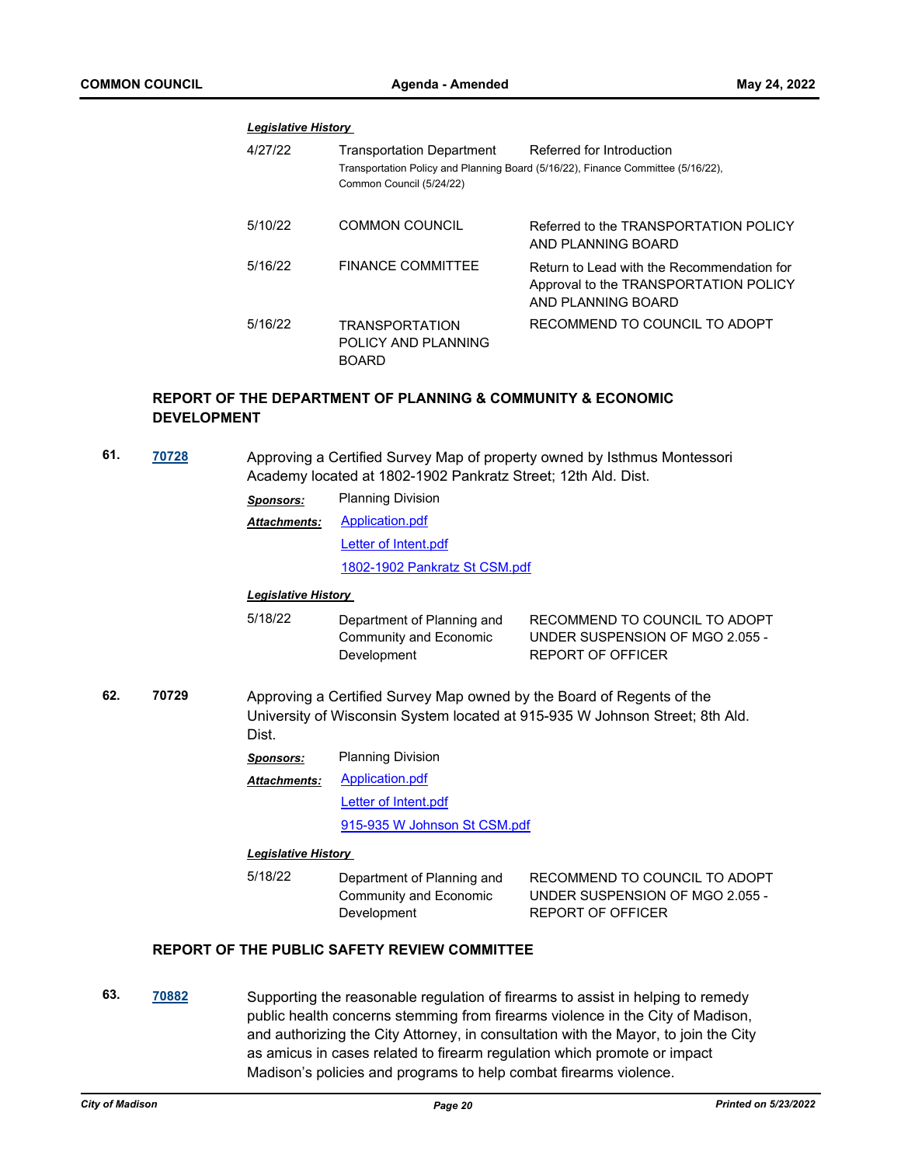#### *Legislative History*

| 4/27/22 | Transportation Department<br>Common Council (5/24/22)        | Referred for Introduction<br>Transportation Policy and Planning Board (5/16/22), Finance Committee (5/16/22), |
|---------|--------------------------------------------------------------|---------------------------------------------------------------------------------------------------------------|
| 5/10/22 | <b>COMMON COUNCIL</b>                                        | Referred to the TRANSPORTATION POLICY<br>AND PLANNING BOARD                                                   |
| 5/16/22 | <b>FINANCE COMMITTEE</b>                                     | Return to Lead with the Recommendation for<br>Approval to the TRANSPORTATION POLICY<br>AND PLANNING BOARD     |
| 5/16/22 | <b>TRANSPORTATION</b><br>POLICY AND PLANNING<br><b>BOARD</b> | RECOMMEND TO COUNCIL TO ADOPT                                                                                 |

# **REPORT OF THE DEPARTMENT OF PLANNING & COMMUNITY & ECONOMIC DEVELOPMENT**

**61. [70728](http://madison.legistar.com/gateway.aspx?m=l&id=/matter.aspx?key=82742)** Approving a Certified Survey Map of property owned by Isthmus Montessori Academy located at 1802-1902 Pankratz Street; 12th Ald. Dist.

| Sponsors:           | <b>Planning Division</b>      |
|---------------------|-------------------------------|
| <b>Attachments:</b> | Application.pdf               |
|                     | Letter of Intent.pdf          |
|                     | 1802-1902 Pankratz St CSM.pdf |
|                     |                               |

#### *Legislative History*

- 5/18/22 Department of Planning and Community and Economic Development RECOMMEND TO COUNCIL TO ADOPT UNDER SUSPENSION OF MGO 2.055 - REPORT OF OFFICER
- **62. 70729** Approving a Certified Survey Map owned by the Board of Regents of the University of Wisconsin System located at 915-935 W Johnson Street; 8th Ald. Dist.

| <b>Planning Division</b><br><b>Sponsors:</b> |  |
|----------------------------------------------|--|
|----------------------------------------------|--|

[Application.pdf](http://madison.legistar.com/gateway.aspx?M=F&ID=d85ecb66-a985-44de-8356-7ac0494be5e6.pdf) [Letter of Intent.pdf](http://madison.legistar.com/gateway.aspx?M=F&ID=89db9580-e741-4e81-8867-551179a8e275.pdf) [915-935 W Johnson St CSM.pdf](http://madison.legistar.com/gateway.aspx?M=F&ID=be7e7127-bc4a-4cb4-9f47-5c55d7a17bde.pdf) *Attachments:*

#### *Legislative History*

5/18/22 Department of Planning and Community and Economic **Development** 

RECOMMEND TO COUNCIL TO ADOPT UNDER SUSPENSION OF MGO 2.055 - REPORT OF OFFICER

# **REPORT OF THE PUBLIC SAFETY REVIEW COMMITTEE**

**63. [70882](http://madison.legistar.com/gateway.aspx?m=l&id=/matter.aspx?key=82880)** Supporting the reasonable regulation of firearms to assist in helping to remedy public health concerns stemming from firearms violence in the City of Madison, and authorizing the City Attorney, in consultation with the Mayor, to join the City as amicus in cases related to firearm regulation which promote or impact Madison's policies and programs to help combat firearms violence.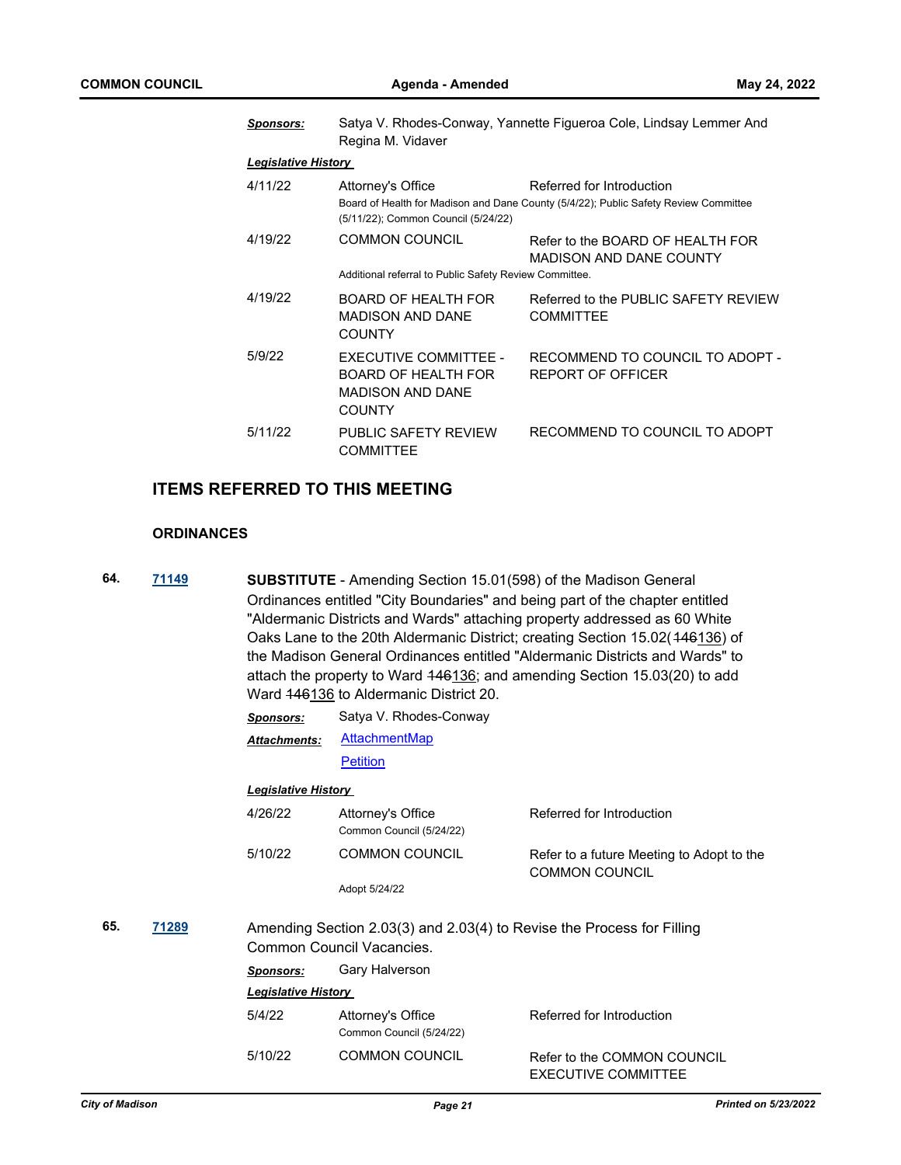| <b>Sponsors:</b>           | Satya V. Rhodes-Conway, Yannette Figueroa Cole, Lindsay Lemmer And<br>Regina M. Vidaver                                                                                       |                                                                    |  |  |  |
|----------------------------|-------------------------------------------------------------------------------------------------------------------------------------------------------------------------------|--------------------------------------------------------------------|--|--|--|
| <b>Legislative History</b> |                                                                                                                                                                               |                                                                    |  |  |  |
| 4/11/22                    | Referred for Introduction<br>Attorney's Office<br>Board of Health for Madison and Dane County (5/4/22); Public Safety Review Committee<br>(5/11/22); Common Council (5/24/22) |                                                                    |  |  |  |
| 4/19/22                    | <b>COMMON COUNCIL</b><br>Additional referral to Public Safety Review Committee.                                                                                               | Refer to the BOARD OF HEALTH FOR<br><b>MADISON AND DANE COUNTY</b> |  |  |  |
| 4/19/22                    | BOARD OF HEALTH FOR<br><b>MADISON AND DANE</b><br><b>COUNTY</b>                                                                                                               | Referred to the PUBLIC SAFETY REVIEW<br><b>COMMITTEE</b>           |  |  |  |
| 5/9/22                     | <b>EXECUTIVE COMMITTEE -</b><br><b>BOARD OF HEALTH FOR</b><br><b>MADISON AND DANE</b><br><b>COUNTY</b>                                                                        | RECOMMEND TO COUNCIL TO ADOPT -<br><b>REPORT OF OFFICER</b>        |  |  |  |
| 5/11/22                    | PUBLIC SAFETY REVIEW<br><b>COMMITTEE</b>                                                                                                                                      | RECOMMEND TO COUNCIL TO ADOPT                                      |  |  |  |

# **ITEMS REFERRED TO THIS MEETING**

## **ORDINANCES**

**64. [71149](http://madison.legistar.com/gateway.aspx?m=l&id=/matter.aspx?key=83100) SUBSTITUTE** - Amending Section 15.01(598) of the Madison General Ordinances entitled "City Boundaries" and being part of the chapter entitled "Aldermanic Districts and Wards" attaching property addressed as 60 White Oaks Lane to the 20th Aldermanic District; creating Section 15.02(446136) of the Madison General Ordinances entitled "Aldermanic Districts and Wards" to attach the property to Ward 446136; and amending Section 15.03(20) to add Ward  $146136$  to Aldermanic District 20.

|     |       | <b>Sponsors:</b>           | Satya V. Rhodes-Conway                                                                              |                                                                    |
|-----|-------|----------------------------|-----------------------------------------------------------------------------------------------------|--------------------------------------------------------------------|
|     |       | <b>Attachments:</b>        | <b>AttachmentMap</b>                                                                                |                                                                    |
|     |       |                            | <b>Petition</b>                                                                                     |                                                                    |
|     |       | <b>Legislative History</b> |                                                                                                     |                                                                    |
|     |       | 4/26/22                    | Attorney's Office<br>Common Council (5/24/22)                                                       | Referred for Introduction                                          |
|     |       | 5/10/22                    | <b>COMMON COUNCIL</b>                                                                               | Refer to a future Meeting to Adopt to the<br><b>COMMON COUNCIL</b> |
|     |       |                            | Adopt 5/24/22                                                                                       |                                                                    |
| 65. | 71289 |                            | Amending Section 2.03(3) and 2.03(4) to Revise the Process for Filling<br>Common Council Vacancies. |                                                                    |
|     |       | <b>Sponsors:</b>           | Gary Halverson                                                                                      |                                                                    |
|     |       | <b>Legislative History</b> |                                                                                                     |                                                                    |
|     |       | 5/4/22                     | Attorney's Office<br>Common Council (5/24/22)                                                       | Referred for Introduction                                          |
|     |       | 5/10/22                    | <b>COMMON COUNCIL</b>                                                                               | Refer to the COMMON COUNCIL<br>EXECUTIVE COMMITTEE                 |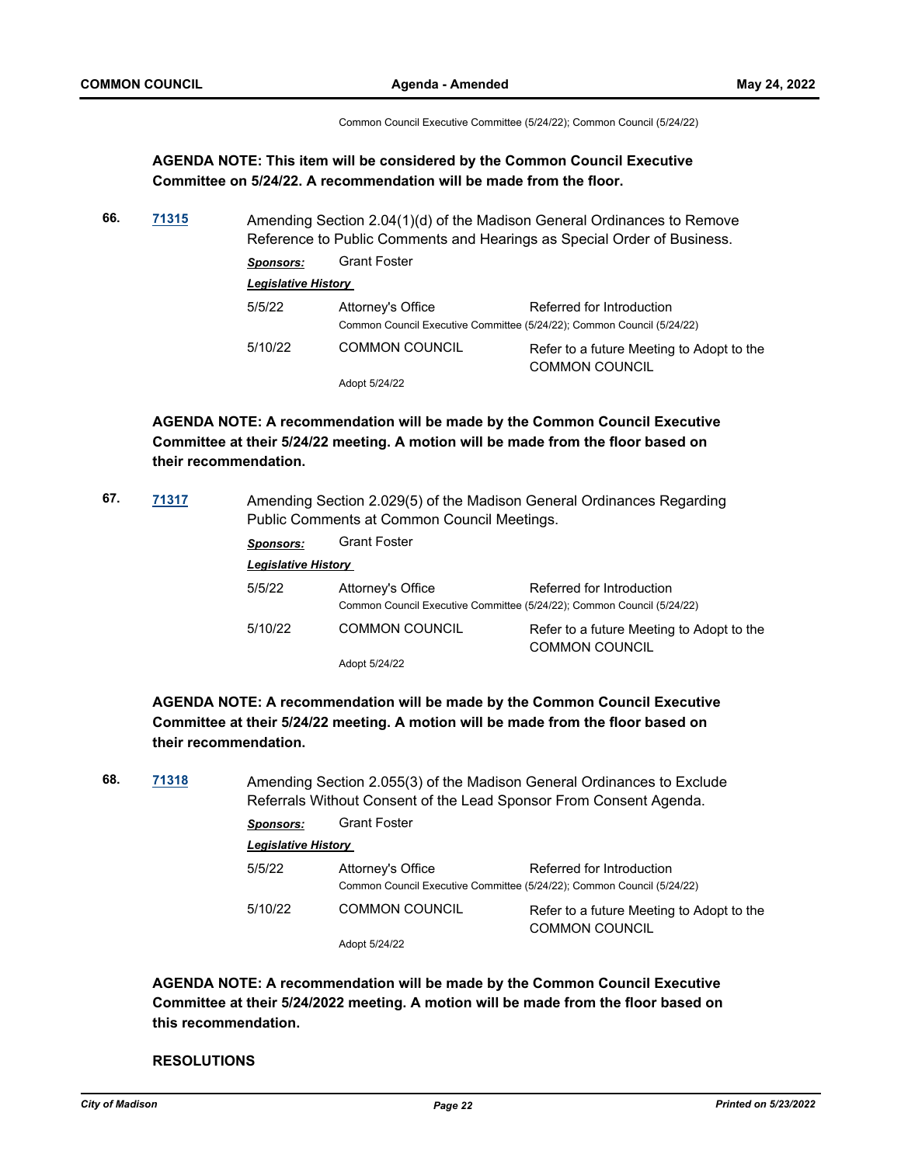Common Council Executive Committee (5/24/22); Common Council (5/24/22)

# **AGENDA NOTE: This item will be considered by the Common Council Executive Committee on 5/24/22. A recommendation will be made from the floor.**

**66. [71315](http://madison.legistar.com/gateway.aspx?m=l&id=/matter.aspx?key=83254)** Amending Section 2.04(1)(d) of the Madison General Ordinances to Remove Reference to Public Comments and Hearings as Special Order of Business. *Sponsors:* Grant Foster *Legislative History*  5/5/22 Attorney's Office Referred for Introduction Common Council Executive Committee (5/24/22); Common Council (5/24/22)

5/10/22 COMMON COUNCIL Refer to a future Meeting to Adopt to the COMMON COUNCIL Adopt 5/24/22

**AGENDA NOTE: A recommendation will be made by the Common Council Executive Committee at their 5/24/22 meeting. A motion will be made from the floor based on their recommendation.**

**67. [71317](http://madison.legistar.com/gateway.aspx?m=l&id=/matter.aspx?key=83256)** Amending Section 2.029(5) of the Madison General Ordinances Regarding Public Comments at Common Council Meetings.

| Sponsors: | <b>Grant Foster</b>                                                                         |                                                                    |  |  |  |  |  |
|-----------|---------------------------------------------------------------------------------------------|--------------------------------------------------------------------|--|--|--|--|--|
|           | <b>Legislative History</b>                                                                  |                                                                    |  |  |  |  |  |
| 5/5/22    | Attorney's Office<br>Common Council Executive Committee (5/24/22); Common Council (5/24/22) | Referred for Introduction                                          |  |  |  |  |  |
| 5/10/22   | <b>COMMON COUNCIL</b>                                                                       | Refer to a future Meeting to Adopt to the<br><b>COMMON COUNCIL</b> |  |  |  |  |  |
|           | Adopt 5/24/22                                                                               |                                                                    |  |  |  |  |  |

**AGENDA NOTE: A recommendation will be made by the Common Council Executive Committee at their 5/24/22 meeting. A motion will be made from the floor based on their recommendation.**

**68. [71318](http://madison.legistar.com/gateway.aspx?m=l&id=/matter.aspx?key=83257)** Amending Section 2.055(3) of the Madison General Ordinances to Exclude Referrals Without Consent of the Lead Sponsor From Consent Agenda. *Sponsors:* Grant Foster *Legislative History*  5/5/22 Attorney's Office Referred for Introduction Common Council Executive Committee (5/24/22); Common Council (5/24/22) 5/10/22 COMMON COUNCIL Refer to a future Meeting to Adopt to the COMMON COUNCIL

Adopt 5/24/22

**AGENDA NOTE: A recommendation will be made by the Common Council Executive Committee at their 5/24/2022 meeting. A motion will be made from the floor based on this recommendation.**

#### **RESOLUTIONS**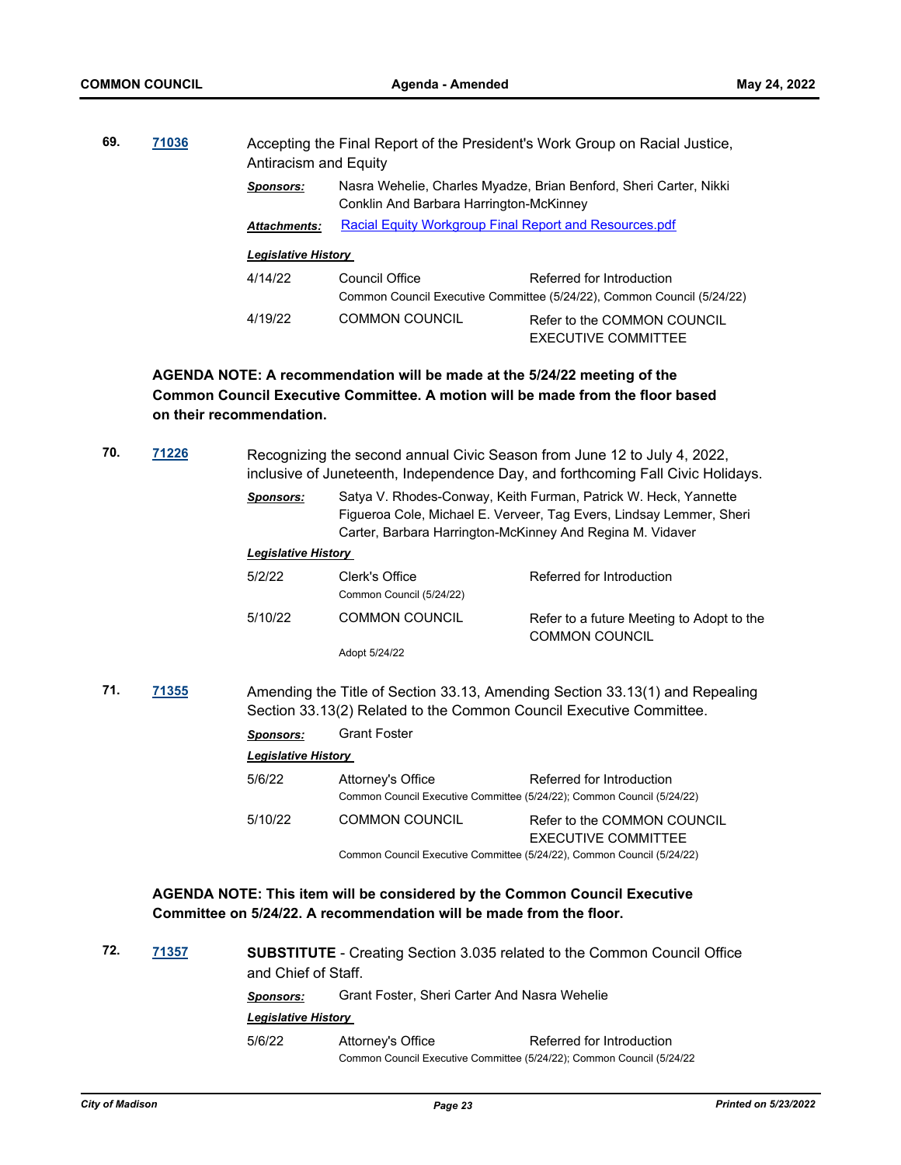| 69. | 71036 | Antiracism and Equity      |                                                                                                              | Accepting the Final Report of the President's Work Group on Racial Justice,                         |  |
|-----|-------|----------------------------|--------------------------------------------------------------------------------------------------------------|-----------------------------------------------------------------------------------------------------|--|
|     |       | <b>Sponsors:</b>           | Nasra Wehelie, Charles Myadze, Brian Benford, Sheri Carter, Nikki<br>Conklin And Barbara Harrington-McKinney |                                                                                                     |  |
|     |       | <b>Attachments:</b>        | Racial Equity Workgroup Final Report and Resources.pdf                                                       |                                                                                                     |  |
|     |       | <b>Legislative History</b> |                                                                                                              |                                                                                                     |  |
|     |       | 4/14/22                    | Council Office                                                                                               | Referred for Introduction<br>Common Council Executive Committee (5/24/22), Common Council (5/24/22) |  |
|     |       | 4/19/22                    | <b>COMMON COUNCIL</b>                                                                                        | Refer to the COMMON COUNCIL<br>EXECUTIVE COMMITTEE                                                  |  |

**AGENDA NOTE: A recommendation will be made at the 5/24/22 meeting of the Common Council Executive Committee. A motion will be made from the floor based on their recommendation.**

| 70. | 71226 | Recognizing the second annual Civic Season from June 12 to July 4, 2022,<br>inclusive of Juneteenth, Independence Day, and forthcoming Fall Civic Holidays. |                                                                                                                                                                                                     |                                                                                                     |  |  |
|-----|-------|-------------------------------------------------------------------------------------------------------------------------------------------------------------|-----------------------------------------------------------------------------------------------------------------------------------------------------------------------------------------------------|-----------------------------------------------------------------------------------------------------|--|--|
|     |       | <b>Sponsors:</b>                                                                                                                                            | Satya V. Rhodes-Conway, Keith Furman, Patrick W. Heck, Yannette<br>Figueroa Cole, Michael E. Verveer, Tag Evers, Lindsay Lemmer, Sheri<br>Carter, Barbara Harrington-McKinney And Regina M. Vidaver |                                                                                                     |  |  |
|     |       | <b>Legislative History</b>                                                                                                                                  |                                                                                                                                                                                                     |                                                                                                     |  |  |
|     |       | 5/2/22                                                                                                                                                      | Clerk's Office<br>Common Council (5/24/22)                                                                                                                                                          | Referred for Introduction                                                                           |  |  |
|     |       | 5/10/22                                                                                                                                                     | <b>COMMON COUNCIL</b>                                                                                                                                                                               | Refer to a future Meeting to Adopt to the<br><b>COMMON COUNCIL</b>                                  |  |  |
|     |       |                                                                                                                                                             | Adopt 5/24/22                                                                                                                                                                                       |                                                                                                     |  |  |
| 71. | 71355 | Amending the Title of Section 33.13, Amending Section 33.13(1) and Repealing<br>Section 33.13(2) Related to the Common Council Executive Committee.         |                                                                                                                                                                                                     |                                                                                                     |  |  |
|     |       | <b>Sponsors:</b>                                                                                                                                            | <b>Grant Foster</b>                                                                                                                                                                                 |                                                                                                     |  |  |
|     |       | <b>Legislative History</b>                                                                                                                                  |                                                                                                                                                                                                     |                                                                                                     |  |  |
|     |       | 5/6/22                                                                                                                                                      | Attorney's Office                                                                                                                                                                                   | Referred for Introduction<br>Common Council Executive Committee (5/24/22); Common Council (5/24/22) |  |  |
|     |       | 5/10/22                                                                                                                                                     | <b>COMMON COUNCIL</b>                                                                                                                                                                               | Refer to the COMMON COUNCIL<br><b>EXECUTIVE COMMITTEE</b>                                           |  |  |
|     |       |                                                                                                                                                             |                                                                                                                                                                                                     | Common Council Executive Committee (5/24/22), Common Council (5/24/22)                              |  |  |
|     |       |                                                                                                                                                             |                                                                                                                                                                                                     | AGENDA NOTE: This item will be considered by the Common Council Executive                           |  |  |

**Committee on 5/24/22. A recommendation will be made from the floor.**

| 72. | 71357 | and Chief of Staff.        |                                                                        | <b>SUBSTITUTE</b> - Creating Section 3.035 related to the Common Council Office |  |
|-----|-------|----------------------------|------------------------------------------------------------------------|---------------------------------------------------------------------------------|--|
|     |       | Sponsors:                  | Grant Foster, Sheri Carter And Nasra Wehelie                           |                                                                                 |  |
|     |       | <b>Legislative History</b> |                                                                        |                                                                                 |  |
|     |       | 5/6/22                     | Attorney's Office                                                      | Referred for Introduction                                                       |  |
|     |       |                            | Common Council Executive Committee (5/24/22); Common Council (5/24/22) |                                                                                 |  |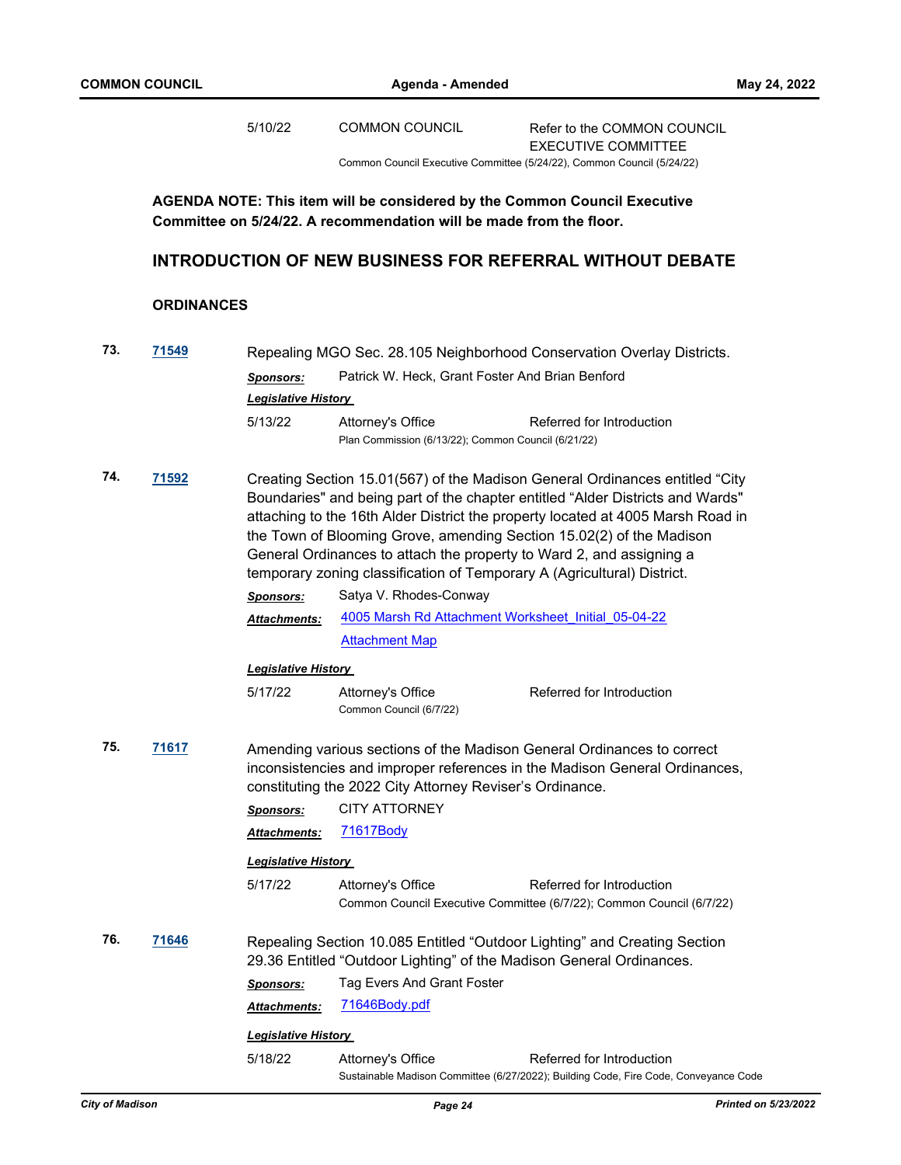|     |                   | 5/10/22                                        | <b>COMMON COUNCIL</b>                                                                                                                            | Refer to the COMMON COUNCIL<br><b>EXECUTIVE COMMITTEE</b>                                                                                                                                                                                                                                                                 |
|-----|-------------------|------------------------------------------------|--------------------------------------------------------------------------------------------------------------------------------------------------|---------------------------------------------------------------------------------------------------------------------------------------------------------------------------------------------------------------------------------------------------------------------------------------------------------------------------|
|     |                   |                                                |                                                                                                                                                  | Common Council Executive Committee (5/24/22), Common Council (5/24/22)                                                                                                                                                                                                                                                    |
|     |                   |                                                | AGENDA NOTE: This item will be considered by the Common Council Executive<br>Committee on 5/24/22. A recommendation will be made from the floor. |                                                                                                                                                                                                                                                                                                                           |
|     |                   |                                                |                                                                                                                                                  | <b>INTRODUCTION OF NEW BUSINESS FOR REFERRAL WITHOUT DEBATE</b>                                                                                                                                                                                                                                                           |
|     | <b>ORDINANCES</b> |                                                |                                                                                                                                                  |                                                                                                                                                                                                                                                                                                                           |
| 73. | 71549             |                                                |                                                                                                                                                  | Repealing MGO Sec. 28.105 Neighborhood Conservation Overlay Districts.                                                                                                                                                                                                                                                    |
|     |                   | <b>Sponsors:</b><br><b>Legislative History</b> | Patrick W. Heck, Grant Foster And Brian Benford                                                                                                  |                                                                                                                                                                                                                                                                                                                           |
|     |                   | 5/13/22                                        | Attorney's Office<br>Plan Commission (6/13/22); Common Council (6/21/22)                                                                         | Referred for Introduction                                                                                                                                                                                                                                                                                                 |
| 74. | 71592             |                                                | General Ordinances to attach the property to Ward 2, and assigning a<br>temporary zoning classification of Temporary A (Agricultural) District.  | Creating Section 15.01(567) of the Madison General Ordinances entitled "City<br>Boundaries" and being part of the chapter entitled "Alder Districts and Wards"<br>attaching to the 16th Alder District the property located at 4005 Marsh Road in<br>the Town of Blooming Grove, amending Section 15.02(2) of the Madison |
|     |                   | <b>Sponsors:</b>                               | Satya V. Rhodes-Conway                                                                                                                           |                                                                                                                                                                                                                                                                                                                           |
|     |                   | Attachments:                                   | 4005 Marsh Rd Attachment Worksheet Initial 05-04-22                                                                                              |                                                                                                                                                                                                                                                                                                                           |
|     |                   |                                                | <b>Attachment Map</b>                                                                                                                            |                                                                                                                                                                                                                                                                                                                           |
|     |                   | <b>Legislative History</b>                     |                                                                                                                                                  |                                                                                                                                                                                                                                                                                                                           |
|     |                   | 5/17/22                                        | Attorney's Office<br>Common Council (6/7/22)                                                                                                     | Referred for Introduction                                                                                                                                                                                                                                                                                                 |
| 75. | 71617             |                                                | constituting the 2022 City Attorney Reviser's Ordinance.                                                                                         | Amending various sections of the Madison General Ordinances to correct<br>inconsistencies and improper references in the Madison General Ordinances,                                                                                                                                                                      |
|     |                   | <b>Sponsors:</b>                               | <b>CITY ATTORNEY</b>                                                                                                                             |                                                                                                                                                                                                                                                                                                                           |
|     |                   | Attachments:                                   | <u>71617Body</u>                                                                                                                                 |                                                                                                                                                                                                                                                                                                                           |
|     |                   | <b>Legislative History</b>                     |                                                                                                                                                  |                                                                                                                                                                                                                                                                                                                           |
|     |                   | 5/17/22                                        | Attorney's Office                                                                                                                                | Referred for Introduction<br>Common Council Executive Committee (6/7/22); Common Council (6/7/22)                                                                                                                                                                                                                         |
| 76. | 71646             |                                                | 29.36 Entitled "Outdoor Lighting" of the Madison General Ordinances.                                                                             | Repealing Section 10.085 Entitled "Outdoor Lighting" and Creating Section                                                                                                                                                                                                                                                 |
|     |                   | <b>Sponsors:</b>                               | Tag Evers And Grant Foster                                                                                                                       |                                                                                                                                                                                                                                                                                                                           |
|     |                   | Attachments:                                   | 71646Body.pdf                                                                                                                                    |                                                                                                                                                                                                                                                                                                                           |
|     |                   | <b>Legislative History</b>                     |                                                                                                                                                  |                                                                                                                                                                                                                                                                                                                           |
|     |                   | 5/18/22                                        | Attorney's Office                                                                                                                                | Referred for Introduction                                                                                                                                                                                                                                                                                                 |

Sustainable Madison Committee (6/27/2022); Building Code, Fire Code, Conveyance Code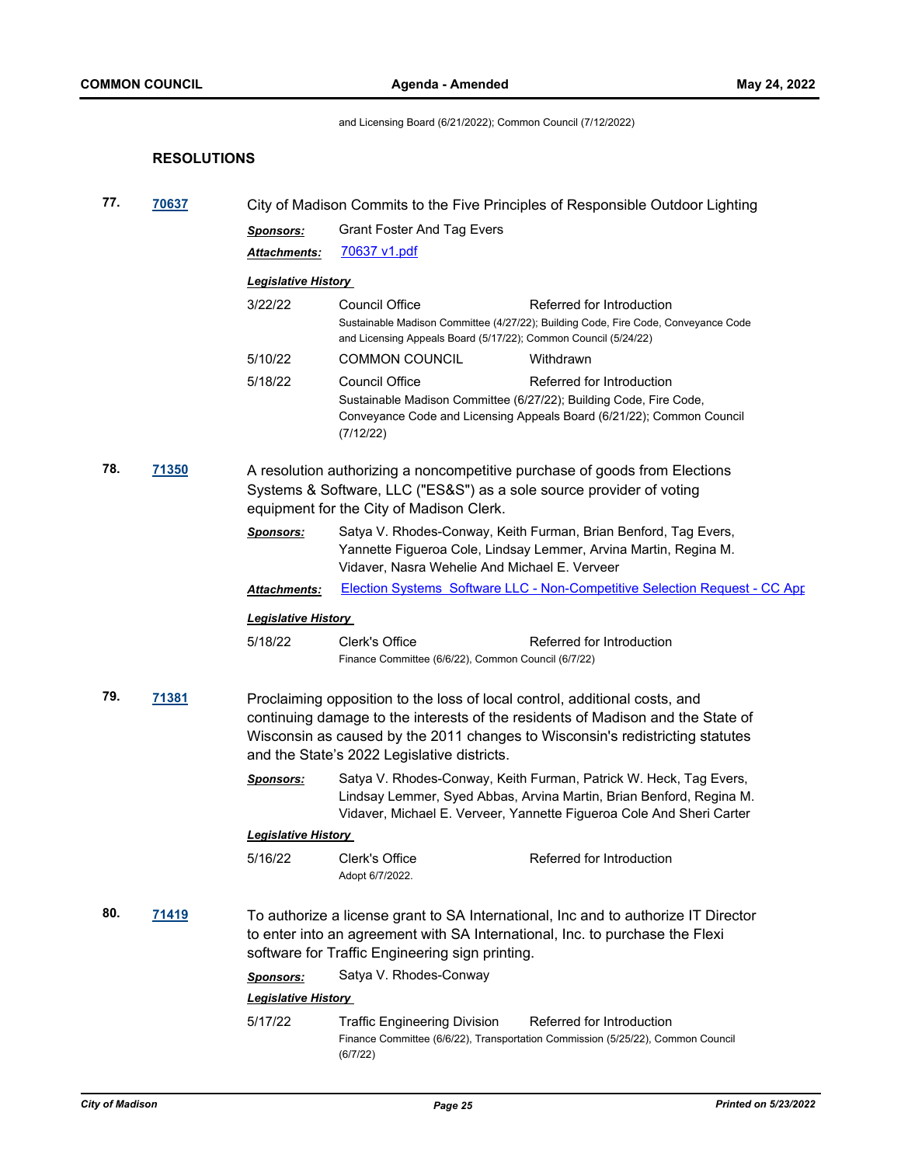and Licensing Board (6/21/2022); Common Council (7/12/2022)

# **RESOLUTIONS**

| 77. | 70637        |                                                                                                                                                                                                |                                                                                                                           | City of Madison Commits to the Five Principles of Responsible Outdoor Lighting                                                                                                                                   |  |  |
|-----|--------------|------------------------------------------------------------------------------------------------------------------------------------------------------------------------------------------------|---------------------------------------------------------------------------------------------------------------------------|------------------------------------------------------------------------------------------------------------------------------------------------------------------------------------------------------------------|--|--|
|     |              | <b>Sponsors:</b>                                                                                                                                                                               | <b>Grant Foster And Tag Evers</b>                                                                                         |                                                                                                                                                                                                                  |  |  |
|     |              | <b>Attachments:</b>                                                                                                                                                                            | <u>70637 v1.pdf</u>                                                                                                       |                                                                                                                                                                                                                  |  |  |
|     |              | <b>Legislative History</b>                                                                                                                                                                     |                                                                                                                           |                                                                                                                                                                                                                  |  |  |
|     |              | 3/22/22                                                                                                                                                                                        | <b>Council Office</b>                                                                                                     | Referred for Introduction                                                                                                                                                                                        |  |  |
|     |              |                                                                                                                                                                                                | and Licensing Appeals Board (5/17/22); Common Council (5/24/22)                                                           | Sustainable Madison Committee (4/27/22); Building Code, Fire Code, Conveyance Code                                                                                                                               |  |  |
|     |              | 5/10/22                                                                                                                                                                                        | <b>COMMON COUNCIL</b>                                                                                                     | Withdrawn                                                                                                                                                                                                        |  |  |
|     |              | 5/18/22                                                                                                                                                                                        | Council Office<br>(7/12/22)                                                                                               | Referred for Introduction<br>Sustainable Madison Committee (6/27/22); Building Code, Fire Code,<br>Conveyance Code and Licensing Appeals Board (6/21/22); Common Council                                         |  |  |
| 78. | <b>71350</b> | A resolution authorizing a noncompetitive purchase of goods from Elections<br>Systems & Software, LLC ("ES&S") as a sole source provider of voting<br>equipment for the City of Madison Clerk. |                                                                                                                           |                                                                                                                                                                                                                  |  |  |
|     |              | <u>Sponsors:</u>                                                                                                                                                                               | Vidaver, Nasra Wehelie And Michael E. Verveer                                                                             | Satya V. Rhodes-Conway, Keith Furman, Brian Benford, Tag Evers,<br>Yannette Figueroa Cole, Lindsay Lemmer, Arvina Martin, Regina M.                                                                              |  |  |
|     |              | <b>Attachments:</b>                                                                                                                                                                            |                                                                                                                           | Election Systems Software LLC - Non-Competitive Selection Request - CC App                                                                                                                                       |  |  |
|     |              | <b>Legislative History</b>                                                                                                                                                                     |                                                                                                                           |                                                                                                                                                                                                                  |  |  |
|     |              | 5/18/22                                                                                                                                                                                        | Clerk's Office<br>Finance Committee (6/6/22), Common Council (6/7/22)                                                     | Referred for Introduction                                                                                                                                                                                        |  |  |
| 79. | 71381        |                                                                                                                                                                                                | Proclaiming opposition to the loss of local control, additional costs, and<br>and the State's 2022 Legislative districts. | continuing damage to the interests of the residents of Madison and the State of<br>Wisconsin as caused by the 2011 changes to Wisconsin's redistricting statutes                                                 |  |  |
|     |              | <b>Sponsors:</b>                                                                                                                                                                               |                                                                                                                           | Satya V. Rhodes-Conway, Keith Furman, Patrick W. Heck, Tag Evers,<br>Lindsay Lemmer, Syed Abbas, Arvina Martin, Brian Benford, Regina M.<br>Vidaver, Michael E. Verveer, Yannette Figueroa Cole And Sheri Carter |  |  |
|     |              | <b>Legislative History</b>                                                                                                                                                                     |                                                                                                                           |                                                                                                                                                                                                                  |  |  |
|     |              | 5/16/22                                                                                                                                                                                        | Clerk's Office<br>Adopt 6/7/2022.                                                                                         | Referred for Introduction                                                                                                                                                                                        |  |  |
| 80. | 71419        |                                                                                                                                                                                                | software for Traffic Engineering sign printing.                                                                           | To authorize a license grant to SA International, Inc and to authorize IT Director<br>to enter into an agreement with SA International, Inc. to purchase the Flexi                                               |  |  |
|     |              | <b>Sponsors:</b>                                                                                                                                                                               | Satya V. Rhodes-Conway                                                                                                    |                                                                                                                                                                                                                  |  |  |
|     |              | <b>Legislative History</b>                                                                                                                                                                     |                                                                                                                           |                                                                                                                                                                                                                  |  |  |
|     |              | 5/17/22                                                                                                                                                                                        | <b>Traffic Engineering Division</b><br>(6/7/22)                                                                           | Referred for Introduction<br>Finance Committee (6/6/22), Transportation Commission (5/25/22), Common Council                                                                                                     |  |  |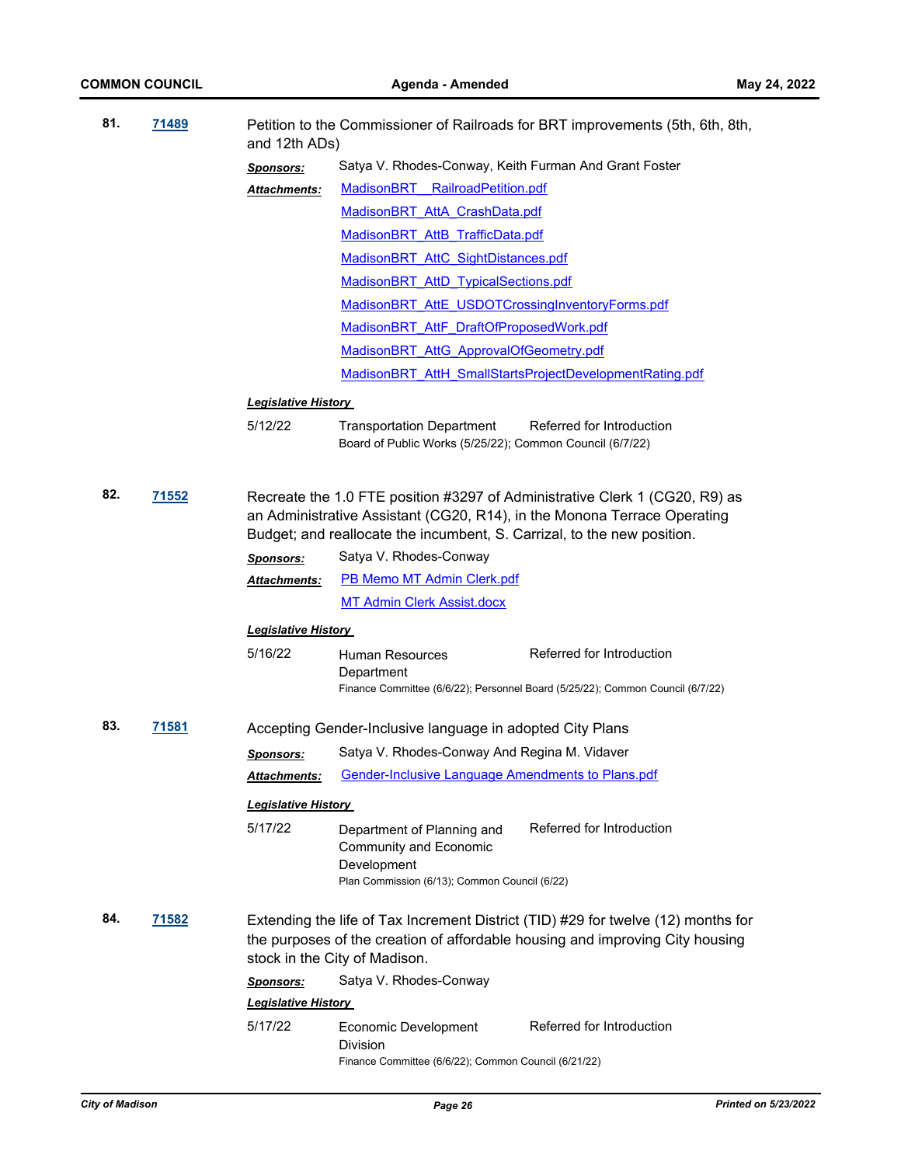| 81. | 71489        | and 12th ADs)              | Petition to the Commissioner of Railroads for BRT improvements (5th, 6th, 8th,                                                                                                                                                     |
|-----|--------------|----------------------------|------------------------------------------------------------------------------------------------------------------------------------------------------------------------------------------------------------------------------------|
|     |              | <b>Sponsors:</b>           | Satya V. Rhodes-Conway, Keith Furman And Grant Foster                                                                                                                                                                              |
|     |              | <b>Attachments:</b>        | MadisonBRT RailroadPetition.pdf                                                                                                                                                                                                    |
|     |              |                            | MadisonBRT AttA CrashData.pdf                                                                                                                                                                                                      |
|     |              |                            | MadisonBRT AttB TrafficData.pdf                                                                                                                                                                                                    |
|     |              |                            | MadisonBRT AttC SightDistances.pdf                                                                                                                                                                                                 |
|     |              |                            | MadisonBRT AttD TypicalSections.pdf                                                                                                                                                                                                |
|     |              |                            | MadisonBRT AttE USDOTCrossingInventoryForms.pdf                                                                                                                                                                                    |
|     |              |                            | MadisonBRT AttF DraftOfProposedWork.pdf                                                                                                                                                                                            |
|     |              |                            | MadisonBRT AttG ApprovalOfGeometry.pdf                                                                                                                                                                                             |
|     |              |                            | MadisonBRT AttH SmallStartsProjectDevelopmentRating.pdf                                                                                                                                                                            |
|     |              | <b>Legislative History</b> |                                                                                                                                                                                                                                    |
|     |              | 5/12/22                    | Referred for Introduction<br><b>Transportation Department</b>                                                                                                                                                                      |
|     |              |                            | Board of Public Works (5/25/22); Common Council (6/7/22)                                                                                                                                                                           |
| 82. | <u>71552</u> |                            | Recreate the 1.0 FTE position #3297 of Administrative Clerk 1 (CG20, R9) as<br>an Administrative Assistant (CG20, R14), in the Monona Terrace Operating<br>Budget; and reallocate the incumbent, S. Carrizal, to the new position. |
|     |              | <b>Sponsors:</b>           | Satya V. Rhodes-Conway                                                                                                                                                                                                             |
|     |              | <b>Attachments:</b>        | PB Memo MT Admin Clerk.pdf                                                                                                                                                                                                         |
|     |              |                            | <b>MT Admin Clerk Assist.docx</b>                                                                                                                                                                                                  |
|     |              | <b>Legislative History</b> |                                                                                                                                                                                                                                    |
|     |              | 5/16/22                    | Referred for Introduction<br><b>Human Resources</b><br>Department<br>Finance Committee (6/6/22); Personnel Board (5/25/22); Common Council (6/7/22)                                                                                |
| 83. | 71581        |                            | Accepting Gender-Inclusive language in adopted City Plans                                                                                                                                                                          |
|     |              | <b>Sponsors:</b>           | Satya V. Rhodes-Conway And Regina M. Vidaver                                                                                                                                                                                       |
|     |              | Attachments:               | <b>Gender-Inclusive Language Amendments to Plans.pdf</b>                                                                                                                                                                           |
|     |              | <b>Legislative History</b> |                                                                                                                                                                                                                                    |
|     |              | 5/17/22                    | Referred for Introduction<br>Department of Planning and<br><b>Community and Economic</b><br>Development<br>Plan Commission (6/13); Common Council (6/22)                                                                           |
| 84. | 71582        |                            | Extending the life of Tax Increment District (TID) #29 for twelve (12) months for<br>the purposes of the creation of affordable housing and improving City housing<br>stock in the City of Madison.                                |
|     |              | <b>Sponsors:</b>           | Satya V. Rhodes-Conway                                                                                                                                                                                                             |
|     |              | <b>Legislative History</b> |                                                                                                                                                                                                                                    |
|     |              | 5/17/22                    | Referred for Introduction<br>Economic Development<br><b>Division</b><br>Finance Committee (6/6/22); Common Council (6/21/22)                                                                                                       |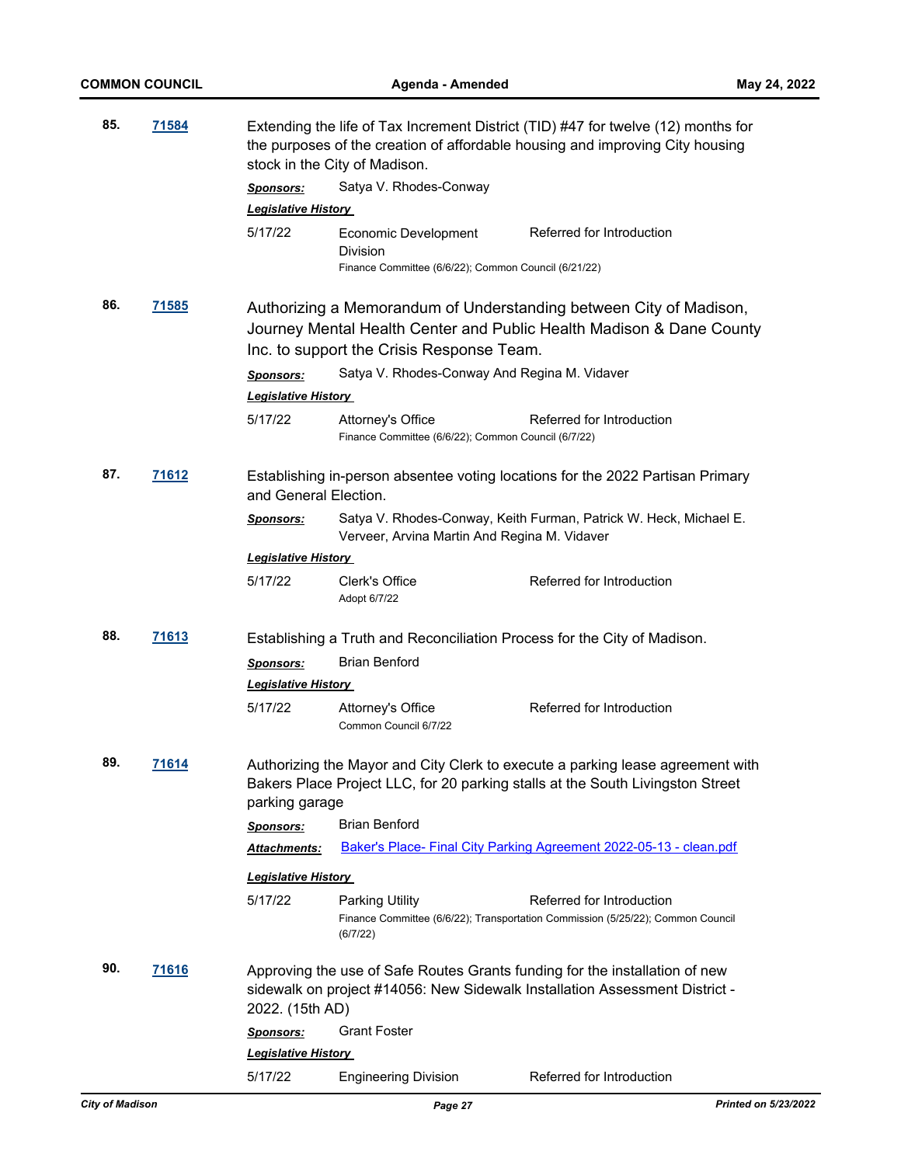| 85. | <u>71584</u> |                                                | Extending the life of Tax Increment District (TID) #47 for twelve (12) months for<br>the purposes of the creation of affordable housing and improving City housing<br>stock in the City of Madison. |                                                                                                                                                                  |  |
|-----|--------------|------------------------------------------------|-----------------------------------------------------------------------------------------------------------------------------------------------------------------------------------------------------|------------------------------------------------------------------------------------------------------------------------------------------------------------------|--|
|     |              | <u>Sponsors:</u><br><b>Legislative History</b> | Satya V. Rhodes-Conway                                                                                                                                                                              |                                                                                                                                                                  |  |
|     |              | 5/17/22                                        | Economic Development<br>Division<br>Finance Committee (6/6/22); Common Council (6/21/22)                                                                                                            | Referred for Introduction                                                                                                                                        |  |
| 86. | <u>71585</u> |                                                | Inc. to support the Crisis Response Team.                                                                                                                                                           | Authorizing a Memorandum of Understanding between City of Madison,<br>Journey Mental Health Center and Public Health Madison & Dane County                       |  |
|     |              | <b>Sponsors:</b><br><b>Legislative History</b> | Satya V. Rhodes-Conway And Regina M. Vidaver                                                                                                                                                        |                                                                                                                                                                  |  |
|     |              | 5/17/22                                        | Attorney's Office<br>Finance Committee (6/6/22); Common Council (6/7/22)                                                                                                                            | Referred for Introduction                                                                                                                                        |  |
| 87. | 71612        | and General Election.                          |                                                                                                                                                                                                     | Establishing in-person absentee voting locations for the 2022 Partisan Primary                                                                                   |  |
|     |              | <b>Sponsors:</b>                               | Verveer, Arvina Martin And Regina M. Vidaver                                                                                                                                                        | Satya V. Rhodes-Conway, Keith Furman, Patrick W. Heck, Michael E.                                                                                                |  |
|     |              | <b>Legislative History</b>                     |                                                                                                                                                                                                     |                                                                                                                                                                  |  |
|     |              | 5/17/22                                        | Clerk's Office<br>Adopt 6/7/22                                                                                                                                                                      | Referred for Introduction                                                                                                                                        |  |
| 88. | <u>71613</u> |                                                | Establishing a Truth and Reconciliation Process for the City of Madison.                                                                                                                            |                                                                                                                                                                  |  |
|     |              | <b>Sponsors:</b>                               | <b>Brian Benford</b>                                                                                                                                                                                |                                                                                                                                                                  |  |
|     |              | <b>Legislative History</b>                     |                                                                                                                                                                                                     |                                                                                                                                                                  |  |
|     |              | 5/17/22                                        | Attorney's Office<br>Common Council 6/7/22                                                                                                                                                          | Referred for Introduction                                                                                                                                        |  |
| 89. | 71614        | parking garage                                 |                                                                                                                                                                                                     | Authorizing the Mayor and City Clerk to execute a parking lease agreement with<br>Bakers Place Project LLC, for 20 parking stalls at the South Livingston Street |  |
|     |              | <u>Sponsors:</u>                               | <b>Brian Benford</b>                                                                                                                                                                                |                                                                                                                                                                  |  |
|     |              | <b>Attachments:</b>                            |                                                                                                                                                                                                     | Baker's Place- Final City Parking Agreement 2022-05-13 - clean.pdf                                                                                               |  |
|     |              | <b>Legislative History</b>                     |                                                                                                                                                                                                     |                                                                                                                                                                  |  |
|     |              | 5/17/22                                        | <b>Parking Utility</b><br>(6/7/22)                                                                                                                                                                  | Referred for Introduction<br>Finance Committee (6/6/22); Transportation Commission (5/25/22); Common Council                                                     |  |
| 90. | <u>71616</u> | 2022. (15th AD)                                |                                                                                                                                                                                                     | Approving the use of Safe Routes Grants funding for the installation of new<br>sidewalk on project #14056: New Sidewalk Installation Assessment District -       |  |
|     |              | <b>Sponsors:</b>                               | <b>Grant Foster</b>                                                                                                                                                                                 |                                                                                                                                                                  |  |
|     |              | <b>Legislative History</b>                     |                                                                                                                                                                                                     |                                                                                                                                                                  |  |
|     |              | 5/17/22                                        | <b>Engineering Division</b>                                                                                                                                                                         | Referred for Introduction                                                                                                                                        |  |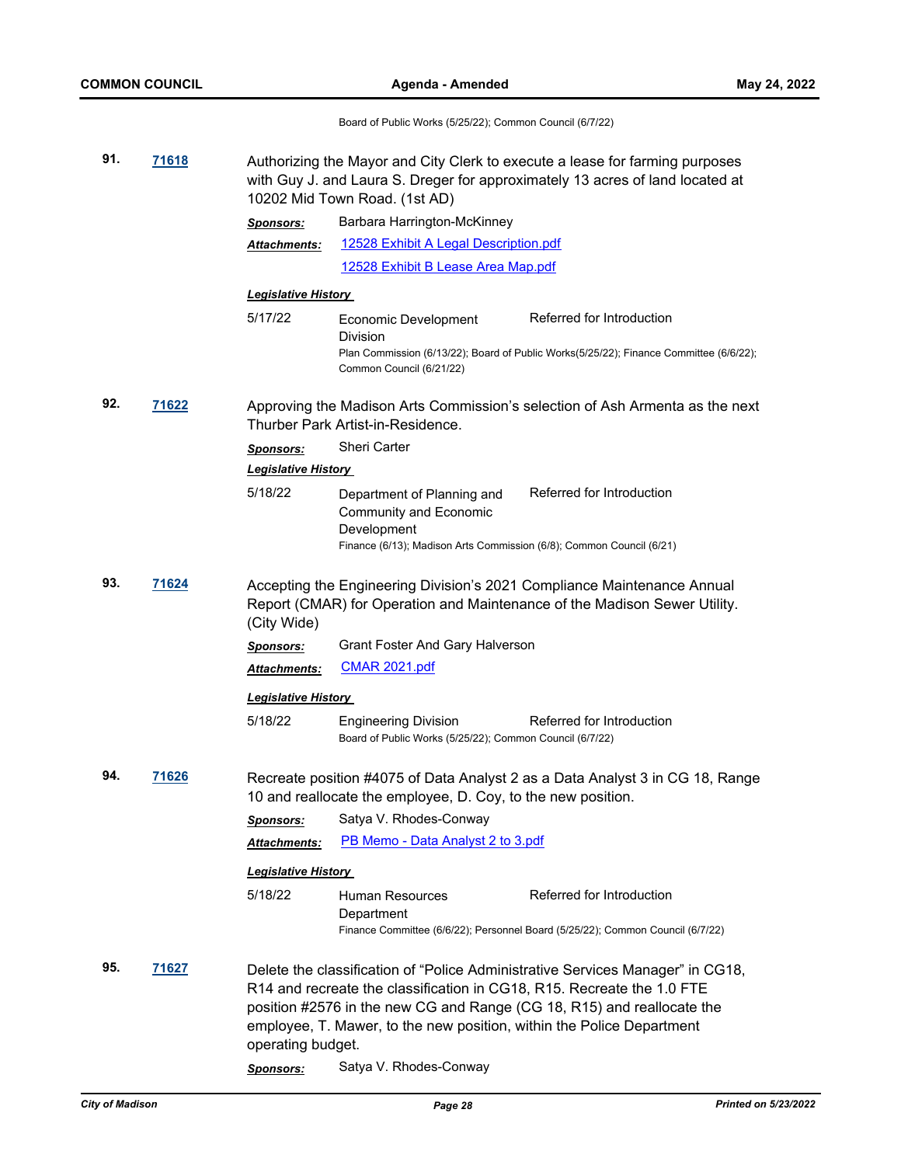Board of Public Works (5/25/22); Common Council (6/7/22)

| 91.<br>71618 |       | Authorizing the Mayor and City Clerk to execute a lease for farming purposes<br>with Guy J. and Laura S. Dreger for approximately 13 acres of land located at<br>10202 Mid Town Road. (1st AD) |                                                                                                                                                 |                                                                                                                                                          |  |
|--------------|-------|------------------------------------------------------------------------------------------------------------------------------------------------------------------------------------------------|-------------------------------------------------------------------------------------------------------------------------------------------------|----------------------------------------------------------------------------------------------------------------------------------------------------------|--|
|              |       | <b>Sponsors:</b>                                                                                                                                                                               | Barbara Harrington-McKinney                                                                                                                     |                                                                                                                                                          |  |
|              |       | Attachments:                                                                                                                                                                                   | 12528 Exhibit A Legal Description.pdf                                                                                                           |                                                                                                                                                          |  |
|              |       |                                                                                                                                                                                                | 12528 Exhibit B Lease Area Map.pdf                                                                                                              |                                                                                                                                                          |  |
|              |       | <b>Legislative History</b>                                                                                                                                                                     |                                                                                                                                                 |                                                                                                                                                          |  |
|              |       | 5/17/22                                                                                                                                                                                        | Economic Development<br><b>Division</b>                                                                                                         | Referred for Introduction<br>Plan Commission (6/13/22); Board of Public Works(5/25/22); Finance Committee (6/6/22);                                      |  |
|              |       |                                                                                                                                                                                                | Common Council (6/21/22)                                                                                                                        |                                                                                                                                                          |  |
| 92.<br>71622 |       | Approving the Madison Arts Commission's selection of Ash Armenta as the next<br>Thurber Park Artist-in-Residence.                                                                              |                                                                                                                                                 |                                                                                                                                                          |  |
|              |       | <b>Sponsors:</b>                                                                                                                                                                               | <b>Sheri Carter</b>                                                                                                                             |                                                                                                                                                          |  |
|              |       | <b>Legislative History</b>                                                                                                                                                                     |                                                                                                                                                 |                                                                                                                                                          |  |
|              |       | 5/18/22                                                                                                                                                                                        | Department of Planning and<br><b>Community and Economic</b><br>Development                                                                      | Referred for Introduction                                                                                                                                |  |
|              |       |                                                                                                                                                                                                | Finance (6/13); Madison Arts Commission (6/8); Common Council (6/21)                                                                            |                                                                                                                                                          |  |
| 93.<br>71624 |       | Accepting the Engineering Division's 2021 Compliance Maintenance Annual<br>Report (CMAR) for Operation and Maintenance of the Madison Sewer Utility.<br>(City Wide)                            |                                                                                                                                                 |                                                                                                                                                          |  |
|              |       | <b>Sponsors:</b>                                                                                                                                                                               | Grant Foster And Gary Halverson                                                                                                                 |                                                                                                                                                          |  |
|              |       | <b>Attachments:</b>                                                                                                                                                                            | <b>CMAR 2021.pdf</b>                                                                                                                            |                                                                                                                                                          |  |
|              |       | <u> Legislative History </u>                                                                                                                                                                   |                                                                                                                                                 |                                                                                                                                                          |  |
|              |       | 5/18/22                                                                                                                                                                                        | <b>Engineering Division</b><br>Board of Public Works (5/25/22); Common Council (6/7/22)                                                         | Referred for Introduction                                                                                                                                |  |
| 94.          | 71626 | Recreate position #4075 of Data Analyst 2 as a Data Analyst 3 in CG 18, Range<br>10 and reallocate the employee, D. Coy, to the new position.                                                  |                                                                                                                                                 |                                                                                                                                                          |  |
|              |       | <u>Sponsors:</u>                                                                                                                                                                               | Satya V. Rhodes-Conway                                                                                                                          |                                                                                                                                                          |  |
|              |       | Attachments:                                                                                                                                                                                   | <b>PB Memo - Data Analyst 2 to 3.pdf</b>                                                                                                        |                                                                                                                                                          |  |
|              |       | <b>Legislative History</b>                                                                                                                                                                     |                                                                                                                                                 |                                                                                                                                                          |  |
|              |       | 5/18/22                                                                                                                                                                                        | <b>Human Resources</b><br>Department                                                                                                            | Referred for Introduction                                                                                                                                |  |
|              |       |                                                                                                                                                                                                |                                                                                                                                                 | Finance Committee (6/6/22); Personnel Board (5/25/22); Common Council (6/7/22)                                                                           |  |
| 95.          | 71627 | operating budget.                                                                                                                                                                              | R14 and recreate the classification in CG18, R15. Recreate the 1.0 FTE<br>employee, T. Mawer, to the new position, within the Police Department | Delete the classification of "Police Administrative Services Manager" in CG18,<br>position #2576 in the new CG and Range (CG 18, R15) and reallocate the |  |
|              |       | <b>Sponsors:</b>                                                                                                                                                                               | Satya V. Rhodes-Conway                                                                                                                          |                                                                                                                                                          |  |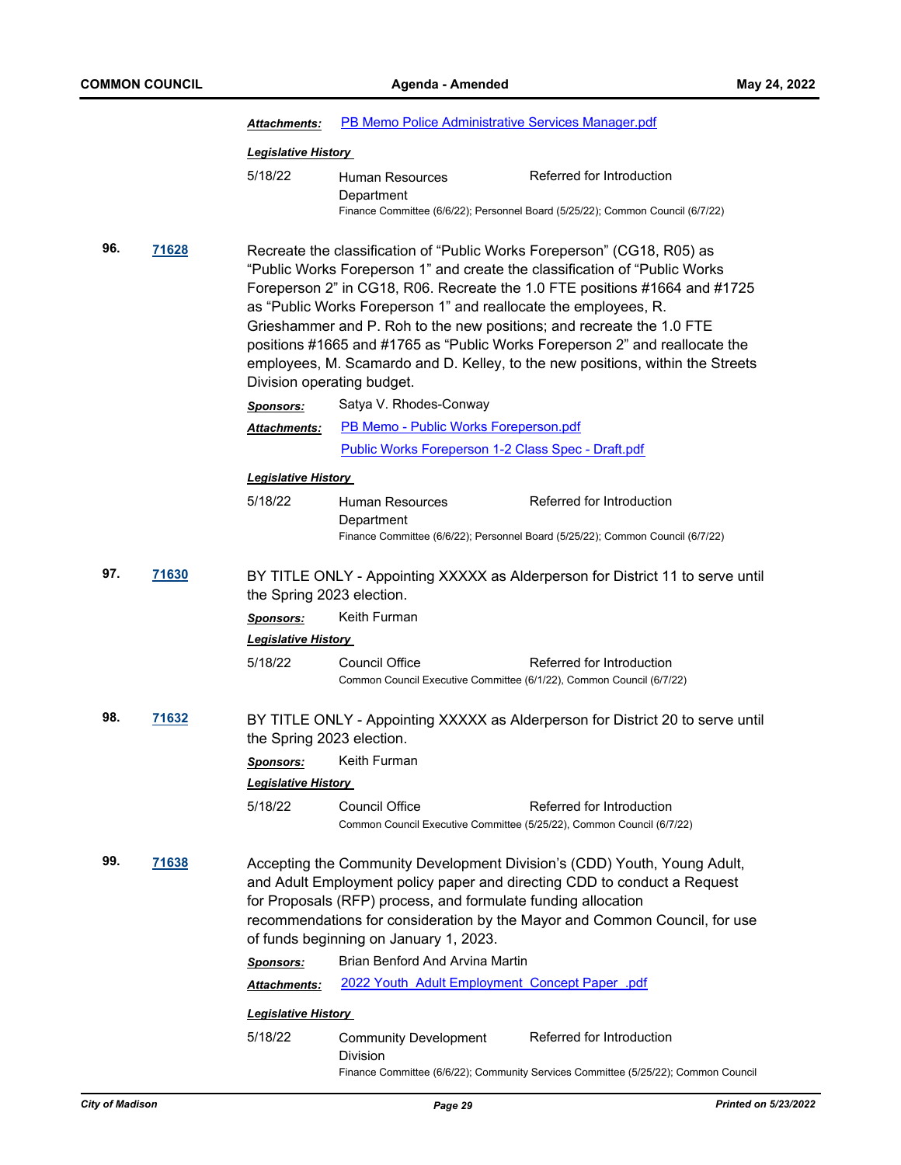|                                                                            |       | PB Memo Police Administrative Services Manager.pdf<br>Attachments:                                          |                                                                                                                                                                                                                                    |                                                                                                                                                                                                                                                                                                                                                                                                      |  |
|----------------------------------------------------------------------------|-------|-------------------------------------------------------------------------------------------------------------|------------------------------------------------------------------------------------------------------------------------------------------------------------------------------------------------------------------------------------|------------------------------------------------------------------------------------------------------------------------------------------------------------------------------------------------------------------------------------------------------------------------------------------------------------------------------------------------------------------------------------------------------|--|
|                                                                            |       | <b>Legislative History</b>                                                                                  |                                                                                                                                                                                                                                    |                                                                                                                                                                                                                                                                                                                                                                                                      |  |
|                                                                            |       | 5/18/22                                                                                                     | Human Resources<br>Department                                                                                                                                                                                                      | Referred for Introduction                                                                                                                                                                                                                                                                                                                                                                            |  |
|                                                                            |       |                                                                                                             |                                                                                                                                                                                                                                    | Finance Committee (6/6/22); Personnel Board (5/25/22); Common Council (6/7/22)                                                                                                                                                                                                                                                                                                                       |  |
| 96.<br>71628                                                               |       | Division operating budget.                                                                                  | as "Public Works Foreperson 1" and reallocate the employees, R.<br>Grieshammer and P. Roh to the new positions; and recreate the 1.0 FTE                                                                                           | Recreate the classification of "Public Works Foreperson" (CG18, R05) as<br>"Public Works Foreperson 1" and create the classification of "Public Works<br>Foreperson 2" in CG18, R06. Recreate the 1.0 FTE positions #1664 and #1725<br>positions #1665 and #1765 as "Public Works Foreperson 2" and reallocate the<br>employees, M. Scamardo and D. Kelley, to the new positions, within the Streets |  |
|                                                                            |       | <b>Sponsors:</b>                                                                                            | Satya V. Rhodes-Conway                                                                                                                                                                                                             |                                                                                                                                                                                                                                                                                                                                                                                                      |  |
|                                                                            |       | Attachments:                                                                                                | PB Memo - Public Works Foreperson.pdf                                                                                                                                                                                              |                                                                                                                                                                                                                                                                                                                                                                                                      |  |
|                                                                            |       |                                                                                                             | Public Works Foreperson 1-2 Class Spec - Draft.pdf                                                                                                                                                                                 |                                                                                                                                                                                                                                                                                                                                                                                                      |  |
|                                                                            |       | <u> Leqislative History</u>                                                                                 |                                                                                                                                                                                                                                    |                                                                                                                                                                                                                                                                                                                                                                                                      |  |
|                                                                            |       | 5/18/22                                                                                                     | Human Resources                                                                                                                                                                                                                    | Referred for Introduction                                                                                                                                                                                                                                                                                                                                                                            |  |
|                                                                            |       |                                                                                                             | Department                                                                                                                                                                                                                         | Finance Committee (6/6/22); Personnel Board (5/25/22); Common Council (6/7/22)                                                                                                                                                                                                                                                                                                                       |  |
| 97.                                                                        | 71630 | BY TITLE ONLY - Appointing XXXXX as Alderperson for District 11 to serve until<br>the Spring 2023 election. |                                                                                                                                                                                                                                    |                                                                                                                                                                                                                                                                                                                                                                                                      |  |
|                                                                            |       | <b>Sponsors:</b>                                                                                            | Keith Furman                                                                                                                                                                                                                       |                                                                                                                                                                                                                                                                                                                                                                                                      |  |
|                                                                            |       | <u> Leqislative History </u>                                                                                |                                                                                                                                                                                                                                    |                                                                                                                                                                                                                                                                                                                                                                                                      |  |
|                                                                            |       | 5/18/22                                                                                                     | Council Office<br>Common Council Executive Committee (6/1/22), Common Council (6/7/22)                                                                                                                                             | Referred for Introduction                                                                                                                                                                                                                                                                                                                                                                            |  |
| 98.                                                                        | 71632 | the Spring 2023 election.                                                                                   |                                                                                                                                                                                                                                    | BY TITLE ONLY - Appointing XXXXX as Alderperson for District 20 to serve until                                                                                                                                                                                                                                                                                                                       |  |
|                                                                            |       | <u>Sponsors:</u>                                                                                            | Keith Furman                                                                                                                                                                                                                       |                                                                                                                                                                                                                                                                                                                                                                                                      |  |
|                                                                            |       | Legislative History                                                                                         |                                                                                                                                                                                                                                    |                                                                                                                                                                                                                                                                                                                                                                                                      |  |
|                                                                            |       | 5/18/22                                                                                                     | <b>Council Office</b><br>Common Council Executive Committee (5/25/22), Common Council (6/7/22)                                                                                                                                     | Referred for Introduction                                                                                                                                                                                                                                                                                                                                                                            |  |
| 99.<br>71638<br>of funds beginning on January 1, 2023.<br><b>Sponsors:</b> |       | for Proposals (RFP) process, and formulate funding allocation                                               | Accepting the Community Development Division's (CDD) Youth, Young Adult,<br>and Adult Employment policy paper and directing CDD to conduct a Request<br>recommendations for consideration by the Mayor and Common Council, for use |                                                                                                                                                                                                                                                                                                                                                                                                      |  |
|                                                                            |       |                                                                                                             | Brian Benford And Arvina Martin                                                                                                                                                                                                    |                                                                                                                                                                                                                                                                                                                                                                                                      |  |
|                                                                            |       | Attachments:                                                                                                | <b>2022 Youth Adult Employment Concept Paper .pdf</b>                                                                                                                                                                              |                                                                                                                                                                                                                                                                                                                                                                                                      |  |
|                                                                            |       | <b>Legislative History</b>                                                                                  |                                                                                                                                                                                                                                    |                                                                                                                                                                                                                                                                                                                                                                                                      |  |
|                                                                            |       | 5/18/22                                                                                                     | <b>Community Development</b><br>Division                                                                                                                                                                                           | Referred for Introduction                                                                                                                                                                                                                                                                                                                                                                            |  |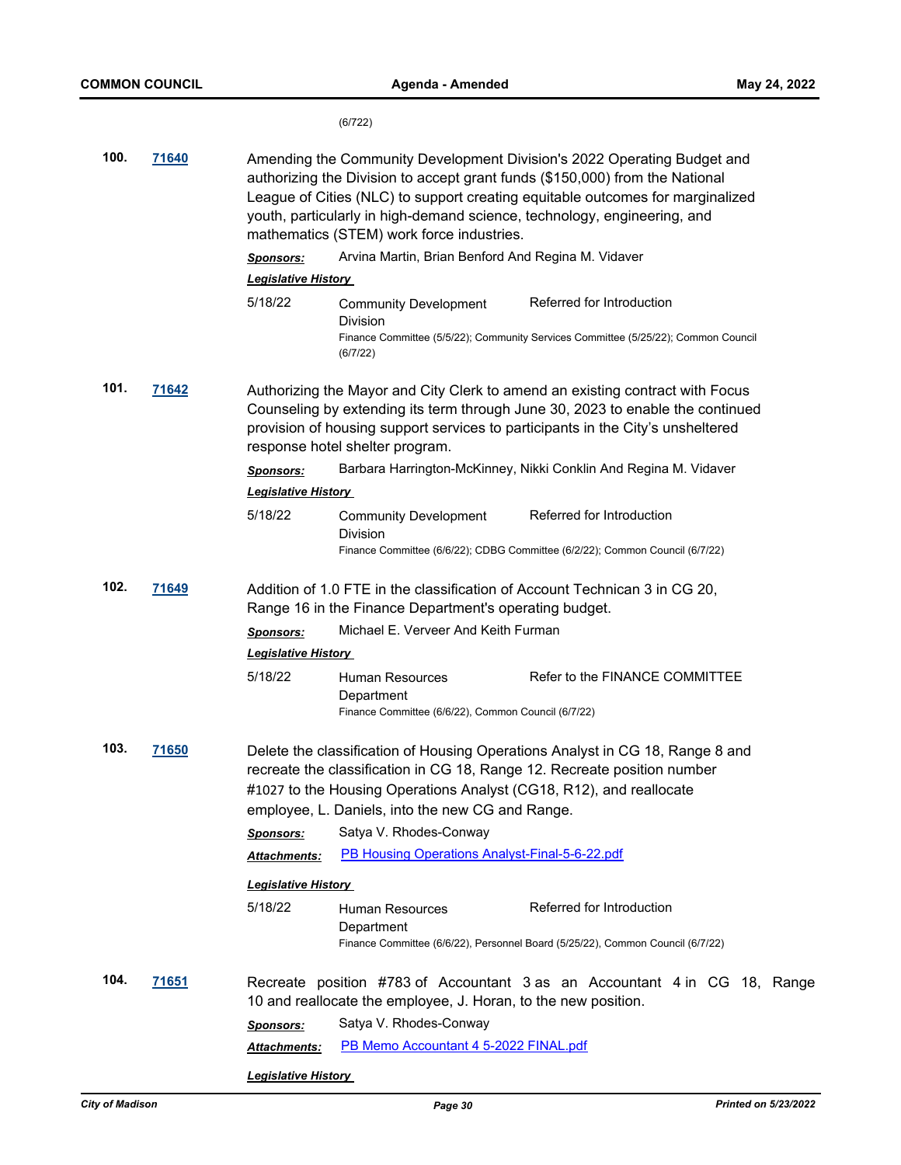(6/722)

| 100.                                                                                                                                                                                                                                                                                                          | 71640        | Amending the Community Development Division's 2022 Operating Budget and<br>authorizing the Division to accept grant funds (\$150,000) from the National<br>League of Cities (NLC) to support creating equitable outcomes for marginalized<br>youth, particularly in high-demand science, technology, engineering, and<br>mathematics (STEM) work force industries. |                                                                                             |                                                                                                                 |  |
|---------------------------------------------------------------------------------------------------------------------------------------------------------------------------------------------------------------------------------------------------------------------------------------------------------------|--------------|--------------------------------------------------------------------------------------------------------------------------------------------------------------------------------------------------------------------------------------------------------------------------------------------------------------------------------------------------------------------|---------------------------------------------------------------------------------------------|-----------------------------------------------------------------------------------------------------------------|--|
|                                                                                                                                                                                                                                                                                                               |              | <b>Sponsors:</b>                                                                                                                                                                                                                                                                                                                                                   | Arvina Martin, Brian Benford And Regina M. Vidaver                                          |                                                                                                                 |  |
|                                                                                                                                                                                                                                                                                                               |              | <b>Legislative History</b>                                                                                                                                                                                                                                                                                                                                         |                                                                                             |                                                                                                                 |  |
|                                                                                                                                                                                                                                                                                                               |              | 5/18/22                                                                                                                                                                                                                                                                                                                                                            | <b>Community Development</b><br>Division<br>(6/7/22)                                        | Referred for Introduction<br>Finance Committee (5/5/22); Community Services Committee (5/25/22); Common Council |  |
| 101.<br><u>71642</u><br>Authorizing the Mayor and City Clerk to amend an existing contract with Focus<br>Counseling by extending its term through June 30, 2023 to enable the continued<br>provision of housing support services to participants in the City's unsheltered<br>response hotel shelter program. |              |                                                                                                                                                                                                                                                                                                                                                                    |                                                                                             |                                                                                                                 |  |
|                                                                                                                                                                                                                                                                                                               |              | <b>Sponsors:</b><br><b>Legislative History</b>                                                                                                                                                                                                                                                                                                                     |                                                                                             | Barbara Harrington-McKinney, Nikki Conklin And Regina M. Vidaver                                                |  |
|                                                                                                                                                                                                                                                                                                               |              | 5/18/22                                                                                                                                                                                                                                                                                                                                                            | <b>Community Development</b><br>Division                                                    | Referred for Introduction<br>Finance Committee (6/6/22); CDBG Committee (6/2/22); Common Council (6/7/22)       |  |
| 102.<br><u>71649</u><br>Addition of 1.0 FTE in the classification of Account Technican 3 in CG 20,<br>Range 16 in the Finance Department's operating budget.                                                                                                                                                  |              |                                                                                                                                                                                                                                                                                                                                                                    |                                                                                             |                                                                                                                 |  |
|                                                                                                                                                                                                                                                                                                               |              | Michael E. Verveer And Keith Furman<br><u>Sponsors:</u><br><u> Legislative History</u>                                                                                                                                                                                                                                                                             |                                                                                             |                                                                                                                 |  |
|                                                                                                                                                                                                                                                                                                               |              | 5/18/22                                                                                                                                                                                                                                                                                                                                                            | <b>Human Resources</b><br>Department<br>Finance Committee (6/6/22), Common Council (6/7/22) | Refer to the FINANCE COMMITTEE                                                                                  |  |
| 103.<br><b>71650</b><br>Delete the classification of Housing Operations Analyst in CG 18, Range 8 and<br>recreate the classification in CG 18, Range 12. Recreate position number<br>#1027 to the Housing Operations Analyst (CG18, R12), and reallocate<br>employee, L. Daniels, into the new CG and Range.  |              |                                                                                                                                                                                                                                                                                                                                                                    |                                                                                             |                                                                                                                 |  |
|                                                                                                                                                                                                                                                                                                               |              | <u>Sponsors:</u>                                                                                                                                                                                                                                                                                                                                                   | Satya V. Rhodes-Conway                                                                      |                                                                                                                 |  |
|                                                                                                                                                                                                                                                                                                               |              | Attachments:                                                                                                                                                                                                                                                                                                                                                       | PB Housing Operations Analyst-Final-5-6-22.pdf                                              |                                                                                                                 |  |
|                                                                                                                                                                                                                                                                                                               |              | <b>Legislative History</b>                                                                                                                                                                                                                                                                                                                                         |                                                                                             |                                                                                                                 |  |
|                                                                                                                                                                                                                                                                                                               |              | 5/18/22                                                                                                                                                                                                                                                                                                                                                            | Human Resources<br>Department                                                               | Referred for Introduction<br>Finance Committee (6/6/22), Personnel Board (5/25/22), Common Council (6/7/22)     |  |
| 104.                                                                                                                                                                                                                                                                                                          | <u>71651</u> |                                                                                                                                                                                                                                                                                                                                                                    | 10 and reallocate the employee, J. Horan, to the new position.                              | Recreate position #783 of Accountant 3 as an Accountant 4 in CG 18, Range                                       |  |
|                                                                                                                                                                                                                                                                                                               |              | <b>Sponsors:</b>                                                                                                                                                                                                                                                                                                                                                   | Satya V. Rhodes-Conway                                                                      |                                                                                                                 |  |
|                                                                                                                                                                                                                                                                                                               |              | Attachments:                                                                                                                                                                                                                                                                                                                                                       | PB Memo Accountant 4 5-2022 FINAL.pdf                                                       |                                                                                                                 |  |
|                                                                                                                                                                                                                                                                                                               |              | <b>Legislative History</b>                                                                                                                                                                                                                                                                                                                                         |                                                                                             |                                                                                                                 |  |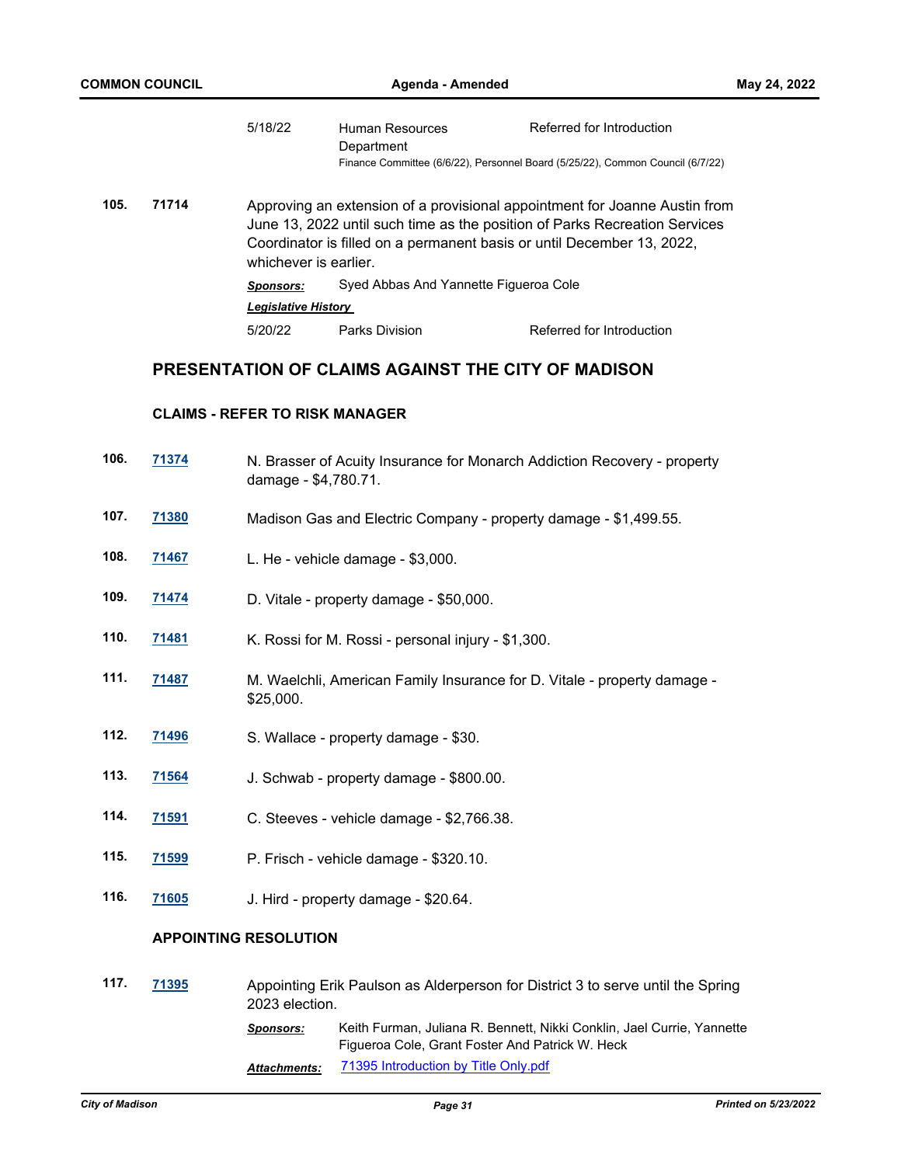| <b>COMMON COUNCIL</b> |       | Agenda - Amended                      |                                                                                                                                                                                                                                    |                                                                                                             | May 24, 2022 |
|-----------------------|-------|---------------------------------------|------------------------------------------------------------------------------------------------------------------------------------------------------------------------------------------------------------------------------------|-------------------------------------------------------------------------------------------------------------|--------------|
|                       |       | 5/18/22                               | <b>Human Resources</b><br>Department                                                                                                                                                                                               | Referred for Introduction<br>Finance Committee (6/6/22), Personnel Board (5/25/22), Common Council (6/7/22) |              |
| 105.                  | 71714 | whichever is earlier.                 | Approving an extension of a provisional appointment for Joanne Austin from<br>June 13, 2022 until such time as the position of Parks Recreation Services<br>Coordinator is filled on a permanent basis or until December 13, 2022, |                                                                                                             |              |
|                       |       | Sponsors:                             | Syed Abbas And Yannette Figueroa Cole                                                                                                                                                                                              |                                                                                                             |              |
|                       |       | <b>Legislative History</b>            |                                                                                                                                                                                                                                    |                                                                                                             |              |
|                       |       | 5/20/22                               | <b>Parks Division</b>                                                                                                                                                                                                              | Referred for Introduction                                                                                   |              |
|                       |       |                                       |                                                                                                                                                                                                                                    | PRESENTATION OF CLAIMS AGAINST THE CITY OF MADISON                                                          |              |
|                       |       | <b>CLAIMS - REFER TO RISK MANAGER</b> |                                                                                                                                                                                                                                    |                                                                                                             |              |
| 106.                  | 71374 | damage - \$4,780.71.                  |                                                                                                                                                                                                                                    | N. Brasser of Acuity Insurance for Monarch Addiction Recovery - property                                    |              |
| 107.                  | 71380 |                                       |                                                                                                                                                                                                                                    | Madison Gas and Electric Company - property damage - \$1,499.55.                                            |              |
| 108.                  | 71467 |                                       | L. He - vehicle damage - \$3,000.                                                                                                                                                                                                  |                                                                                                             |              |
| 109.                  | 71474 |                                       | D. Vitale - property damage - \$50,000.                                                                                                                                                                                            |                                                                                                             |              |
| 110.                  | 71481 |                                       | K. Rossi for M. Rossi - personal injury - \$1,300.                                                                                                                                                                                 |                                                                                                             |              |
| 111.                  | 71487 | \$25,000.                             |                                                                                                                                                                                                                                    | M. Waelchli, American Family Insurance for D. Vitale - property damage -                                    |              |
| 112.                  | 71496 |                                       | S. Wallace - property damage - \$30.                                                                                                                                                                                               |                                                                                                             |              |

- **113. [71564](http://madison.legistar.com/gateway.aspx?m=l&id=/matter.aspx?key=83449)** J. Schwab property damage \$800.00.
- **114. [71591](http://madison.legistar.com/gateway.aspx?m=l&id=/matter.aspx?key=83471)** C. Steeves vehicle damage \$2,766.38.
- **115. [71599](http://madison.legistar.com/gateway.aspx?m=l&id=/matter.aspx?key=83474)** P. Frisch vehicle damage \$320.10.
- **116. [71605](http://madison.legistar.com/gateway.aspx?m=l&id=/matter.aspx?key=83475)** J. Hird property damage \$20.64.

## **APPOINTING RESOLUTION**

| 117. | 71395 |              | Appointing Erik Paulson as Alderperson for District 3 to serve until the Spring<br>2023 election.                         |  |  |
|------|-------|--------------|---------------------------------------------------------------------------------------------------------------------------|--|--|
|      |       | Sponsors:    | Keith Furman, Juliana R. Bennett, Nikki Conklin, Jael Currie, Yannette<br>Figueroa Cole, Grant Foster And Patrick W. Heck |  |  |
|      |       | Attachments: | 71395 Introduction by Title Only.pdf                                                                                      |  |  |